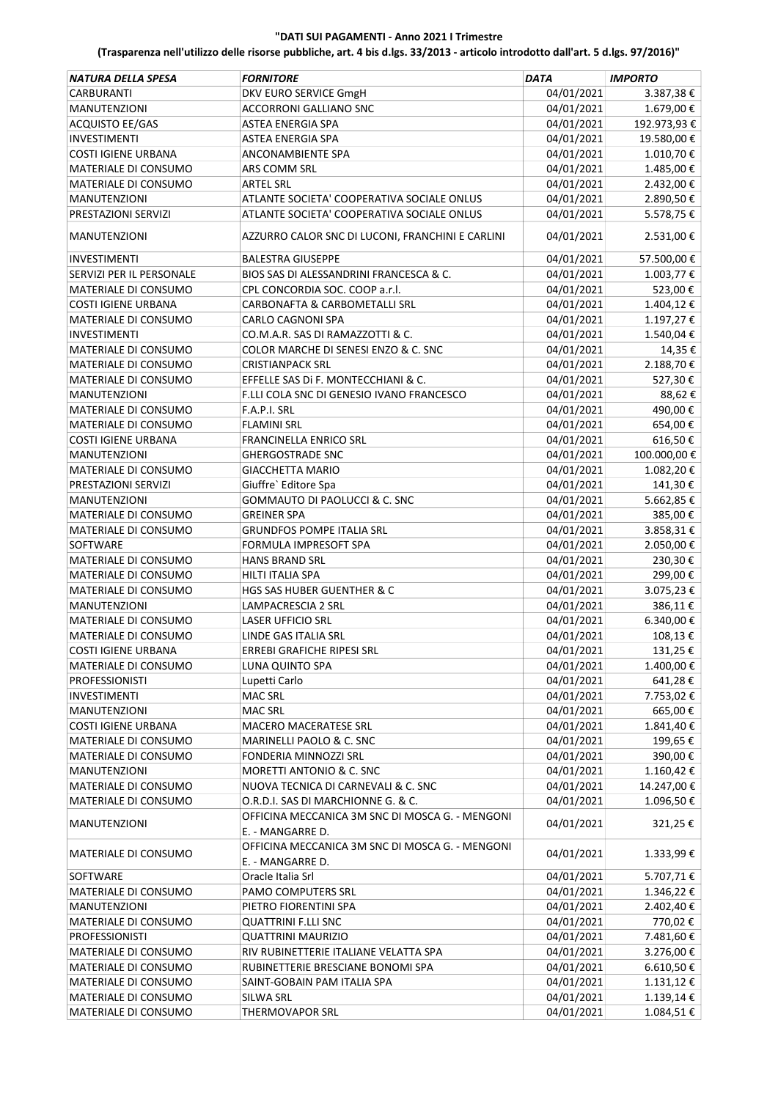| <b>NATURA DELLA SPESA</b>  | <b>FORNITORE</b>                                 | DATA       | <b>IMPORTO</b> |
|----------------------------|--------------------------------------------------|------------|----------------|
| CARBURANTI                 | DKV EURO SERVICE GmgH                            | 04/01/2021 | 3.387,38€      |
| <b>MANUTENZIONI</b>        | <b>ACCORRONI GALLIANO SNC</b>                    | 04/01/2021 | 1.679,00€      |
| ACQUISTO EE/GAS            | ASTEA ENERGIA SPA                                | 04/01/2021 | 192.973,93€    |
| <b>INVESTIMENTI</b>        | <b>ASTEA ENERGIA SPA</b>                         | 04/01/2021 | 19.580,00€     |
| <b>COSTI IGIENE URBANA</b> | ANCONAMBIENTE SPA                                | 04/01/2021 | 1.010,70€      |
| MATERIALE DI CONSUMO       | ARS COMM SRL                                     | 04/01/2021 | 1.485,00€      |
| MATERIALE DI CONSUMO       | <b>ARTEL SRL</b>                                 | 04/01/2021 | 2.432,00€      |
| <b>MANUTENZIONI</b>        | ATLANTE SOCIETA' COOPERATIVA SOCIALE ONLUS       | 04/01/2021 | 2.890,50€      |
| PRESTAZIONI SERVIZI        | ATLANTE SOCIETA' COOPERATIVA SOCIALE ONLUS       | 04/01/2021 | 5.578,75€      |
| <b>MANUTENZIONI</b>        | AZZURRO CALOR SNC DI LUCONI, FRANCHINI E CARLINI | 04/01/2021 | 2.531,00€      |
| <b>INVESTIMENTI</b>        | <b>BALESTRA GIUSEPPE</b>                         | 04/01/2021 | 57.500,00€     |
| SERVIZI PER IL PERSONALE   | BIOS SAS DI ALESSANDRINI FRANCESCA & C.          | 04/01/2021 | 1.003,77€      |
| MATERIALE DI CONSUMO       | CPL CONCORDIA SOC. COOP a.r.l.                   | 04/01/2021 | 523,00€        |
| <b>COSTI IGIENE URBANA</b> | CARBONAFTA & CARBOMETALLI SRL                    | 04/01/2021 | 1.404,12€      |
| MATERIALE DI CONSUMO       | CARLO CAGNONI SPA                                | 04/01/2021 | 1.197,27€      |
| <b>INVESTIMENTI</b>        | CO.M.A.R. SAS DI RAMAZZOTTI & C.                 | 04/01/2021 | 1.540,04€      |
| MATERIALE DI CONSUMO       | COLOR MARCHE DI SENESI ENZO & C. SNC             | 04/01/2021 | 14,35€         |
| MATERIALE DI CONSUMO       | <b>CRISTIANPACK SRL</b>                          | 04/01/2021 | 2.188,70 €     |
| MATERIALE DI CONSUMO       | EFFELLE SAS DI F. MONTECCHIANI & C.              | 04/01/2021 | 527,30€        |
| <b>MANUTENZIONI</b>        | F.LLI COLA SNC DI GENESIO IVANO FRANCESCO        | 04/01/2021 | 88,62€         |
| MATERIALE DI CONSUMO       | F.A.P.I. SRL                                     | 04/01/2021 | 490,00€        |
| MATERIALE DI CONSUMO       | FLAMINI SRL                                      | 04/01/2021 | 654,00€        |
| <b>COSTI IGIENE URBANA</b> | FRANCINELLA ENRICO SRL                           | 04/01/2021 | 616,50€        |
| <b>MANUTENZIONI</b>        | <b>GHERGOSTRADE SNC</b>                          | 04/01/2021 | 100.000,00€    |
| MATERIALE DI CONSUMO       | <b>GIACCHETTA MARIO</b>                          | 04/01/2021 | 1.082,20€      |
| PRESTAZIONI SERVIZI        | Giuffre` Editore Spa                             | 04/01/2021 | 141,30€        |
| <b>MANUTENZIONI</b>        | GOMMAUTO DI PAOLUCCI & C. SNC                    | 04/01/2021 | 5.662,85€      |
| MATERIALE DI CONSUMO       | <b>GREINER SPA</b>                               | 04/01/2021 | 385,00€        |
| MATERIALE DI CONSUMO       | <b>GRUNDFOS POMPE ITALIA SRL</b>                 | 04/01/2021 | 3.858,31€      |
| SOFTWARE                   | FORMULA IMPRESOFT SPA                            | 04/01/2021 | 2.050,00€      |
| MATERIALE DI CONSUMO       | <b>HANS BRAND SRL</b>                            | 04/01/2021 | 230,30€        |
| MATERIALE DI CONSUMO       | HILTI ITALIA SPA                                 | 04/01/2021 | 299,00€        |
| MATERIALE DI CONSUMO       | HGS SAS HUBER GUENTHER & C                       | 04/01/2021 | 3.075,23€      |
| <b>MANUTENZIONI</b>        | LAMPACRESCIA 2 SRL                               | 04/01/2021 | 386,11€        |
| MATERIALE DI CONSUMO       | <b>LASER UFFICIO SRL</b>                         | 04/01/2021 | 6.340,00€      |
| MATERIALE DI CONSUMO       | LINDE GAS ITALIA SRL                             | 04/01/2021 | 108,13€        |
| <b>COSTI IGIENE URBANA</b> | ERREBI GRAFICHE RIPESI SRL                       | 04/01/2021 | 131,25€        |
| MATERIALE DI CONSUMO       | LUNA QUINTO SPA                                  | 04/01/2021 | 1.400,00 €     |
| <b>PROFESSIONISTI</b>      | Lupetti Carlo                                    | 04/01/2021 | 641,28€        |
| <b>INVESTIMENTI</b>        | MAC SRL                                          | 04/01/2021 | 7.753,02€      |
| MANUTENZIONI               | MAC SRL                                          | 04/01/2021 | 665,00€        |
| <b>COSTI IGIENE URBANA</b> | MACERO MACERATESE SRL                            | 04/01/2021 | 1.841,40€      |
| MATERIALE DI CONSUMO       | MARINELLI PAOLO & C. SNC                         | 04/01/2021 | 199,65€        |
| MATERIALE DI CONSUMO       | FONDERIA MINNOZZI SRL                            | 04/01/2021 | 390,00€        |
| <b>MANUTENZIONI</b>        | MORETTI ANTONIO & C. SNC                         | 04/01/2021 | 1.160,42€      |
| MATERIALE DI CONSUMO       | NUOVA TECNICA DI CARNEVALI & C. SNC              | 04/01/2021 | 14.247,00€     |
| MATERIALE DI CONSUMO       | O.R.D.I. SAS DI MARCHIONNE G. & C.               | 04/01/2021 | 1.096,50€      |
|                            | OFFICINA MECCANICA 3M SNC DI MOSCA G. - MENGONI  |            |                |
| <b>MANUTENZIONI</b>        | E. - MANGARRE D.                                 | 04/01/2021 | 321,25€        |
|                            | OFFICINA MECCANICA 3M SNC DI MOSCA G. - MENGONI  |            |                |
| MATERIALE DI CONSUMO       | E. - MANGARRE D.                                 | 04/01/2021 | 1.333,99€      |
| SOFTWARE                   | Oracle Italia Srl                                | 04/01/2021 | 5.707,71€      |
| MATERIALE DI CONSUMO       | PAMO COMPUTERS SRL                               | 04/01/2021 | 1.346,22€      |
| MANUTENZIONI               | PIETRO FIORENTINI SPA                            | 04/01/2021 | 2.402,40€      |
| MATERIALE DI CONSUMO       | <b>QUATTRINI F.LLI SNC</b>                       | 04/01/2021 | 770,02€        |
| <b>PROFESSIONISTI</b>      | <b>QUATTRINI MAURIZIO</b>                        | 04/01/2021 | 7.481,60€      |
| MATERIALE DI CONSUMO       | RIV RUBINETTERIE ITALIANE VELATTA SPA            | 04/01/2021 | 3.276,00 €     |
| MATERIALE DI CONSUMO       | RUBINETTERIE BRESCIANE BONOMI SPA                | 04/01/2021 | 6.610,50€      |
| MATERIALE DI CONSUMO       | SAINT-GOBAIN PAM ITALIA SPA                      | 04/01/2021 | 1.131,12€      |
| MATERIALE DI CONSUMO       | SILWA SRL                                        | 04/01/2021 | 1.139,14€      |
| MATERIALE DI CONSUMO       | <b>THERMOVAPOR SRL</b>                           | 04/01/2021 | 1.084,51€      |
|                            |                                                  |            |                |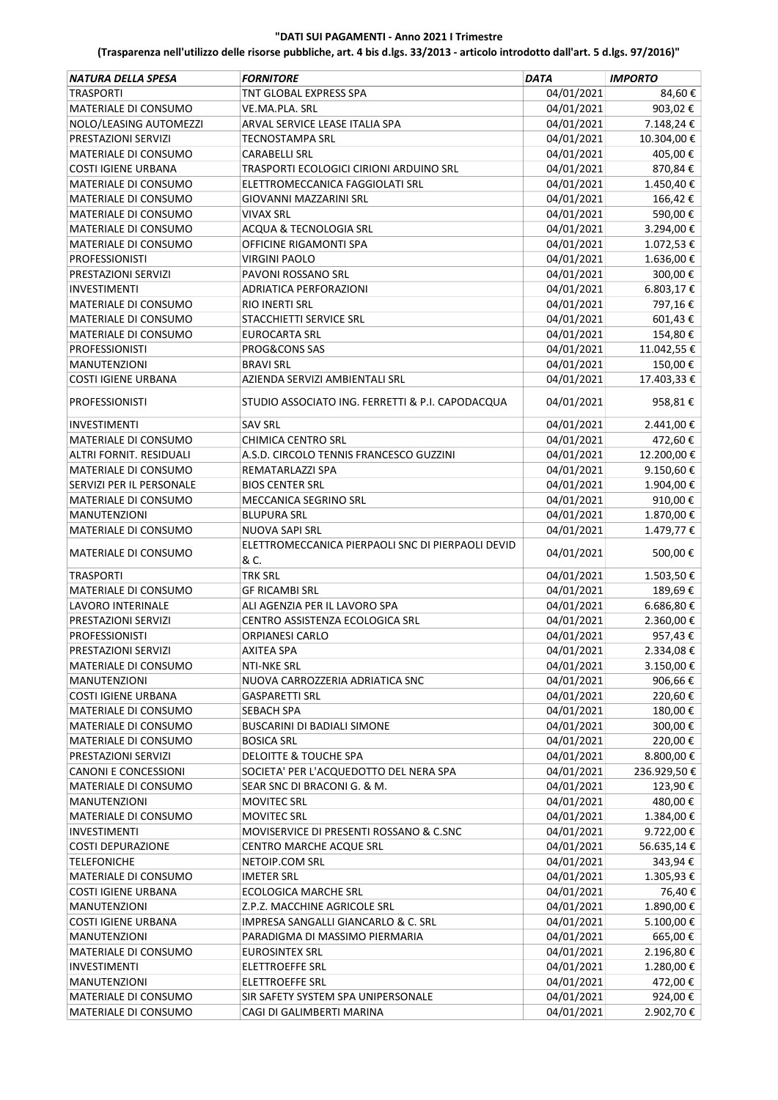| NATURA DELLA SPESA          | <b>FORNITORE</b>                                          | <b>DATA</b> | <b>IMPORTO</b> |
|-----------------------------|-----------------------------------------------------------|-------------|----------------|
| <b>TRASPORTI</b>            | TNT GLOBAL EXPRESS SPA                                    | 04/01/2021  | 84,60€         |
| MATERIALE DI CONSUMO        | VE.MA.PLA. SRL                                            | 04/01/2021  | 903,02€        |
| NOLO/LEASING AUTOMEZZI      | ARVAL SERVICE LEASE ITALIA SPA                            | 04/01/2021  | 7.148,24€      |
| PRESTAZIONI SERVIZI         | TECNOSTAMPA SRL                                           | 04/01/2021  | 10.304,00€     |
| <b>MATERIALE DI CONSUMO</b> | CARABELLI SRL                                             | 04/01/2021  | 405,00€        |
| <b>COSTI IGIENE URBANA</b>  | TRASPORTI ECOLOGICI CIRIONI ARDUINO SRL                   | 04/01/2021  | 870,84€        |
| MATERIALE DI CONSUMO        | ELETTROMECCANICA FAGGIOLATI SRL                           | 04/01/2021  | 1.450,40€      |
| MATERIALE DI CONSUMO        | <b>GIOVANNI MAZZARINI SRL</b>                             | 04/01/2021  | 166,42€        |
| <b>MATERIALE DI CONSUMO</b> | <b>VIVAX SRL</b>                                          | 04/01/2021  | 590,00€        |
| MATERIALE DI CONSUMO        | <b>ACQUA &amp; TECNOLOGIA SRL</b>                         | 04/01/2021  | 3.294,00€      |
| MATERIALE DI CONSUMO        | OFFICINE RIGAMONTI SPA                                    | 04/01/2021  | 1.072,53€      |
| <b>PROFESSIONISTI</b>       | <b>VIRGINI PAOLO</b>                                      | 04/01/2021  | 1.636,00€      |
| PRESTAZIONI SERVIZI         | PAVONI ROSSANO SRL                                        | 04/01/2021  | 300,00€        |
| <b>INVESTIMENTI</b>         | ADRIATICA PERFORAZIONI                                    | 04/01/2021  | 6.803,17€      |
| MATERIALE DI CONSUMO        | RIO INERTI SRL                                            | 04/01/2021  | 797,16€        |
| MATERIALE DI CONSUMO        | STACCHIETTI SERVICE SRL                                   | 04/01/2021  | 601,43€        |
| MATERIALE DI CONSUMO        | <b>EUROCARTA SRL</b>                                      | 04/01/2021  | 154,80€        |
| <b>PROFESSIONISTI</b>       | PROG&CONS SAS                                             | 04/01/2021  | 11.042,55€     |
| MANUTENZIONI                | <b>BRAVI SRL</b>                                          | 04/01/2021  | 150,00€        |
| <b>COSTI IGIENE URBANA</b>  | AZIENDA SERVIZI AMBIENTALI SRL                            | 04/01/2021  | 17.403,33 €    |
| <b>PROFESSIONISTI</b>       | STUDIO ASSOCIATO ING. FERRETTI & P.I. CAPODACQUA          | 04/01/2021  | 958,81€        |
| <b>INVESTIMENTI</b>         | <b>SAV SRL</b>                                            | 04/01/2021  | 2.441,00€      |
| MATERIALE DI CONSUMO        | CHIMICA CENTRO SRL                                        | 04/01/2021  | 472,60€        |
| ALTRI FORNIT. RESIDUALI     | A.S.D. CIRCOLO TENNIS FRANCESCO GUZZINI                   | 04/01/2021  | 12.200,00€     |
| MATERIALE DI CONSUMO        | REMATARLAZZI SPA                                          | 04/01/2021  | 9.150,60€      |
| SERVIZI PER IL PERSONALE    | <b>BIOS CENTER SRL</b>                                    | 04/01/2021  | 1.904,00€      |
| MATERIALE DI CONSUMO        | MECCANICA SEGRINO SRL                                     | 04/01/2021  | 910,00€        |
| <b>MANUTENZIONI</b>         | <b>BLUPURA SRL</b>                                        | 04/01/2021  | 1.870,00€      |
| MATERIALE DI CONSUMO        | NUOVA SAPI SRL                                            | 04/01/2021  | 1.479,77€      |
| MATERIALE DI CONSUMO        | ELETTROMECCANICA PIERPAOLI SNC DI PIERPAOLI DEVID<br>& C. | 04/01/2021  | 500,00€        |
| <b>TRASPORTI</b>            | <b>TRK SRL</b>                                            | 04/01/2021  | 1.503,50€      |
| <b>MATERIALE DI CONSUMO</b> | <b>GF RICAMBI SRL</b>                                     | 04/01/2021  | 189,69€        |
| <b>LAVORO INTERINALE</b>    | ALI AGENZIA PER IL LAVORO SPA                             | 04/01/2021  | 6.686,80€      |
| PRESTAZIONI SERVIZI         | CENTRO ASSISTENZA ECOLOGICA SRL                           | 04/01/2021  | 2.360,00€      |
| <b>PROFESSIONISTI</b>       | <b>ORPIANESI CARLO</b>                                    | 04/01/2021  | 957,43€        |
| PRESTAZIONI SERVIZI         | <b>AXITEA SPA</b>                                         | 04/01/2021  | 2.334,08€      |
| MATERIALE DI CONSUMO        | NTI-NKE SRL                                               | 04/01/2021  | 3.150,00 €     |
| <b>MANUTENZIONI</b>         | NUOVA CARROZZERIA ADRIATICA SNC                           | 04/01/2021  | 906,66€        |
| <b>COSTI IGIENE URBANA</b>  | <b>GASPARETTI SRL</b>                                     | 04/01/2021  | 220,60€        |
| MATERIALE DI CONSUMO        | <b>SEBACH SPA</b>                                         | 04/01/2021  | 180,00€        |
| MATERIALE DI CONSUMO        | <b>BUSCARINI DI BADIALI SIMONE</b>                        | 04/01/2021  | 300,00€        |
| MATERIALE DI CONSUMO        | <b>BOSICA SRL</b>                                         | 04/01/2021  | 220,00€        |
| PRESTAZIONI SERVIZI         | <b>DELOITTE &amp; TOUCHE SPA</b>                          | 04/01/2021  | 8.800,00 €     |
| <b>CANONI E CONCESSIONI</b> | SOCIETA' PER L'ACQUEDOTTO DEL NERA SPA                    | 04/01/2021  | 236.929,50€    |
| MATERIALE DI CONSUMO        | SEAR SNC DI BRACONI G. & M.                               | 04/01/2021  | 123,90€        |
| MANUTENZIONI                | <b>MOVITEC SRL</b>                                        | 04/01/2021  | 480,00€        |
| MATERIALE DI CONSUMO        | <b>MOVITEC SRL</b>                                        | 04/01/2021  | 1.384,00€      |
| <b>INVESTIMENTI</b>         | MOVISERVICE DI PRESENTI ROSSANO & C.SNC                   | 04/01/2021  | 9.722,00€      |
| <b>COSTI DEPURAZIONE</b>    | CENTRO MARCHE ACQUE SRL                                   | 04/01/2021  | 56.635,14€     |
| <b>TELEFONICHE</b>          | NETOIP.COM SRL                                            | 04/01/2021  | 343,94€        |
| MATERIALE DI CONSUMO        | <b>IMETER SRL</b>                                         | 04/01/2021  | 1.305,93€      |
| <b>COSTI IGIENE URBANA</b>  | <b>ECOLOGICA MARCHE SRL</b>                               | 04/01/2021  | 76,40€         |
| MANUTENZIONI                | Z.P.Z. MACCHINE AGRICOLE SRL                              | 04/01/2021  | 1.890,00€      |
| <b>COSTI IGIENE URBANA</b>  | IMPRESA SANGALLI GIANCARLO & C. SRL                       | 04/01/2021  | 5.100,00€      |
| <b>MANUTENZIONI</b>         | PARADIGMA DI MASSIMO PIERMARIA                            | 04/01/2021  | 665,00€        |
| MATERIALE DI CONSUMO        | <b>EUROSINTEX SRL</b>                                     | 04/01/2021  | 2.196,80€      |
| INVESTIMENTI                | ELETTROEFFE SRL                                           | 04/01/2021  | 1.280,00€      |
| <b>MANUTENZIONI</b>         | ELETTROEFFE SRL                                           | 04/01/2021  | 472,00 €       |
| MATERIALE DI CONSUMO        | SIR SAFETY SYSTEM SPA UNIPERSONALE                        | 04/01/2021  | 924,00€        |
| MATERIALE DI CONSUMO        | CAGI DI GALIMBERTI MARINA                                 | 04/01/2021  | 2.902,70€      |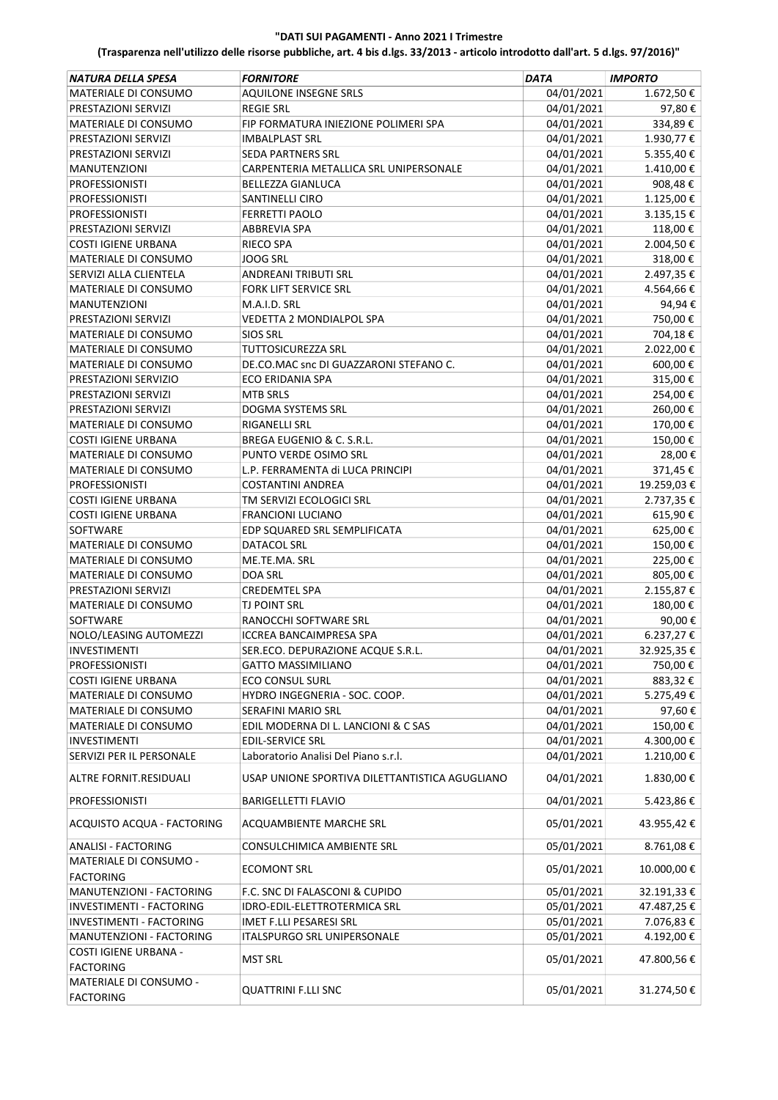| NATURA DELLA SPESA                         | <b>FORNITORE</b>                               | <b>DATA</b> | <b>IMPORTO</b> |
|--------------------------------------------|------------------------------------------------|-------------|----------------|
| MATERIALE DI CONSUMO                       | <b>AQUILONE INSEGNE SRLS</b>                   | 04/01/2021  | 1.672,50€      |
| PRESTAZIONI SERVIZI                        | <b>REGIE SRL</b>                               | 04/01/2021  | 97,80€         |
| MATERIALE DI CONSUMO                       | FIP FORMATURA INIEZIONE POLIMERI SPA           | 04/01/2021  | 334,89€        |
| PRESTAZIONI SERVIZI                        | <b>IMBALPLAST SRL</b>                          | 04/01/2021  | 1.930,77€      |
| PRESTAZIONI SERVIZI                        | <b>SEDA PARTNERS SRL</b>                       | 04/01/2021  | 5.355,40€      |
| <b>MANUTENZIONI</b>                        | CARPENTERIA METALLICA SRL UNIPERSONALE         | 04/01/2021  | 1.410,00€      |
| <b>PROFESSIONISTI</b>                      | <b>BELLEZZA GIANLUCA</b>                       | 04/01/2021  | 908,48€        |
| <b>PROFESSIONISTI</b>                      | SANTINELLI CIRO                                | 04/01/2021  | 1.125,00€      |
| <b>PROFESSIONISTI</b>                      | <b>FERRETTI PAOLO</b>                          | 04/01/2021  | 3.135,15€      |
| PRESTAZIONI SERVIZI                        | <b>ABBREVIA SPA</b>                            | 04/01/2021  | 118,00€        |
| <b>COSTI IGIENE URBANA</b>                 | RIECO SPA                                      | 04/01/2021  | 2.004,50€      |
| MATERIALE DI CONSUMO                       | <b>JOOG SRL</b>                                | 04/01/2021  | 318,00€        |
| SERVIZI ALLA CLIENTELA                     | <b>ANDREANI TRIBUTI SRL</b>                    | 04/01/2021  | 2.497,35€      |
| MATERIALE DI CONSUMO                       | FORK LIFT SERVICE SRL                          | 04/01/2021  | 4.564,66€      |
| <b>MANUTENZIONI</b>                        | M.A.I.D. SRL                                   | 04/01/2021  | 94,94€         |
| PRESTAZIONI SERVIZI                        | VEDETTA 2 MONDIALPOL SPA                       | 04/01/2021  | 750,00€        |
| <b>MATERIALE DI CONSUMO</b>                | <b>SIOS SRL</b>                                | 04/01/2021  | 704,18€        |
| MATERIALE DI CONSUMO                       | <b>TUTTOSICUREZZA SRL</b>                      | 04/01/2021  | 2.022,00€      |
| <b>MATERIALE DI CONSUMO</b>                | DE.CO.MAC snc DI GUAZZARONI STEFANO C.         | 04/01/2021  | 600,00€        |
| PRESTAZIONI SERVIZIO                       | ECO ERIDANIA SPA                               | 04/01/2021  | 315,00€        |
|                                            |                                                | 04/01/2021  | 254,00€        |
| PRESTAZIONI SERVIZI                        | <b>MTB SRLS</b>                                |             | 260,00€        |
| PRESTAZIONI SERVIZI                        | DOGMA SYSTEMS SRL                              | 04/01/2021  |                |
| MATERIALE DI CONSUMO                       | RIGANELLI SRL                                  | 04/01/2021  | 170,00€        |
| <b>COSTI IGIENE URBANA</b>                 | BREGA EUGENIO & C. S.R.L.                      | 04/01/2021  | 150,00€        |
| MATERIALE DI CONSUMO                       | PUNTO VERDE OSIMO SRL                          | 04/01/2021  | 28,00€         |
| MATERIALE DI CONSUMO                       | L.P. FERRAMENTA di LUCA PRINCIPI               | 04/01/2021  | 371,45€        |
| <b>PROFESSIONISTI</b>                      | COSTANTINI ANDREA                              | 04/01/2021  | 19.259,03€     |
| <b>COSTI IGIENE URBANA</b>                 | TM SERVIZI ECOLOGICI SRL                       | 04/01/2021  | 2.737,35€      |
| <b>COSTI IGIENE URBANA</b>                 | <b>FRANCIONI LUCIANO</b>                       | 04/01/2021  | 615,90€        |
| SOFTWARE                                   | EDP SQUARED SRL SEMPLIFICATA                   | 04/01/2021  | 625,00€        |
| MATERIALE DI CONSUMO                       | <b>DATACOL SRL</b>                             | 04/01/2021  | 150,00€        |
| MATERIALE DI CONSUMO                       | ME.TE.MA. SRL                                  | 04/01/2021  | 225,00€        |
| MATERIALE DI CONSUMO                       | DOA SRL                                        | 04/01/2021  | 805,00€        |
| PRESTAZIONI SERVIZI                        | <b>CREDEMTEL SPA</b>                           | 04/01/2021  | 2.155,87€      |
| MATERIALE DI CONSUMO                       | <b>TJ POINT SRL</b>                            | 04/01/2021  | 180,00€        |
| <b>SOFTWARE</b>                            | RANOCCHI SOFTWARE SRL                          | 04/01/2021  | 90,00€         |
| NOLO/LEASING AUTOMEZZI                     | <b>ICCREA BANCAIMPRESA SPA</b>                 | 04/01/2021  | 6.237,27€      |
| <b>INVESTIMENTI</b>                        | SER.ECO. DEPURAZIONE ACQUE S.R.L.              | 04/01/2021  | 32.925,35€     |
| <b>PROFESSIONISTI</b>                      | <b>GATTO MASSIMILIANO</b>                      | 04/01/2021  | 750,00€        |
| <b>COSTI IGIENE URBANA</b>                 | <b>ECO CONSUL SURL</b>                         | 04/01/2021  | 883,32€        |
| MATERIALE DI CONSUMO                       | HYDRO INGEGNERIA - SOC. COOP.                  | 04/01/2021  | 5.275,49€      |
| MATERIALE DI CONSUMO                       | SERAFINI MARIO SRL                             | 04/01/2021  | 97,60€         |
| <b>MATERIALE DI CONSUMO</b>                | EDIL MODERNA DI L. LANCIONI & C SAS            | 04/01/2021  | 150,00€        |
| INVESTIMENTI                               | <b>EDIL-SERVICE SRL</b>                        | 04/01/2021  | 4.300,00€      |
| SERVIZI PER IL PERSONALE                   | Laboratorio Analisi Del Piano s.r.l.           | 04/01/2021  | 1.210,00€      |
| ALTRE FORNIT.RESIDUALI                     | USAP UNIONE SPORTIVA DILETTANTISTICA AGUGLIANO | 04/01/2021  | 1.830,00€      |
| <b>PROFESSIONISTI</b>                      | <b>BARIGELLETTI FLAVIO</b>                     | 04/01/2021  | 5.423,86€      |
| ACQUISTO ACQUA - FACTORING                 | ACQUAMBIENTE MARCHE SRL                        | 05/01/2021  | 43.955,42€     |
| <b>ANALISI - FACTORING</b>                 | CONSULCHIMICA AMBIENTE SRL                     | 05/01/2021  | 8.761,08€      |
| MATERIALE DI CONSUMO -                     |                                                |             |                |
| <b>FACTORING</b>                           | <b>ECOMONT SRL</b>                             | 05/01/2021  | 10.000,00€     |
| MANUTENZIONI - FACTORING                   | F.C. SNC DI FALASCONI & CUPIDO                 | 05/01/2021  | 32.191,33€     |
| INVESTIMENTI - FACTORING                   | IDRO-EDIL-ELETTROTERMICA SRL                   | 05/01/2021  | 47.487,25€     |
| INVESTIMENTI - FACTORING                   | IMET F.LLI PESARESI SRL                        | 05/01/2021  | 7.076,83€      |
| MANUTENZIONI - FACTORING                   | <b>ITALSPURGO SRL UNIPERSONALE</b>             | 05/01/2021  | 4.192,00€      |
| COSTI IGIENE URBANA -<br><b>FACTORING</b>  | <b>MST SRL</b>                                 | 05/01/2021  | 47.800,56€     |
| MATERIALE DI CONSUMO -<br><b>FACTORING</b> | <b>QUATTRINI F.LLI SNC</b>                     | 05/01/2021  | 31.274,50€     |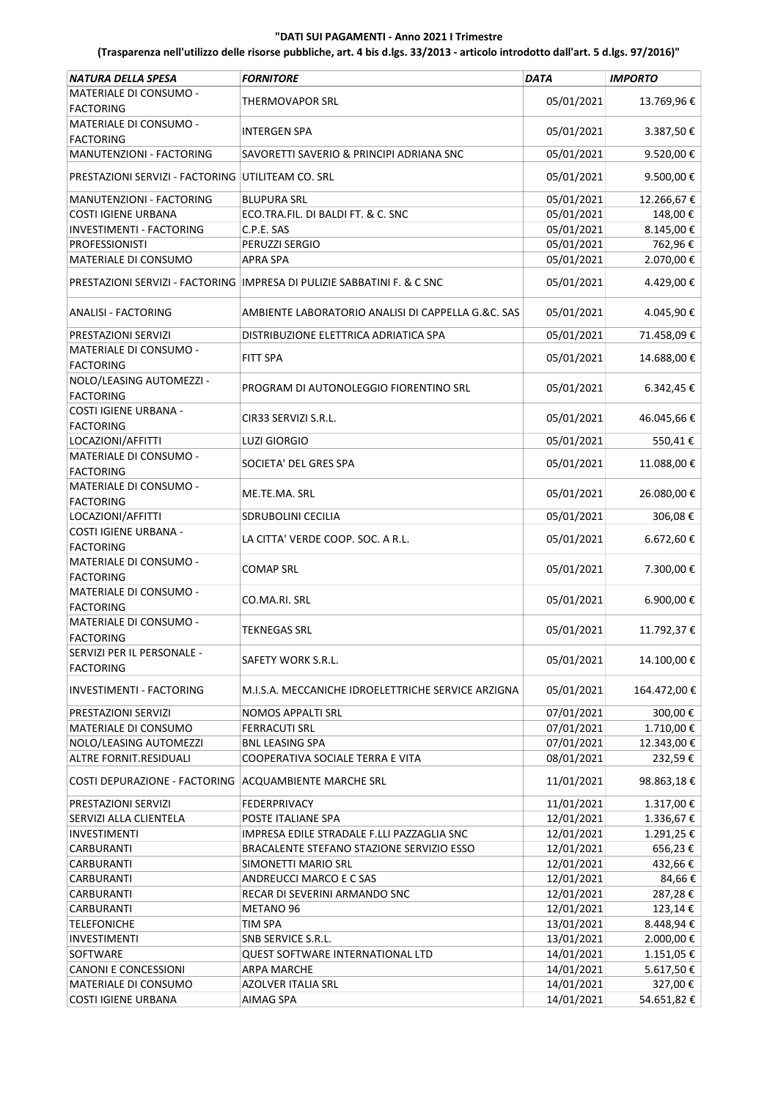| NATURA DELLA SPESA                                | <b>FORNITORE</b>                                                          | <b>DATA</b> | <b>IMPORTO</b> |
|---------------------------------------------------|---------------------------------------------------------------------------|-------------|----------------|
| MATERIALE DI CONSUMO -                            |                                                                           |             |                |
| <b>FACTORING</b>                                  | THERMOVAPOR SRL                                                           | 05/01/2021  | 13.769,96€     |
| MATERIALE DI CONSUMO -                            |                                                                           |             |                |
| <b>FACTORING</b>                                  | INTERGEN SPA                                                              | 05/01/2021  | 3.387,50€      |
| MANUTENZIONI - FACTORING                          | SAVORETTI SAVERIO & PRINCIPI ADRIANA SNC                                  | 05/01/2021  | 9.520,00€      |
| PRESTAZIONI SERVIZI - FACTORING UTILITEAM CO. SRL |                                                                           | 05/01/2021  | 9.500,00€      |
| MANUTENZIONI - FACTORING                          | <b>BLUPURA SRL</b>                                                        | 05/01/2021  | 12.266,67€     |
| <b>COSTI IGIENE URBANA</b>                        | ECO.TRA.FIL. DI BALDI FT. & C. SNC                                        | 05/01/2021  | 148,00€        |
| <b>INVESTIMENTI - FACTORING</b>                   | C.P.E. SAS                                                                | 05/01/2021  | 8.145,00€      |
| <b>PROFESSIONISTI</b>                             | PERUZZI SERGIO                                                            | 05/01/2021  | 762,96€        |
| MATERIALE DI CONSUMO                              | APRA SPA                                                                  | 05/01/2021  | 2.070,00€      |
|                                                   |                                                                           |             |                |
|                                                   | PRESTAZIONI SERVIZI - FACTORING   IMPRESA DI PULIZIE SABBATINI F. & C SNC | 05/01/2021  | 4.429,00€      |
| <b>ANALISI - FACTORING</b>                        | AMBIENTE LABORATORIO ANALISI DI CAPPELLA G.&C. SAS                        | 05/01/2021  | 4.045,90€      |
| PRESTAZIONI SERVIZI                               | DISTRIBUZIONE ELETTRICA ADRIATICA SPA                                     | 05/01/2021  | 71.458,09€     |
| MATERIALE DI CONSUMO -<br><b>FACTORING</b>        | FITT SPA                                                                  | 05/01/2021  | 14.688,00€     |
| NOLO/LEASING AUTOMEZZI -                          | PROGRAM DI AUTONOLEGGIO FIORENTINO SRL                                    | 05/01/2021  | 6.342,45€      |
| <b>FACTORING</b>                                  |                                                                           |             |                |
| COSTI IGIENE URBANA -<br><b>FACTORING</b>         | CIR33 SERVIZI S.R.L.                                                      | 05/01/2021  | 46.045,66€     |
| LOCAZIONI/AFFITTI                                 | <b>LUZI GIORGIO</b>                                                       | 05/01/2021  | 550,41€        |
| MATERIALE DI CONSUMO -                            | SOCIETA' DEL GRES SPA                                                     | 05/01/2021  | 11.088,00€     |
| <b>FACTORING</b>                                  |                                                                           |             |                |
| MATERIALE DI CONSUMO -                            | ME.TE.MA. SRL                                                             | 05/01/2021  | 26.080,00€     |
| <b>FACTORING</b>                                  |                                                                           |             |                |
| LOCAZIONI/AFFITTI                                 | SDRUBOLINI CECILIA                                                        | 05/01/2021  | 306,08€        |
| COSTI IGIENE URBANA -                             | LA CITTA' VERDE COOP. SOC. A R.L.                                         | 05/01/2021  | 6.672,60€      |
| <b>FACTORING</b>                                  |                                                                           |             |                |
| MATERIALE DI CONSUMO -<br><b>FACTORING</b>        | <b>COMAP SRL</b>                                                          | 05/01/2021  | 7.300,00€      |
| MATERIALE DI CONSUMO -                            |                                                                           |             |                |
| <b>FACTORING</b>                                  | CO.MA.RI. SRL                                                             | 05/01/2021  | 6.900,00€      |
| MATERIALE DI CONSUMO -                            |                                                                           |             |                |
| <b>FACTORING</b>                                  | TEKNEGAS SRL                                                              | 05/01/2021  | 11.792,37€     |
| SERVIZI PER IL PERSONALE -                        |                                                                           |             |                |
| <b>FACTORING</b>                                  | SAFETY WORK S.R.L.                                                        | 05/01/2021  | 14.100,00€     |
| INVESTIMENTI - FACTORING                          | M.I.S.A. MECCANICHE IDROELETTRICHE SERVICE ARZIGNA                        | 05/01/2021  | 164.472,00€    |
| PRESTAZIONI SERVIZI                               | NOMOS APPALTI SRL                                                         | 07/01/2021  | 300,00€        |
| MATERIALE DI CONSUMO                              | <b>FERRACUTI SRL</b>                                                      | 07/01/2021  | 1.710,00€      |
| NOLO/LEASING AUTOMEZZI                            | <b>BNL LEASING SPA</b>                                                    | 07/01/2021  | 12.343,00€     |
| ALTRE FORNIT.RESIDUALI                            | COOPERATIVA SOCIALE TERRA E VITA                                          | 08/01/2021  | 232,59€        |
| COSTI DEPURAZIONE - FACTORING                     | <b>ACQUAMBIENTE MARCHE SRL</b>                                            | 11/01/2021  | 98.863,18€     |
| PRESTAZIONI SERVIZI                               | FEDERPRIVACY                                                              | 11/01/2021  | 1.317,00€      |
| SERVIZI ALLA CLIENTELA                            | POSTE ITALIANE SPA                                                        | 12/01/2021  | 1.336,67€      |
| INVESTIMENTI                                      | IMPRESA EDILE STRADALE F.LLI PAZZAGLIA SNC                                | 12/01/2021  | 1.291,25€      |
| CARBURANTI                                        | BRACALENTE STEFANO STAZIONE SERVIZIO ESSO                                 | 12/01/2021  | 656,23€        |
| CARBURANTI                                        | SIMONETTI MARIO SRL                                                       | 12/01/2021  | 432,66€        |
| CARBURANTI                                        | ANDREUCCI MARCO E C SAS                                                   | 12/01/2021  | 84,66€         |
| CARBURANTI                                        | RECAR DI SEVERINI ARMANDO SNC                                             | 12/01/2021  | 287,28€        |
| CARBURANTI                                        | METANO 96                                                                 | 12/01/2021  | 123,14€        |
| <b>TELEFONICHE</b>                                | TIM SPA                                                                   | 13/01/2021  | 8.448,94€      |
| INVESTIMENTI                                      | SNB SERVICE S.R.L.                                                        | 13/01/2021  | 2.000,00€      |
| SOFTWARE                                          | QUEST SOFTWARE INTERNATIONAL LTD                                          | 14/01/2021  | 1.151,05€      |
| <b>CANONI E CONCESSIONI</b>                       | ARPA MARCHE                                                               | 14/01/2021  | 5.617,50€      |
| MATERIALE DI CONSUMO                              | AZOLVER ITALIA SRL                                                        | 14/01/2021  | 327,00€        |
| COSTI IGIENE URBANA                               | AIMAG SPA                                                                 | 14/01/2021  | 54.651,82€     |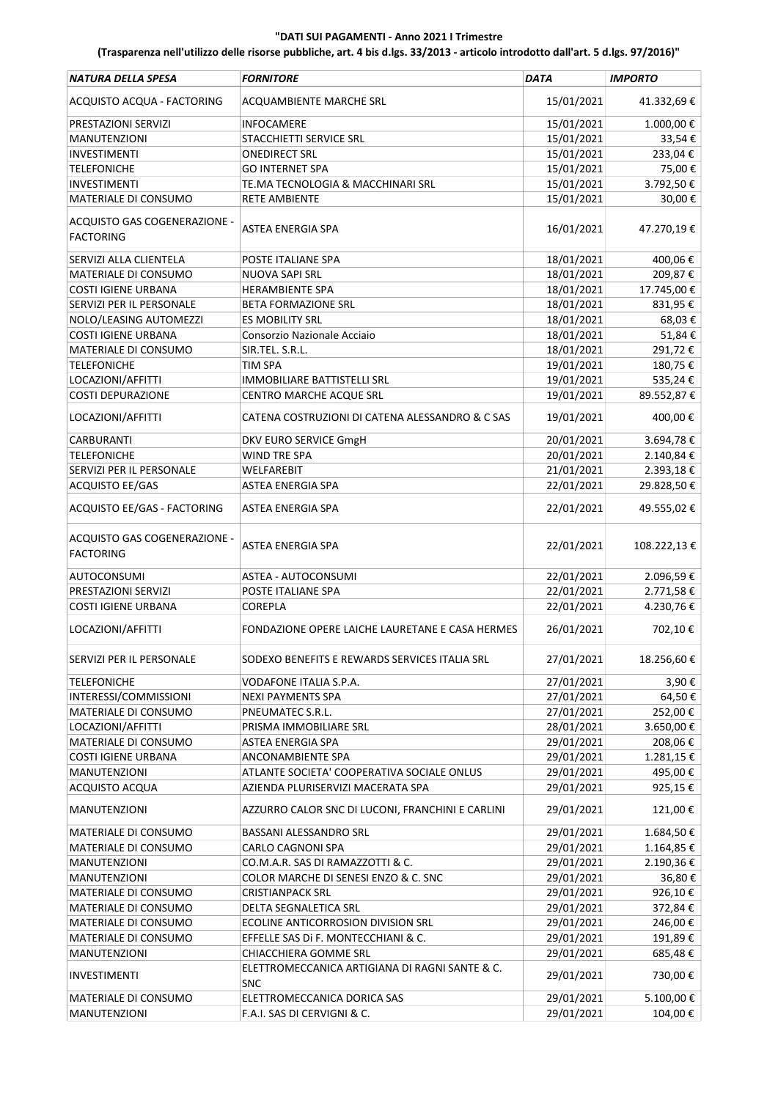| NATURA DELLA SPESA                               | <b>FORNITORE</b>                                             | DATA       | <b>IMPORTO</b> |
|--------------------------------------------------|--------------------------------------------------------------|------------|----------------|
| ACQUISTO ACQUA - FACTORING                       | ACQUAMBIENTE MARCHE SRL                                      | 15/01/2021 | 41.332,69€     |
| PRESTAZIONI SERVIZI                              | <b>INFOCAMERE</b>                                            | 15/01/2021 | 1.000,00€      |
| <b>MANUTENZIONI</b>                              | STACCHIETTI SERVICE SRL                                      | 15/01/2021 | 33,54€         |
| <b>INVESTIMENTI</b>                              | ONEDIRECT SRL                                                | 15/01/2021 | 233,04€        |
| <b>TELEFONICHE</b>                               | <b>GO INTERNET SPA</b>                                       | 15/01/2021 | 75,00€         |
| <b>INVESTIMENTI</b>                              | TE.MA TECNOLOGIA & MACCHINARI SRL                            | 15/01/2021 | 3.792,50€      |
| MATERIALE DI CONSUMO                             | <b>RETE AMBIENTE</b>                                         | 15/01/2021 | 30,00€         |
|                                                  |                                                              |            |                |
| ACQUISTO GAS COGENERAZIONE -<br><b>FACTORING</b> | ASTEA ENERGIA SPA                                            | 16/01/2021 | 47.270,19€     |
| SERVIZI ALLA CLIENTELA                           | POSTE ITALIANE SPA                                           | 18/01/2021 | 400,06€        |
| MATERIALE DI CONSUMO                             | NUOVA SAPI SRL                                               | 18/01/2021 | 209,87€        |
| <b>COSTI IGIENE URBANA</b>                       | <b>HERAMBIENTE SPA</b>                                       | 18/01/2021 | 17.745,00€     |
| SERVIZI PER IL PERSONALE                         | BETA FORMAZIONE SRL                                          | 18/01/2021 | 831,95€        |
| NOLO/LEASING AUTOMEZZI                           | ES MOBILITY SRL                                              | 18/01/2021 | 68,03€         |
| <b>COSTI IGIENE URBANA</b>                       | Consorzio Nazionale Acciaio                                  | 18/01/2021 | 51,84€         |
| MATERIALE DI CONSUMO                             | SIR.TEL. S.R.L.                                              | 18/01/2021 | 291,72€        |
| <b>TELEFONICHE</b>                               | TIM SPA                                                      | 19/01/2021 | 180,75€        |
| LOCAZIONI/AFFITTI                                | <b>IMMOBILIARE BATTISTELLI SRL</b>                           | 19/01/2021 | 535,24€        |
| <b>COSTI DEPURAZIONE</b>                         | <b>CENTRO MARCHE ACQUE SRL</b>                               | 19/01/2021 | 89.552,87€     |
| LOCAZIONI/AFFITTI                                | CATENA COSTRUZIONI DI CATENA ALESSANDRO & C SAS              | 19/01/2021 | 400,00€        |
| <b>CARBURANTI</b>                                |                                                              |            |                |
|                                                  | DKV EURO SERVICE GmgH                                        | 20/01/2021 | 3.694,78€      |
| <b>TELEFONICHE</b>                               | WIND TRE SPA                                                 | 20/01/2021 | 2.140,84€      |
| SERVIZI PER IL PERSONALE                         | WELFAREBIT                                                   | 21/01/2021 | 2.393,18€      |
| ACQUISTO EE/GAS                                  | ASTEA ENERGIA SPA                                            | 22/01/2021 | 29.828,50€     |
| ACQUISTO EE/GAS - FACTORING                      | ASTEA ENERGIA SPA                                            | 22/01/2021 | 49.555,02€     |
| ACQUISTO GAS COGENERAZIONE -<br><b>FACTORING</b> | ASTEA ENERGIA SPA                                            | 22/01/2021 | 108.222,13€    |
| AUTOCONSUMI                                      | ASTEA - AUTOCONSUMI                                          | 22/01/2021 | 2.096,59€      |
| PRESTAZIONI SERVIZI                              | POSTE ITALIANE SPA                                           | 22/01/2021 | 2.771,58€      |
| <b>COSTI IGIENE URBANA</b>                       | COREPLA                                                      | 22/01/2021 | 4.230,76€      |
| LOCAZIONI/AFFITTI                                | FONDAZIONE OPERE LAICHE LAURETANE E CASA HERMES              | 26/01/2021 | 702,10€        |
| SERVIZI PER IL PERSONALE                         | SODEXO BENEFITS E REWARDS SERVICES ITALIA SRL                | 27/01/2021 | 18.256,60€     |
| <b>TELEFONICHE</b>                               | VODAFONE ITALIA S.P.A.                                       | 27/01/2021 | 3,90€          |
| INTERESSI/COMMISSIONI                            | <b>NEXI PAYMENTS SPA</b>                                     | 27/01/2021 | 64,50€         |
| MATERIALE DI CONSUMO                             | PNEUMATEC S.R.L.                                             | 27/01/2021 | 252,00€        |
| LOCAZIONI/AFFITTI                                | PRISMA IMMOBILIARE SRL                                       | 28/01/2021 | 3.650,00€      |
| MATERIALE DI CONSUMO                             | <b>ASTEA ENERGIA SPA</b>                                     | 29/01/2021 | 208,06€        |
| <b>COSTI IGIENE URBANA</b>                       | ANCONAMBIENTE SPA                                            | 29/01/2021 | 1.281,15€      |
| MANUTENZIONI                                     | ATLANTE SOCIETA' COOPERATIVA SOCIALE ONLUS                   | 29/01/2021 | 495,00€        |
| <b>ACQUISTO ACQUA</b>                            | AZIENDA PLURISERVIZI MACERATA SPA                            | 29/01/2021 | 925,15€        |
| <b>MANUTENZIONI</b>                              | AZZURRO CALOR SNC DI LUCONI, FRANCHINI E CARLINI             | 29/01/2021 | 121,00€        |
| MATERIALE DI CONSUMO                             | BASSANI ALESSANDRO SRL                                       | 29/01/2021 | 1.684,50€      |
| MATERIALE DI CONSUMO                             | CARLO CAGNONI SPA                                            | 29/01/2021 | 1.164,85€      |
| <b>MANUTENZIONI</b>                              | CO.M.A.R. SAS DI RAMAZZOTTI & C.                             | 29/01/2021 | 2.190,36€      |
| MANUTENZIONI                                     | COLOR MARCHE DI SENESI ENZO & C. SNC                         | 29/01/2021 | 36,80€         |
| MATERIALE DI CONSUMO                             | <b>CRISTIANPACK SRL</b>                                      | 29/01/2021 | 926,10€        |
| MATERIALE DI CONSUMO                             | DELTA SEGNALETICA SRL                                        | 29/01/2021 | 372,84€        |
| MATERIALE DI CONSUMO                             | ECOLINE ANTICORROSION DIVISION SRL                           | 29/01/2021 | 246,00€        |
| MATERIALE DI CONSUMO                             | EFFELLE SAS DI F. MONTECCHIANI & C.                          | 29/01/2021 | 191,89€        |
| MANUTENZIONI                                     | CHIACCHIERA GOMME SRL                                        | 29/01/2021 | 685,48€        |
| <b>INVESTIMENTI</b>                              | ELETTROMECCANICA ARTIGIANA DI RAGNI SANTE & C.<br><b>SNC</b> | 29/01/2021 | 730,00€        |
| MATERIALE DI CONSUMO                             | ELETTROMECCANICA DORICA SAS                                  | 29/01/2021 | 5.100,00€      |
| <b>MANUTENZIONI</b>                              | F.A.I. SAS DI CERVIGNI & C.                                  | 29/01/2021 | 104,00€        |
|                                                  |                                                              |            |                |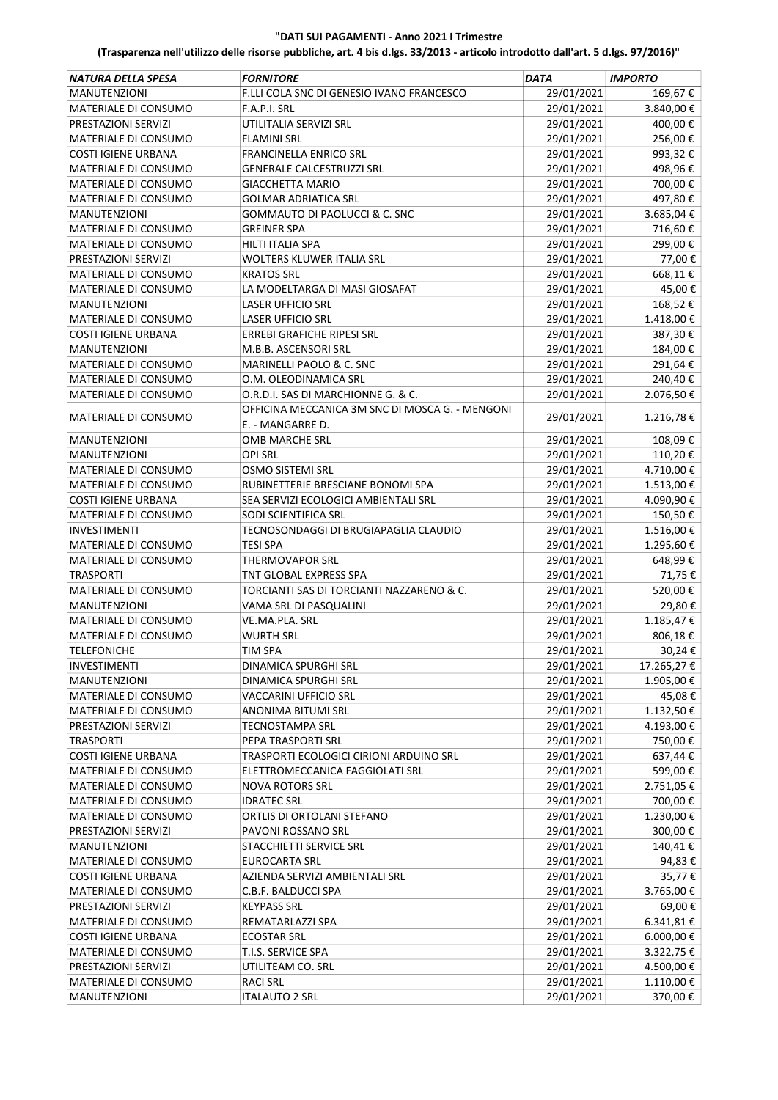| <b>NATURA DELLA SPESA</b>                   | <b>FORNITORE</b>                                 | <b>DATA</b> | <b>IMPORTO</b> |
|---------------------------------------------|--------------------------------------------------|-------------|----------------|
| <b>MANUTENZIONI</b>                         | F.LLI COLA SNC DI GENESIO IVANO FRANCESCO        | 29/01/2021  | 169,67€        |
| MATERIALE DI CONSUMO                        | F.A.P.I. SRL                                     | 29/01/2021  | 3.840,00€      |
| PRESTAZIONI SERVIZI                         | UTILITALIA SERVIZI SRL                           | 29/01/2021  | 400,00€        |
| MATERIALE DI CONSUMO                        | FLAMINI SRL                                      | 29/01/2021  | 256,00€        |
| <b>COSTI IGIENE URBANA</b>                  | FRANCINELLA ENRICO SRL                           | 29/01/2021  | 993,32€        |
| MATERIALE DI CONSUMO                        | <b>GENERALE CALCESTRUZZI SRL</b>                 | 29/01/2021  | 498,96€        |
| MATERIALE DI CONSUMO                        | GIACCHETTA MARIO                                 | 29/01/2021  | 700,00€        |
| MATERIALE DI CONSUMO                        | <b>GOLMAR ADRIATICA SRL</b>                      | 29/01/2021  | 497,80€        |
| <b>MANUTENZIONI</b>                         | GOMMAUTO DI PAOLUCCI & C. SNC                    | 29/01/2021  | 3.685,04€      |
| MATERIALE DI CONSUMO                        | GREINER SPA                                      | 29/01/2021  | 716,60€        |
| MATERIALE DI CONSUMO                        | HILTI ITALIA SPA                                 | 29/01/2021  | 299,00€        |
| PRESTAZIONI SERVIZI                         | WOLTERS KLUWER ITALIA SRL                        | 29/01/2021  | 77,00€         |
| MATERIALE DI CONSUMO                        | <b>KRATOS SRL</b>                                | 29/01/2021  | 668,11€        |
| MATERIALE DI CONSUMO                        | LA MODELTARGA DI MASI GIOSAFAT                   | 29/01/2021  | 45,00€         |
| <b>MANUTENZIONI</b>                         | LASER UFFICIO SRL                                | 29/01/2021  | 168,52€        |
| MATERIALE DI CONSUMO                        | LASER UFFICIO SRL                                | 29/01/2021  | 1.418,00€      |
| <b>COSTI IGIENE URBANA</b>                  | ERREBI GRAFICHE RIPESI SRL                       | 29/01/2021  | 387,30€        |
| MANUTENZIONI                                | M.B.B. ASCENSORI SRL                             | 29/01/2021  | 184,00€        |
| MATERIALE DI CONSUMO                        | MARINELLI PAOLO & C. SNC                         | 29/01/2021  | 291,64€        |
| MATERIALE DI CONSUMO                        | O.M. OLEODINAMICA SRL                            | 29/01/2021  | 240,40€        |
| MATERIALE DI CONSUMO                        | O.R.D.I. SAS DI MARCHIONNE G. & C.               | 29/01/2021  | 2.076,50€      |
|                                             | OFFICINA MECCANICA 3M SNC DI MOSCA G. - MENGONI  |             |                |
| MATERIALE DI CONSUMO                        | E. - MANGARRE D.                                 | 29/01/2021  | 1.216,78€      |
| <b>MANUTENZIONI</b>                         | OMB MARCHE SRL                                   | 29/01/2021  | 108,09€        |
| <b>MANUTENZIONI</b>                         | OPI SRL                                          | 29/01/2021  | 110,20€        |
| MATERIALE DI CONSUMO                        | OSMO SISTEMI SRL                                 | 29/01/2021  | 4.710,00€      |
| MATERIALE DI CONSUMO                        | RUBINETTERIE BRESCIANE BONOMI SPA                | 29/01/2021  | 1.513,00€      |
| <b>COSTI IGIENE URBANA</b>                  | SEA SERVIZI ECOLOGICI AMBIENTALI SRL             | 29/01/2021  | 4.090,90€      |
| MATERIALE DI CONSUMO                        | SODI SCIENTIFICA SRL                             | 29/01/2021  | 150,50€        |
| <b>INVESTIMENTI</b>                         | TECNOSONDAGGI DI BRUGIAPAGLIA CLAUDIO            | 29/01/2021  | 1.516,00€      |
| MATERIALE DI CONSUMO                        | TESI SPA                                         | 29/01/2021  | 1.295,60€      |
| MATERIALE DI CONSUMO                        | <b>THERMOVAPOR SRL</b>                           | 29/01/2021  | 648,99€        |
| <b>TRASPORTI</b>                            | TNT GLOBAL EXPRESS SPA                           | 29/01/2021  | 71,75€         |
| MATERIALE DI CONSUMO                        | TORCIANTI SAS DI TORCIANTI NAZZARENO & C.        | 29/01/2021  | 520,00€        |
| <b>MANUTENZIONI</b>                         | VAMA SRL DI PASQUALINI                           | 29/01/2021  | 29,80€         |
| MATERIALE DI CONSUMO                        | VE.MA.PLA. SRL                                   | 29/01/2021  | 1.185,47€      |
| MATERIALE DI CONSUMO                        | <b>WURTH SRL</b>                                 | 29/01/2021  | 806,18€        |
| <b>TELEFONICHE</b>                          | <b>TIM SPA</b>                                   | 29/01/2021  | 30,24€         |
| INVESTIMENTI                                | DINAMICA SPURGHI SRL                             | 29/01/2021  | 17.265,27 €    |
| <b>MANUTENZIONI</b>                         | DINAMICA SPURGHI SRL                             | 29/01/2021  | 1.905,00€      |
| MATERIALE DI CONSUMO                        | VACCARINI UFFICIO SRL                            | 29/01/2021  | 45,08€         |
| MATERIALE DI CONSUMO                        | ANONIMA BITUMI SRL                               | 29/01/2021  | 1.132,50€      |
| PRESTAZIONI SERVIZI                         | <b>TECNOSTAMPA SRL</b>                           | 29/01/2021  | 4.193,00€      |
| <b>TRASPORTI</b>                            | PEPA TRASPORTI SRL                               | 29/01/2021  | 750,00€        |
| <b>COSTI IGIENE URBANA</b>                  | TRASPORTI ECOLOGICI CIRIONI ARDUINO SRL          | 29/01/2021  | 637,44€        |
| MATERIALE DI CONSUMO                        | ELETTROMECCANICA FAGGIOLATI SRL                  | 29/01/2021  | 599,00€        |
| MATERIALE DI CONSUMO                        | <b>NOVA ROTORS SRL</b>                           | 29/01/2021  | 2.751,05€      |
| MATERIALE DI CONSUMO                        | <b>IDRATEC SRL</b>                               | 29/01/2021  | 700,00€        |
|                                             |                                                  | 29/01/2021  | 1.230,00€      |
| MATERIALE DI CONSUMO<br>PRESTAZIONI SERVIZI | ORTLIS DI ORTOLANI STEFANO<br>PAVONI ROSSANO SRL | 29/01/2021  | 300,00€        |
| MANUTENZIONI                                | STACCHIETTI SERVICE SRL                          | 29/01/2021  | 140,41€        |
|                                             |                                                  |             |                |
| MATERIALE DI CONSUMO                        | EUROCARTA SRL                                    | 29/01/2021  | 94,83€         |
| COSTI IGIENE URBANA                         | AZIENDA SERVIZI AMBIENTALI SRL                   | 29/01/2021  | 35,77€         |
| MATERIALE DI CONSUMO                        | C.B.F. BALDUCCI SPA                              | 29/01/2021  | 3.765,00€      |
| PRESTAZIONI SERVIZI                         | <b>KEYPASS SRL</b>                               | 29/01/2021  | 69,00€         |
| MATERIALE DI CONSUMO                        | REMATARLAZZI SPA                                 | 29/01/2021  | 6.341,81 €     |
| <b>COSTI IGIENE URBANA</b>                  | <b>ECOSTAR SRL</b>                               | 29/01/2021  | 6.000,00 €     |
| MATERIALE DI CONSUMO                        | T.I.S. SERVICE SPA                               | 29/01/2021  | 3.322,75€      |
| PRESTAZIONI SERVIZI                         | UTILITEAM CO. SRL                                | 29/01/2021  | 4.500,00 €     |
| MATERIALE DI CONSUMO                        | <b>RACI SRL</b>                                  | 29/01/2021  | 1.110,00€      |
| MANUTENZIONI                                | <b>ITALAUTO 2 SRL</b>                            | 29/01/2021  | 370,00€        |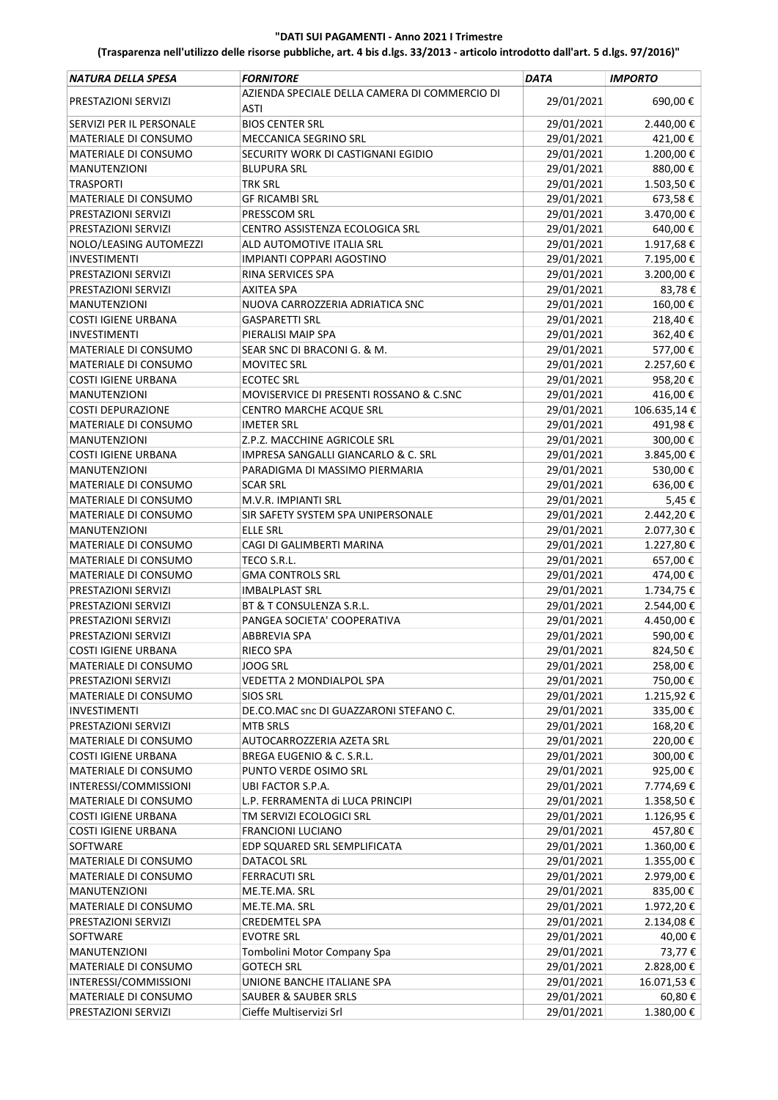| <b>NATURA DELLA SPESA</b>   | <b>FORNITORE</b>                                      | <b>DATA</b> | <b>IMPORTO</b> |
|-----------------------------|-------------------------------------------------------|-------------|----------------|
| PRESTAZIONI SERVIZI         | AZIENDA SPECIALE DELLA CAMERA DI COMMERCIO DI<br>ASTI | 29/01/2021  | 690,00€        |
| SERVIZI PER IL PERSONALE    | <b>BIOS CENTER SRL</b>                                | 29/01/2021  | 2.440,00€      |
| MATERIALE DI CONSUMO        | MECCANICA SEGRINO SRL                                 | 29/01/2021  | 421,00€        |
| MATERIALE DI CONSUMO        | SECURITY WORK DI CASTIGNANI EGIDIO                    | 29/01/2021  | 1.200,00€      |
| <b>MANUTENZIONI</b>         | <b>BLUPURA SRL</b>                                    | 29/01/2021  | 880,00€        |
| <b>TRASPORTI</b>            | <b>TRK SRL</b>                                        | 29/01/2021  | 1.503,50€      |
| MATERIALE DI CONSUMO        | <b>GF RICAMBI SRL</b>                                 | 29/01/2021  | 673,58€        |
| PRESTAZIONI SERVIZI         | PRESSCOM SRL                                          | 29/01/2021  | 3.470,00€      |
| PRESTAZIONI SERVIZI         | CENTRO ASSISTENZA ECOLOGICA SRL                       | 29/01/2021  | 640,00€        |
| NOLO/LEASING AUTOMEZZI      | ALD AUTOMOTIVE ITALIA SRL                             | 29/01/2021  | 1.917,68€      |
| <b>INVESTIMENTI</b>         | <b>IMPIANTI COPPARI AGOSTINO</b>                      | 29/01/2021  | 7.195,00€      |
| PRESTAZIONI SERVIZI         | RINA SERVICES SPA                                     | 29/01/2021  | 3.200,00€      |
| PRESTAZIONI SERVIZI         | <b>AXITEA SPA</b>                                     | 29/01/2021  | 83,78€         |
| <b>MANUTENZIONI</b>         | NUOVA CARROZZERIA ADRIATICA SNC                       | 29/01/2021  | 160,00€        |
| <b>COSTI IGIENE URBANA</b>  | <b>GASPARETTI SRL</b>                                 | 29/01/2021  | 218,40€        |
| <b>INVESTIMENTI</b>         | PIERALISI MAIP SPA                                    | 29/01/2021  | 362,40€        |
| <b>MATERIALE DI CONSUMO</b> | SEAR SNC DI BRACONI G. & M.                           |             | 577,00€        |
|                             |                                                       | 29/01/2021  |                |
| MATERIALE DI CONSUMO        | <b>MOVITEC SRL</b>                                    | 29/01/2021  | 2.257,60€      |
| <b>COSTI IGIENE URBANA</b>  | <b>ECOTEC SRL</b>                                     | 29/01/2021  | 958,20€        |
| <b>MANUTENZIONI</b>         | MOVISERVICE DI PRESENTI ROSSANO & C.SNC               | 29/01/2021  | 416,00€        |
| <b>COSTI DEPURAZIONE</b>    | CENTRO MARCHE ACQUE SRL                               | 29/01/2021  | 106.635,14€    |
| MATERIALE DI CONSUMO        | <b>IMETER SRL</b>                                     | 29/01/2021  | 491,98€        |
| <b>MANUTENZIONI</b>         | Z.P.Z. MACCHINE AGRICOLE SRL                          | 29/01/2021  | 300,00€        |
| <b>COSTI IGIENE URBANA</b>  | IMPRESA SANGALLI GIANCARLO & C. SRL                   | 29/01/2021  | 3.845,00€      |
| <b>MANUTENZIONI</b>         | PARADIGMA DI MASSIMO PIERMARIA                        | 29/01/2021  | 530,00€        |
| MATERIALE DI CONSUMO        | <b>SCAR SRL</b>                                       | 29/01/2021  | 636,00€        |
| MATERIALE DI CONSUMO        | M.V.R. IMPIANTI SRL                                   | 29/01/2021  | 5,45€          |
| MATERIALE DI CONSUMO        | SIR SAFETY SYSTEM SPA UNIPERSONALE                    | 29/01/2021  | 2.442,20€      |
| <b>MANUTENZIONI</b>         | <b>ELLE SRL</b>                                       | 29/01/2021  | 2.077,30€      |
| <b>MATERIALE DI CONSUMO</b> | CAGI DI GALIMBERTI MARINA                             | 29/01/2021  | 1.227,80€      |
| MATERIALE DI CONSUMO        | TECO S.R.L.                                           | 29/01/2021  | 657,00€        |
| MATERIALE DI CONSUMO        | <b>GMA CONTROLS SRL</b>                               | 29/01/2021  | 474,00€        |
| PRESTAZIONI SERVIZI         | <b>IMBALPLAST SRL</b>                                 | 29/01/2021  | 1.734,75€      |
| PRESTAZIONI SERVIZI         | BT & T CONSULENZA S.R.L.                              | 29/01/2021  | 2.544,00€      |
| PRESTAZIONI SERVIZI         | PANGEA SOCIETA' COOPERATIVA                           | 29/01/2021  | 4.450,00€      |
| PRESTAZIONI SERVIZI         | <b>ABBREVIA SPA</b>                                   | 29/01/2021  | 590,00€        |
| <b>COSTI IGIENE URBANA</b>  | <b>RIECO SPA</b>                                      | 29/01/2021  | 824,50€        |
| MATERIALE DI CONSUMO        | <b>JOOG SRL</b>                                       | 29/01/2021  | 258,00€        |
| PRESTAZIONI SERVIZI         | VEDETTA 2 MONDIALPOL SPA                              | 29/01/2021  | 750,00€        |
| MATERIALE DI CONSUMO        | <b>SIOS SRL</b>                                       | 29/01/2021  | 1.215,92€      |
| INVESTIMENTI                | DE.CO.MAC snc DI GUAZZARONI STEFANO C.                | 29/01/2021  | 335,00€        |
| PRESTAZIONI SERVIZI         | <b>MTB SRLS</b>                                       | 29/01/2021  | 168,20€        |
| MATERIALE DI CONSUMO        | AUTOCARROZZERIA AZETA SRL                             | 29/01/2021  | 220,00€        |
| <b>COSTI IGIENE URBANA</b>  | BREGA EUGENIO & C. S.R.L.                             | 29/01/2021  | 300,00€        |
| MATERIALE DI CONSUMO        | PUNTO VERDE OSIMO SRL                                 | 29/01/2021  | 925,00€        |
| INTERESSI/COMMISSIONI       | UBI FACTOR S.P.A.                                     | 29/01/2021  | 7.774,69€      |
| MATERIALE DI CONSUMO        | L.P. FERRAMENTA di LUCA PRINCIPI                      | 29/01/2021  | 1.358,50€      |
| COSTI IGIENE URBANA         | TM SERVIZI ECOLOGICI SRL                              | 29/01/2021  | 1.126,95€      |
| <b>COSTI IGIENE URBANA</b>  | <b>FRANCIONI LUCIANO</b>                              | 29/01/2021  | 457,80€        |
| SOFTWARE                    | EDP SQUARED SRL SEMPLIFICATA                          | 29/01/2021  | 1.360,00 €     |
| MATERIALE DI CONSUMO        | DATACOL SRL                                           | 29/01/2021  | 1.355,00€      |
| MATERIALE DI CONSUMO        | <b>FERRACUTI SRL</b>                                  | 29/01/2021  | 2.979,00€      |
| <b>MANUTENZIONI</b>         | ME.TE.MA. SRL                                         | 29/01/2021  | 835,00€        |
| MATERIALE DI CONSUMO        | ME.TE.MA. SRL                                         | 29/01/2021  | 1.972,20€      |
| PRESTAZIONI SERVIZI         | <b>CREDEMTEL SPA</b>                                  | 29/01/2021  | 2.134,08€      |
| SOFTWARE                    | <b>EVOTRE SRL</b>                                     | 29/01/2021  | 40,00€         |
| MANUTENZIONI                | Tombolini Motor Company Spa                           | 29/01/2021  | 73,77 €        |
| MATERIALE DI CONSUMO        | <b>GOTECH SRL</b>                                     | 29/01/2021  | 2.828,00€      |
| INTERESSI/COMMISSIONI       | UNIONE BANCHE ITALIANE SPA                            | 29/01/2021  | 16.071,53€     |
| MATERIALE DI CONSUMO        | <b>SAUBER &amp; SAUBER SRLS</b>                       | 29/01/2021  | 60,80€         |
| PRESTAZIONI SERVIZI         | Cieffe Multiservizi Srl                               | 29/01/2021  | 1.380,00€      |
|                             |                                                       |             |                |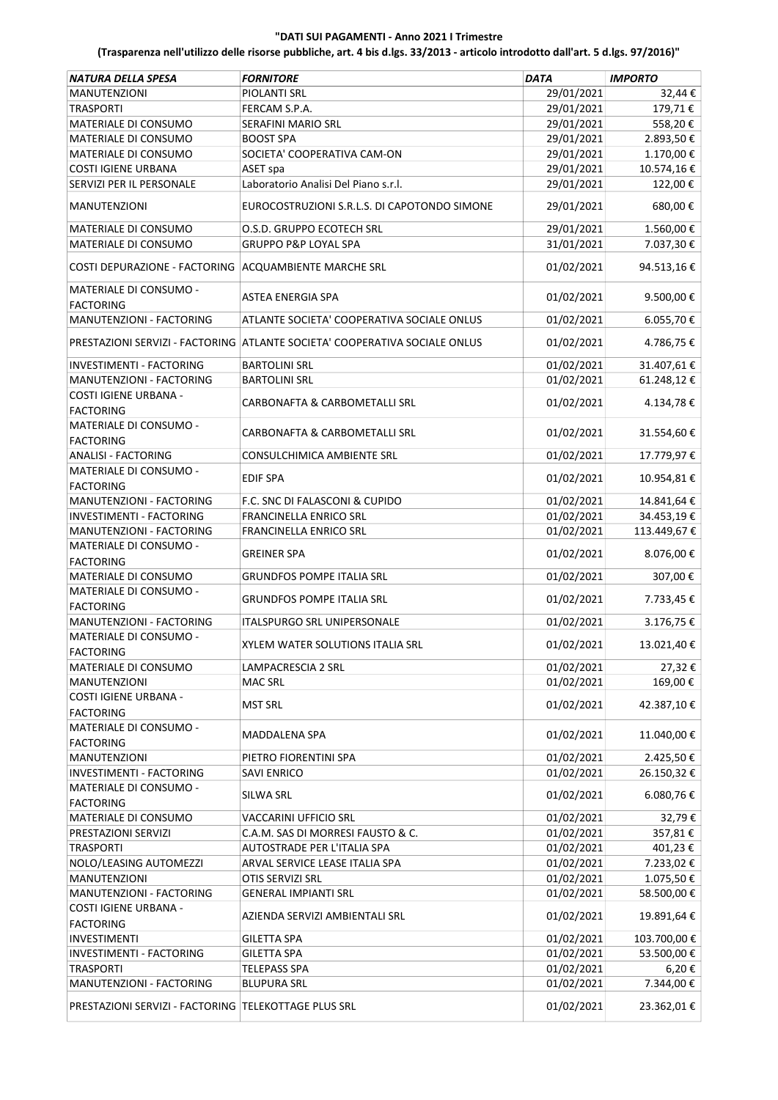| <b>NATURA DELLA SPESA</b>                               | <b>FORNITORE</b>                                                           | <b>DATA</b> | <b>IMPORTO</b> |
|---------------------------------------------------------|----------------------------------------------------------------------------|-------------|----------------|
| <b>MANUTENZIONI</b>                                     | PIOLANTI SRL                                                               | 29/01/2021  | 32,44 €        |
| <b>TRASPORTI</b>                                        | FERCAM S.P.A.                                                              | 29/01/2021  | 179,71€        |
| MATERIALE DI CONSUMO                                    | SERAFINI MARIO SRL                                                         | 29/01/2021  | 558,20€        |
| MATERIALE DI CONSUMO                                    | <b>BOOST SPA</b>                                                           | 29/01/2021  | 2.893,50€      |
| <b>MATERIALE DI CONSUMO</b>                             | SOCIETA' COOPERATIVA CAM-ON                                                | 29/01/2021  | 1.170,00€      |
| <b>COSTI IGIENE URBANA</b>                              | ASET spa                                                                   | 29/01/2021  | 10.574,16€     |
| SERVIZI PER IL PERSONALE                                | Laboratorio Analisi Del Piano s.r.l.                                       | 29/01/2021  | 122,00€        |
|                                                         |                                                                            |             |                |
| <b>MANUTENZIONI</b>                                     | EUROCOSTRUZIONI S.R.L.S. DI CAPOTONDO SIMONE                               | 29/01/2021  | 680,00€        |
| MATERIALE DI CONSUMO                                    | O.S.D. GRUPPO ECOTECH SRL                                                  | 29/01/2021  | 1.560,00€      |
| MATERIALE DI CONSUMO                                    | <b>GRUPPO P&amp;P LOYAL SPA</b>                                            | 31/01/2021  | 7.037,30€      |
| COSTI DEPURAZIONE - FACTORING   ACQUAMBIENTE MARCHE SRL |                                                                            | 01/02/2021  | 94.513,16€     |
| MATERIALE DI CONSUMO -<br><b>FACTORING</b>              | ASTEA ENERGIA SPA                                                          | 01/02/2021  | 9.500,00€      |
| MANUTENZIONI - FACTORING                                | ATLANTE SOCIETA' COOPERATIVA SOCIALE ONLUS                                 | 01/02/2021  | 6.055,70€      |
|                                                         |                                                                            |             |                |
|                                                         | PRESTAZIONI SERVIZI - FACTORING ATLANTE SOCIETA' COOPERATIVA SOCIALE ONLUS | 01/02/2021  | 4.786,75€      |
| INVESTIMENTI - FACTORING                                | <b>BARTOLINI SRL</b>                                                       | 01/02/2021  | 31.407,61€     |
| MANUTENZIONI - FACTORING                                | <b>BARTOLINI SRL</b>                                                       | 01/02/2021  | 61.248,12€     |
| COSTI IGIENE URBANA -                                   |                                                                            |             |                |
| <b>FACTORING</b>                                        | CARBONAFTA & CARBOMETALLI SRL                                              | 01/02/2021  | 4.134,78€      |
| MATERIALE DI CONSUMO -                                  |                                                                            |             |                |
| <b>FACTORING</b>                                        | CARBONAFTA & CARBOMETALLI SRL                                              | 01/02/2021  | 31.554,60€     |
| <b>ANALISI - FACTORING</b>                              | CONSULCHIMICA AMBIENTE SRL                                                 | 01/02/2021  | 17.779,97€     |
| MATERIALE DI CONSUMO -                                  |                                                                            |             |                |
| <b>FACTORING</b>                                        | <b>EDIF SPA</b>                                                            | 01/02/2021  | 10.954,81€     |
| MANUTENZIONI - FACTORING                                | F.C. SNC DI FALASCONI & CUPIDO                                             | 01/02/2021  | 14.841,64 €    |
|                                                         |                                                                            |             |                |
| INVESTIMENTI - FACTORING                                | FRANCINELLA ENRICO SRL                                                     | 01/02/2021  | 34.453,19€     |
| MANUTENZIONI - FACTORING                                | FRANCINELLA ENRICO SRL                                                     | 01/02/2021  | 113.449,67€    |
| MATERIALE DI CONSUMO -                                  | <b>GREINER SPA</b>                                                         | 01/02/2021  | 8.076,00€      |
| <b>FACTORING</b>                                        |                                                                            |             |                |
| MATERIALE DI CONSUMO                                    | <b>GRUNDFOS POMPE ITALIA SRL</b>                                           | 01/02/2021  | 307,00€        |
| MATERIALE DI CONSUMO -                                  | <b>GRUNDFOS POMPE ITALIA SRL</b>                                           | 01/02/2021  | 7.733,45€      |
| <b>FACTORING</b>                                        |                                                                            |             |                |
| MANUTENZIONI - FACTORING                                | <b>ITALSPURGO SRL UNIPERSONALE</b>                                         | 01/02/2021  | 3.176,75€      |
| MATERIALE DI CONSUMO -                                  | <b>XYLEM WATER SOLUTIONS ITALIA SRL</b>                                    | 01/02/2021  | 13.021,40€     |
| <b>FACTORING</b>                                        |                                                                            |             |                |
| MATERIALE DI CONSUMO                                    | LAMPACRESCIA 2 SRL                                                         | 01/02/2021  | 27,32€         |
| <b>MANUTENZIONI</b>                                     | <b>MAC SRL</b>                                                             | 01/02/2021  | 169,00€        |
| COSTI IGIENE URBANA -                                   | <b>MST SRL</b>                                                             | 01/02/2021  | 42.387,10€     |
| <b>FACTORING</b>                                        |                                                                            |             |                |
| MATERIALE DI CONSUMO -                                  | MADDALENA SPA                                                              | 01/02/2021  | 11.040,00€     |
| <b>FACTORING</b>                                        |                                                                            |             |                |
| <b>MANUTENZIONI</b>                                     | PIETRO FIORENTINI SPA                                                      | 01/02/2021  | 2.425,50€      |
| INVESTIMENTI - FACTORING                                | <b>SAVI ENRICO</b>                                                         | 01/02/2021  | 26.150,32€     |
| MATERIALE DI CONSUMO -                                  | SILWA SRL                                                                  | 01/02/2021  | 6.080,76€      |
| <b>FACTORING</b>                                        |                                                                            |             |                |
| MATERIALE DI CONSUMO                                    | VACCARINI UFFICIO SRL                                                      | 01/02/2021  | 32,79€         |
| PRESTAZIONI SERVIZI                                     | C.A.M. SAS DI MORRESI FAUSTO & C.                                          | 01/02/2021  | 357,81€        |
| <b>TRASPORTI</b>                                        | AUTOSTRADE PER L'ITALIA SPA                                                | 01/02/2021  | 401,23€        |
| NOLO/LEASING AUTOMEZZI                                  | ARVAL SERVICE LEASE ITALIA SPA                                             | 01/02/2021  | 7.233,02€      |
| <b>MANUTENZIONI</b>                                     | OTIS SERVIZI SRL                                                           | 01/02/2021  | 1.075,50€      |
| MANUTENZIONI - FACTORING                                | <b>GENERAL IMPIANTI SRL</b>                                                | 01/02/2021  | 58.500,00€     |
| COSTI IGIENE URBANA -                                   |                                                                            |             |                |
| <b>FACTORING</b>                                        | AZIENDA SERVIZI AMBIENTALI SRL                                             | 01/02/2021  | 19.891,64€     |
| <b>INVESTIMENTI</b>                                     | <b>GILETTA SPA</b>                                                         | 01/02/2021  | 103.700,00€    |
| INVESTIMENTI - FACTORING                                | <b>GILETTA SPA</b>                                                         | 01/02/2021  | 53.500,00€     |
| <b>TRASPORTI</b>                                        | <b>TELEPASS SPA</b>                                                        | 01/02/2021  | 6,20€          |
| MANUTENZIONI - FACTORING                                | <b>BLUPURA SRL</b>                                                         | 01/02/2021  | 7.344,00 €     |
|                                                         |                                                                            |             |                |
| PRESTAZIONI SERVIZI - FACTORING TELEKOTTAGE PLUS SRL    |                                                                            | 01/02/2021  | 23.362,01€     |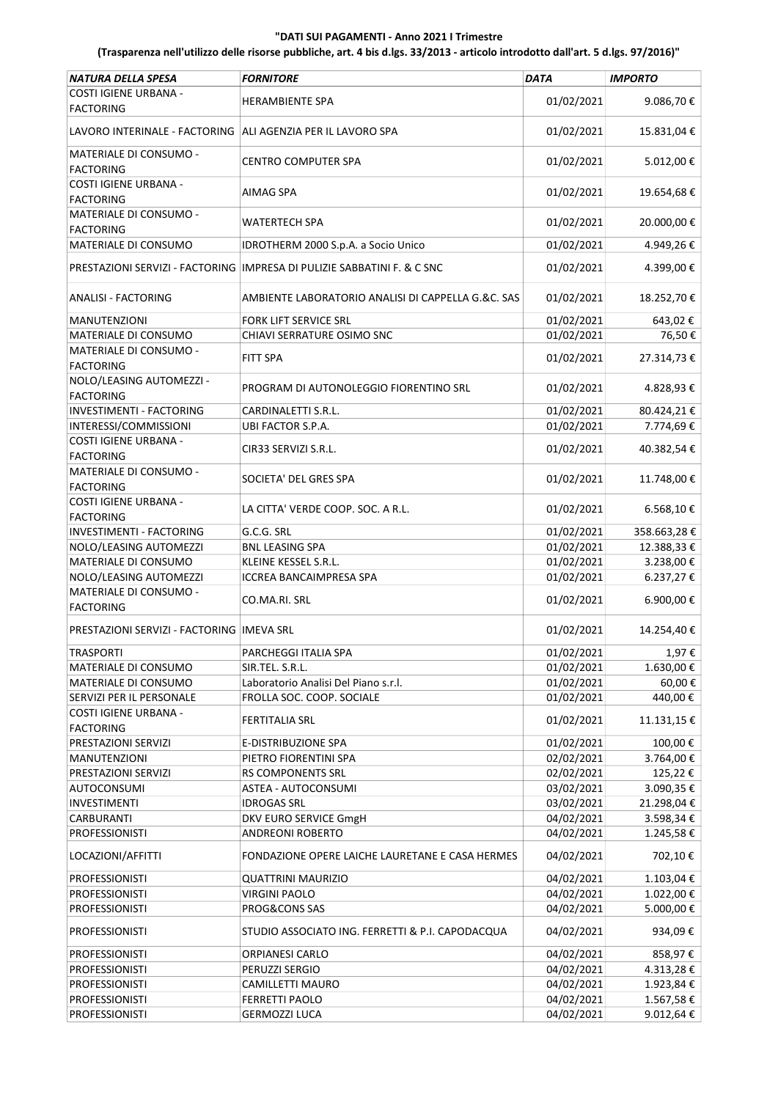| <b>NATURA DELLA SPESA</b>                                     | <b>FORNITORE</b>                                                          | <b>DATA</b> | <b>IMPORTO</b> |
|---------------------------------------------------------------|---------------------------------------------------------------------------|-------------|----------------|
| COSTI IGIENE URBANA -<br><b>FACTORING</b>                     | <b>HERAMBIENTE SPA</b>                                                    | 01/02/2021  | 9.086,70€      |
| LAVORO INTERINALE - FACTORING   ALI AGENZIA PER IL LAVORO SPA |                                                                           | 01/02/2021  | 15.831,04€     |
| MATERIALE DI CONSUMO -<br><b>FACTORING</b>                    | <b>CENTRO COMPUTER SPA</b>                                                | 01/02/2021  | 5.012,00€      |
| COSTI IGIENE URBANA -<br><b>FACTORING</b>                     | AIMAG SPA                                                                 | 01/02/2021  | 19.654,68€     |
| <b>MATERIALE DI CONSUMO -</b><br><b>FACTORING</b>             | WATERTECH SPA                                                             | 01/02/2021  | 20.000,00€     |
| <b>MATERIALE DI CONSUMO</b>                                   | IDROTHERM 2000 S.p.A. a Socio Unico                                       | 01/02/2021  | 4.949,26€      |
|                                                               | PRESTAZIONI SERVIZI - FACTORING   IMPRESA DI PULIZIE SABBATINI F. & C SNC | 01/02/2021  | 4.399,00€      |
| <b>ANALISI - FACTORING</b>                                    | AMBIENTE LABORATORIO ANALISI DI CAPPELLA G.&C. SAS                        | 01/02/2021  | 18.252,70€     |
| MANUTENZIONI                                                  | FORK LIFT SERVICE SRL                                                     | 01/02/2021  | 643,02€        |
| MATERIALE DI CONSUMO                                          | CHIAVI SERRATURE OSIMO SNC                                                | 01/02/2021  | 76,50€         |
| MATERIALE DI CONSUMO -<br><b>FACTORING</b>                    | <b>FITT SPA</b>                                                           | 01/02/2021  | 27.314,73€     |
| NOLO/LEASING AUTOMEZZI -<br><b>FACTORING</b>                  | PROGRAM DI AUTONOLEGGIO FIORENTINO SRL                                    | 01/02/2021  | 4.828,93€      |
| INVESTIMENTI - FACTORING                                      | CARDINALETTI S.R.L.                                                       | 01/02/2021  | 80.424,21€     |
| INTERESSI/COMMISSIONI                                         | UBI FACTOR S.P.A.                                                         | 01/02/2021  | 7.774,69€      |
| COSTI IGIENE URBANA -<br><b>FACTORING</b>                     | CIR33 SERVIZI S.R.L.                                                      | 01/02/2021  | 40.382,54€     |
| MATERIALE DI CONSUMO -<br><b>FACTORING</b>                    | SOCIETA' DEL GRES SPA                                                     | 01/02/2021  | 11.748,00€     |
| COSTI IGIENE URBANA -<br><b>FACTORING</b>                     | LA CITTA' VERDE COOP. SOC. A R.L.                                         | 01/02/2021  | 6.568,10€      |
| <b>INVESTIMENTI - FACTORING</b>                               | G.C.G. SRL                                                                | 01/02/2021  | 358.663,28€    |
| NOLO/LEASING AUTOMEZZI                                        | <b>BNL LEASING SPA</b>                                                    | 01/02/2021  | 12.388,33 €    |
| MATERIALE DI CONSUMO                                          | KLEINE KESSEL S.R.L.                                                      | 01/02/2021  | 3.238,00€      |
| NOLO/LEASING AUTOMEZZI                                        | <b>ICCREA BANCAIMPRESA SPA</b>                                            | 01/02/2021  | 6.237,27€      |
| MATERIALE DI CONSUMO -<br><b>FACTORING</b>                    | CO.MA.RI. SRL                                                             | 01/02/2021  | 6.900,00€      |
| PRESTAZIONI SERVIZI - FACTORING   IMEVA SRL                   |                                                                           | 01/02/2021  | 14.254,40€     |
| <b>TRASPORTI</b>                                              | PARCHEGGI ITALIA SPA                                                      | 01/02/2021  | 1,97€          |
| MATERIALE DI CONSUMO                                          | SIR.TEL. S.R.L.                                                           | 01/02/2021  | 1.630,00€      |
| MATERIALE DI CONSUMO                                          | Laboratorio Analisi Del Piano s.r.l.                                      | 01/02/2021  | 60,00€         |
| SERVIZI PER IL PERSONALE                                      | FROLLA SOC. COOP. SOCIALE                                                 | 01/02/2021  | 440,00€        |
| COSTI IGIENE URBANA -                                         | <b>FERTITALIA SRL</b>                                                     | 01/02/2021  | 11.131,15€     |
| <b>FACTORING</b>                                              |                                                                           |             |                |
| PRESTAZIONI SERVIZI                                           | E-DISTRIBUZIONE SPA                                                       | 01/02/2021  | 100,00€        |
| MANUTENZIONI                                                  | PIETRO FIORENTINI SPA                                                     | 02/02/2021  | 3.764,00€      |
| PRESTAZIONI SERVIZI                                           | <b>RS COMPONENTS SRL</b>                                                  | 02/02/2021  | 125,22€        |
| AUTOCONSUMI                                                   | ASTEA - AUTOCONSUMI                                                       | 03/02/2021  | 3.090,35€      |
| INVESTIMENTI                                                  | <b>IDROGAS SRL</b>                                                        | 03/02/2021  | 21.298,04€     |
| CARBURANTI                                                    | DKV EURO SERVICE GmgH                                                     | 04/02/2021  | 3.598,34€      |
| <b>PROFESSIONISTI</b>                                         | <b>ANDREONI ROBERTO</b>                                                   | 04/02/2021  | 1.245,58€      |
| LOCAZIONI/AFFITTI                                             | FONDAZIONE OPERE LAICHE LAURETANE E CASA HERMES                           | 04/02/2021  | 702,10€        |
| <b>PROFESSIONISTI</b>                                         | <b>QUATTRINI MAURIZIO</b>                                                 | 04/02/2021  | 1.103,04€      |
| PROFESSIONISTI                                                | <b>VIRGINI PAOLO</b>                                                      | 04/02/2021  | 1.022,00€      |
| <b>PROFESSIONISTI</b>                                         | PROG&CONS SAS                                                             | 04/02/2021  | 5.000,00€      |
| <b>PROFESSIONISTI</b>                                         | STUDIO ASSOCIATO ING. FERRETTI & P.I. CAPODACQUA                          | 04/02/2021  | 934,09€        |
| <b>PROFESSIONISTI</b>                                         | <b>ORPIANESI CARLO</b>                                                    | 04/02/2021  | 858,97€        |
| <b>PROFESSIONISTI</b>                                         | PERUZZI SERGIO                                                            | 04/02/2021  | 4.313,28€      |
| <b>PROFESSIONISTI</b>                                         | <b>CAMILLETTI MAURO</b>                                                   | 04/02/2021  | 1.923,84€      |
| <b>PROFESSIONISTI</b>                                         | <b>FERRETTI PAOLO</b>                                                     | 04/02/2021  | 1.567,58 €     |
| <b>PROFESSIONISTI</b>                                         | <b>GERMOZZI LUCA</b>                                                      | 04/02/2021  | 9.012,64€      |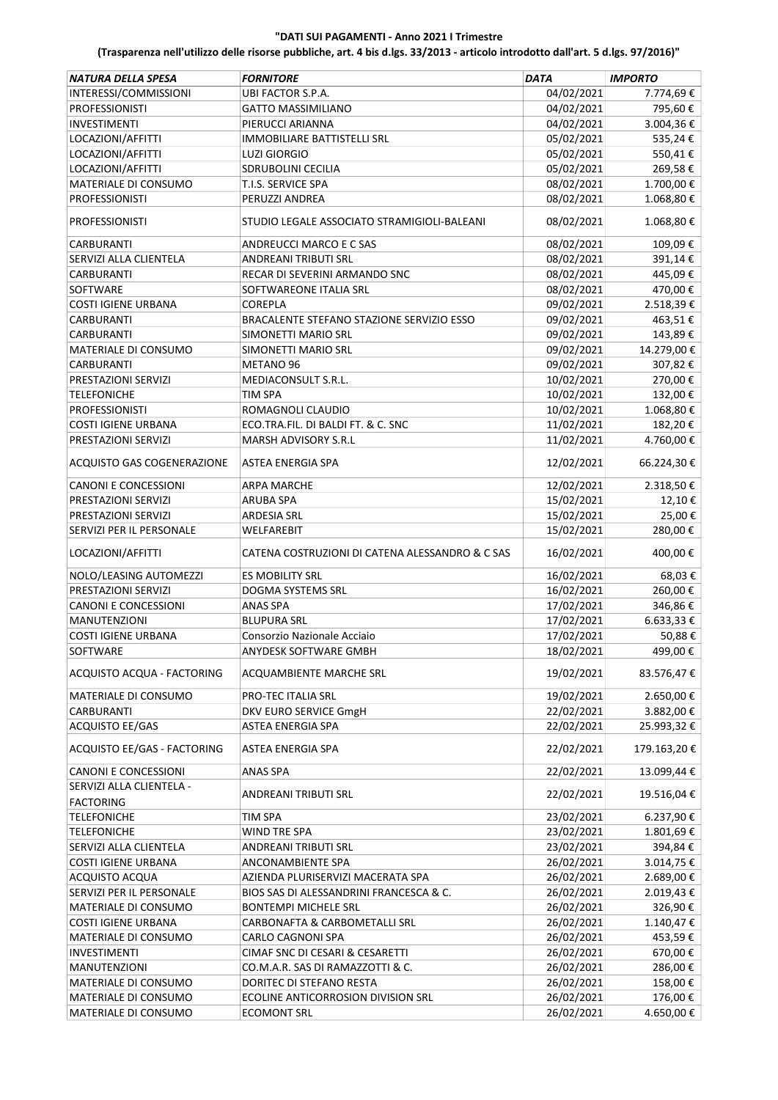| <b>NATURA DELLA SPESA</b>                    | <b>FORNITORE</b>                                | <b>DATA</b> | <b>IMPORTO</b>    |
|----------------------------------------------|-------------------------------------------------|-------------|-------------------|
| INTERESSI/COMMISSIONI                        | UBI FACTOR S.P.A.                               | 04/02/2021  | 7.774,69€         |
| <b>PROFESSIONISTI</b>                        | <b>GATTO MASSIMILIANO</b>                       | 04/02/2021  | 795,60€           |
| <b>INVESTIMENTI</b>                          | PIERUCCI ARIANNA                                | 04/02/2021  | 3.004,36€         |
| LOCAZIONI/AFFITTI                            | <b>IMMOBILIARE BATTISTELLI SRL</b>              | 05/02/2021  | 535,24€           |
| LOCAZIONI/AFFITTI                            | <b>LUZI GIORGIO</b>                             | 05/02/2021  | 550,41€           |
| LOCAZIONI/AFFITTI                            | SDRUBOLINI CECILIA                              | 05/02/2021  | 269,58€           |
| MATERIALE DI CONSUMO                         | T.I.S. SERVICE SPA                              | 08/02/2021  | 1.700,00€         |
| <b>PROFESSIONISTI</b>                        | PERUZZI ANDREA                                  | 08/02/2021  | 1.068,80€         |
| <b>PROFESSIONISTI</b>                        | STUDIO LEGALE ASSOCIATO STRAMIGIOLI-BALEANI     | 08/02/2021  | 1.068,80€         |
| <b>CARBURANTI</b>                            | ANDREUCCI MARCO E C SAS                         | 08/02/2021  | 109,09€           |
| SERVIZI ALLA CLIENTELA                       | <b>ANDREANI TRIBUTI SRL</b>                     | 08/02/2021  | 391,14€           |
| <b>CARBURANTI</b>                            | RECAR DI SEVERINI ARMANDO SNC                   | 08/02/2021  | 445,09€           |
| <b>SOFTWARE</b>                              | SOFTWAREONE ITALIA SRL                          | 08/02/2021  | 470,00€           |
| <b>COSTI IGIENE URBANA</b>                   | COREPLA                                         | 09/02/2021  | 2.518,39€         |
| CARBURANTI                                   | BRACALENTE STEFANO STAZIONE SERVIZIO ESSO       | 09/02/2021  | 463,51€           |
| <b>CARBURANTI</b>                            | SIMONETTI MARIO SRL                             | 09/02/2021  | 143,89€           |
| MATERIALE DI CONSUMO                         | SIMONETTI MARIO SRL                             | 09/02/2021  | 14.279,00€        |
| <b>CARBURANTI</b>                            | METANO 96                                       | 09/02/2021  | 307,82€           |
| PRESTAZIONI SERVIZI                          | MEDIACONSULT S.R.L.                             | 10/02/2021  | 270,00€           |
| <b>TELEFONICHE</b>                           | TIM SPA                                         | 10/02/2021  | 132,00€           |
| <b>PROFESSIONISTI</b>                        | ROMAGNOLI CLAUDIO                               | 10/02/2021  | 1.068,80€         |
| <b>COSTI IGIENE URBANA</b>                   | ECO.TRA.FIL. DI BALDI FT. & C. SNC              | 11/02/2021  | 182,20€           |
| PRESTAZIONI SERVIZI                          | MARSH ADVISORY S.R.L                            | 11/02/2021  | 4.760,00€         |
|                                              |                                                 |             |                   |
| ACQUISTO GAS COGENERAZIONE                   | <b>ASTEA ENERGIA SPA</b>                        | 12/02/2021  | 66.224,30€        |
| CANONI E CONCESSIONI                         | <b>ARPA MARCHE</b>                              | 12/02/2021  | 2.318,50€         |
| PRESTAZIONI SERVIZI                          | ARUBA SPA                                       | 15/02/2021  | 12,10€            |
| PRESTAZIONI SERVIZI                          | <b>ARDESIA SRL</b>                              | 15/02/2021  | 25,00€            |
| SERVIZI PER IL PERSONALE                     | WELFAREBIT                                      | 15/02/2021  | 280,00€           |
| LOCAZIONI/AFFITTI                            | CATENA COSTRUZIONI DI CATENA ALESSANDRO & C SAS | 16/02/2021  | 400,00€           |
| NOLO/LEASING AUTOMEZZI                       | ES MOBILITY SRL                                 | 16/02/2021  | 68,03€            |
| PRESTAZIONI SERVIZI                          | DOGMA SYSTEMS SRL                               | 16/02/2021  | 260,00€           |
| CANONI E CONCESSIONI                         | ANAS SPA                                        | 17/02/2021  | 346,86€           |
| <b>MANUTENZIONI</b>                          | <b>BLUPURA SRL</b>                              | 17/02/2021  | $6.633,33 \notin$ |
| <b>COSTI IGIENE URBANA</b>                   | Consorzio Nazionale Acciaio                     | 17/02/2021  | 50,88€            |
| SOFTWARE                                     | ANYDESK SOFTWARE GMBH                           | 18/02/2021  | 499,00€           |
| ACQUISTO ACQUA - FACTORING                   | ACQUAMBIENTE MARCHE SRL                         | 19/02/2021  | 83.576,47€        |
| MATERIALE DI CONSUMO                         | PRO-TEC ITALIA SRL                              | 19/02/2021  | 2.650,00€         |
| CARBURANTI                                   | DKV EURO SERVICE GmgH                           | 22/02/2021  | 3.882,00 €        |
| ACQUISTO EE/GAS                              | ASTEA ENERGIA SPA                               | 22/02/2021  | 25.993,32€        |
| ACQUISTO EE/GAS - FACTORING                  | <b>ASTEA ENERGIA SPA</b>                        | 22/02/2021  | 179.163,20€       |
| CANONI E CONCESSIONI                         | ANAS SPA                                        | 22/02/2021  | 13.099,44€        |
| SERVIZI ALLA CLIENTELA -<br><b>FACTORING</b> | ANDREANI TRIBUTI SRL                            | 22/02/2021  | 19.516,04€        |
| <b>TELEFONICHE</b>                           | <b>TIM SPA</b>                                  | 23/02/2021  | 6.237,90€         |
| <b>TELEFONICHE</b>                           | WIND TRE SPA                                    | 23/02/2021  | 1.801,69€         |
| SERVIZI ALLA CLIENTELA                       | ANDREANI TRIBUTI SRL                            | 23/02/2021  | 394,84€           |
| <b>COSTI IGIENE URBANA</b>                   | ANCONAMBIENTE SPA                               | 26/02/2021  | 3.014,75€         |
| <b>ACQUISTO ACQUA</b>                        | AZIENDA PLURISERVIZI MACERATA SPA               | 26/02/2021  |                   |
|                                              |                                                 |             | 2.689,00 €        |
| SERVIZI PER IL PERSONALE                     | BIOS SAS DI ALESSANDRINI FRANCESCA & C.         | 26/02/2021  | 2.019,43€         |
| MATERIALE DI CONSUMO                         | <b>BONTEMPI MICHELE SRL</b>                     | 26/02/2021  | 326,90€           |
| <b>COSTI IGIENE URBANA</b>                   | CARBONAFTA & CARBOMETALLI SRL                   | 26/02/2021  | 1.140,47€         |
| MATERIALE DI CONSUMO                         | CARLO CAGNONI SPA                               | 26/02/2021  | 453,59€           |
| INVESTIMENTI                                 | CIMAF SNC DI CESARI & CESARETTI                 | 26/02/2021  | 670,00€           |
| MANUTENZIONI                                 | CO.M.A.R. SAS DI RAMAZZOTTI & C.                | 26/02/2021  | 286,00€           |
| MATERIALE DI CONSUMO                         | DORITEC DI STEFANO RESTA                        | 26/02/2021  | 158,00€           |
| MATERIALE DI CONSUMO                         | ECOLINE ANTICORROSION DIVISION SRL              | 26/02/2021  | 176,00€           |
| MATERIALE DI CONSUMO                         | <b>ECOMONT SRL</b>                              | 26/02/2021  | 4.650,00€         |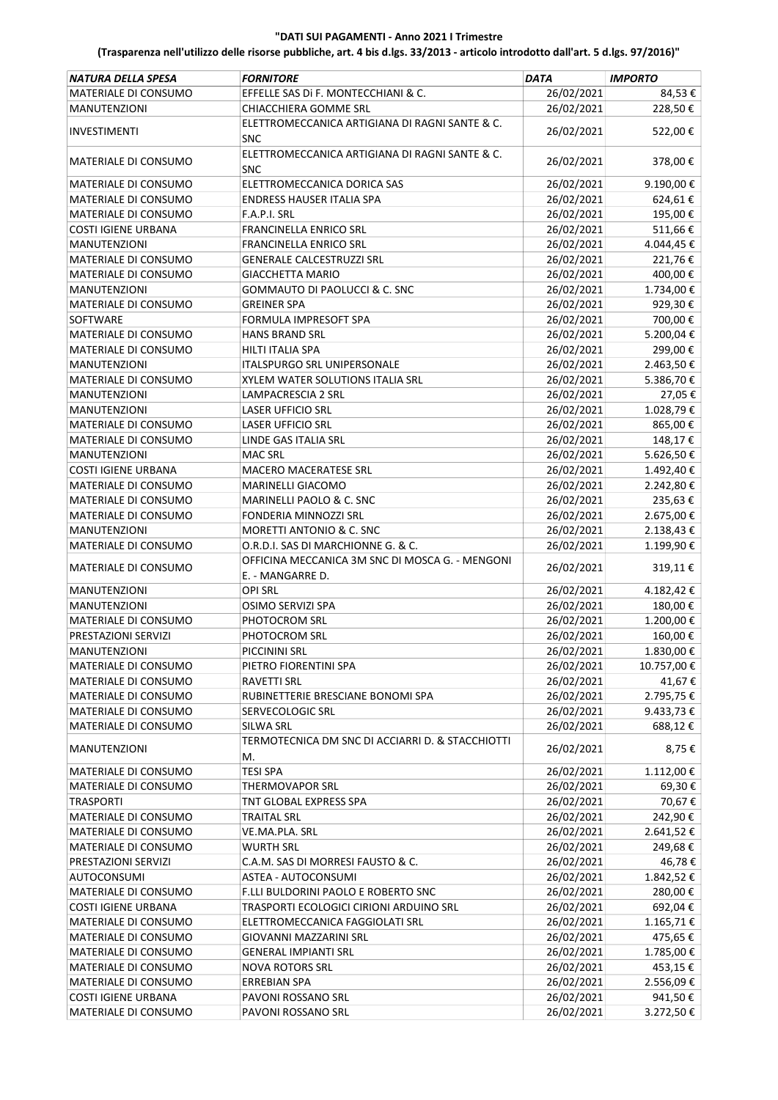| MATERIALE DI CONSUMO<br>EFFELLE SAS DI F. MONTECCHIANI & C.<br>26/02/2021<br>84,53€<br>26/02/2021<br>CHIACCHIERA GOMME SRL<br>228,50€<br><b>MANUTENZIONI</b><br>ELETTROMECCANICA ARTIGIANA DI RAGNI SANTE & C.<br>26/02/2021<br>522,00€<br><b>INVESTIMENTI</b><br><b>SNC</b><br>ELETTROMECCANICA ARTIGIANA DI RAGNI SANTE & C.<br>26/02/2021<br>378,00€<br><b>MATERIALE DI CONSUMO</b><br><b>SNC</b><br>ELETTROMECCANICA DORICA SAS<br>9.190,00€<br>MATERIALE DI CONSUMO<br>26/02/2021<br>26/02/2021<br>MATERIALE DI CONSUMO<br><b>ENDRESS HAUSER ITALIA SPA</b><br>624,61€<br>26/02/2021<br>195,00€<br>MATERIALE DI CONSUMO<br>F.A.P.I. SRL<br>26/02/2021<br>511,66€<br>COSTI IGIENE URBANA<br>FRANCINELLA ENRICO SRL<br>26/02/2021<br>4.044,45€<br><b>MANUTENZIONI</b><br>FRANCINELLA ENRICO SRL<br>26/02/2021<br>221,76€<br>MATERIALE DI CONSUMO<br><b>GENERALE CALCESTRUZZI SRL</b><br>400,00€<br>MATERIALE DI CONSUMO<br><b>GIACCHETTA MARIO</b><br>26/02/2021<br><b>MANUTENZIONI</b><br>GOMMAUTO DI PAOLUCCI & C. SNC<br>26/02/2021<br>1.734,00€<br>26/02/2021<br>MATERIALE DI CONSUMO<br><b>GREINER SPA</b><br>929,30€<br>26/02/2021<br>700,00€<br>SOFTWARE<br>FORMULA IMPRESOFT SPA<br>26/02/2021<br>5.200,04€<br>MATERIALE DI CONSUMO<br><b>HANS BRAND SRL</b><br>MATERIALE DI CONSUMO<br>26/02/2021<br>299,00€<br><b>HILTI ITALIA SPA</b><br>26/02/2021<br>2.463,50€<br><b>MANUTENZIONI</b><br>ITALSPURGO SRL UNIPERSONALE<br>26/02/2021<br>5.386,70€<br>XYLEM WATER SOLUTIONS ITALIA SRL<br>MATERIALE DI CONSUMO<br>26/02/2021<br><b>MANUTENZIONI</b><br><b>LAMPACRESCIA 2 SRL</b><br>27,05€<br>26/02/2021<br>1.028,79€<br><b>MANUTENZIONI</b><br><b>LASER UFFICIO SRL</b><br>26/02/2021<br>865,00€<br>MATERIALE DI CONSUMO<br>LASER UFFICIO SRL<br>26/02/2021<br>148,17€<br>MATERIALE DI CONSUMO<br>LINDE GAS ITALIA SRL<br>5.626,50€<br><b>MANUTENZIONI</b><br><b>MAC SRL</b><br>26/02/2021<br>26/02/2021<br>1.492,40€<br><b>COSTI IGIENE URBANA</b><br><b>MACERO MACERATESE SRL</b><br>MATERIALE DI CONSUMO<br>MARINELLI GIACOMO<br>26/02/2021<br>2.242,80€<br>26/02/2021<br>235,63€<br>MATERIALE DI CONSUMO<br>MARINELLI PAOLO & C. SNC<br>26/02/2021<br>MATERIALE DI CONSUMO<br><b>FONDERIA MINNOZZI SRL</b><br>2.675,00€<br>26/02/2021<br>MORETTI ANTONIO & C. SNC<br>2.138,43€<br><b>MANUTENZIONI</b><br>26/02/2021<br>O.R.D.I. SAS DI MARCHIONNE G. & C.<br>1.199,90€<br>MATERIALE DI CONSUMO<br>OFFICINA MECCANICA 3M SNC DI MOSCA G. - MENGONI<br>26/02/2021<br>319,11€<br>MATERIALE DI CONSUMO<br>E. - MANGARRE D.<br><b>MANUTENZIONI</b><br><b>OPI SRL</b><br>26/02/2021<br>4.182,42€<br>26/02/2021<br>OSIMO SERVIZI SPA<br>180,00€<br><b>MANUTENZIONI</b><br>26/02/2021<br>1.200,00€<br>MATERIALE DI CONSUMO<br>PHOTOCROM SRL<br>160,00€<br>PRESTAZIONI SERVIZI<br>PHOTOCROM SRL<br>26/02/2021<br>26/02/2021<br>1.830,00€<br><b>MANUTENZIONI</b><br>PICCININI SRL<br>26/02/2021<br>10.757,00€<br>MATERIALE DI CONSUMO<br>PIETRO FIORENTINI SPA<br>26/02/2021<br>41,67€<br>MATERIALE DI CONSUMO<br>RAVETTI SRL<br>26/02/2021<br>MATERIALE DI CONSUMO<br>RUBINETTERIE BRESCIANE BONOMI SPA<br>2.795,75 €<br>26/02/2021<br>MATERIALE DI CONSUMO<br>SERVECOLOGIC SRL<br>9.433,73 €<br>26/02/2021<br>688,12€<br>MATERIALE DI CONSUMO<br>SILWA SRL<br>TERMOTECNICA DM SNC DI ACCIARRI D. & STACCHIOTTI<br>26/02/2021<br>8,75€<br><b>MANUTENZIONI</b><br>М.<br><b>TESI SPA</b><br>26/02/2021<br>1.112,00€<br>MATERIALE DI CONSUMO<br>26/02/2021<br>69,30€<br>MATERIALE DI CONSUMO<br>THERMOVAPOR SRL<br>26/02/2021<br>70,67€<br>TRASPORTI<br>TNT GLOBAL EXPRESS SPA<br>26/02/2021<br>242,90€<br>MATERIALE DI CONSUMO<br><b>TRAITAL SRL</b><br>26/02/2021<br>2.641,52€<br>MATERIALE DI CONSUMO<br>VE.MA.PLA. SRL<br>26/02/2021<br>249,68€<br>MATERIALE DI CONSUMO<br><b>WURTH SRL</b><br>PRESTAZIONI SERVIZI<br>C.A.M. SAS DI MORRESI FAUSTO & C.<br>26/02/2021<br>46,78€<br>AUTOCONSUMI<br>ASTEA - AUTOCONSUMI<br>26/02/2021<br>1.842,52 €<br>26/02/2021<br>MATERIALE DI CONSUMO<br>F.LLI BULDORINI PAOLO E ROBERTO SNC<br>280,00€<br>26/02/2021<br>692,04€<br><b>COSTI IGIENE URBANA</b><br>TRASPORTI ECOLOGICI CIRIONI ARDUINO SRL<br>26/02/2021<br>1.165,71€<br>MATERIALE DI CONSUMO<br>ELETTROMECCANICA FAGGIOLATI SRL<br>26/02/2021<br>MATERIALE DI CONSUMO<br>475,65 €<br>GIOVANNI MAZZARINI SRL<br>26/02/2021<br>1.785,00€<br>MATERIALE DI CONSUMO<br><b>GENERAL IMPIANTI SRL</b><br>26/02/2021<br>MATERIALE DI CONSUMO<br><b>NOVA ROTORS SRL</b><br>453,15€<br>26/02/2021<br>2.556,09€<br>MATERIALE DI CONSUMO<br><b>ERREBIAN SPA</b><br>26/02/2021<br>941,50€<br><b>COSTI IGIENE URBANA</b><br>PAVONI ROSSANO SRL | NATURA DELLA SPESA   | <b>FORNITORE</b>   | <b>DATA</b> | <b>IMPORTO</b> |
|---------------------------------------------------------------------------------------------------------------------------------------------------------------------------------------------------------------------------------------------------------------------------------------------------------------------------------------------------------------------------------------------------------------------------------------------------------------------------------------------------------------------------------------------------------------------------------------------------------------------------------------------------------------------------------------------------------------------------------------------------------------------------------------------------------------------------------------------------------------------------------------------------------------------------------------------------------------------------------------------------------------------------------------------------------------------------------------------------------------------------------------------------------------------------------------------------------------------------------------------------------------------------------------------------------------------------------------------------------------------------------------------------------------------------------------------------------------------------------------------------------------------------------------------------------------------------------------------------------------------------------------------------------------------------------------------------------------------------------------------------------------------------------------------------------------------------------------------------------------------------------------------------------------------------------------------------------------------------------------------------------------------------------------------------------------------------------------------------------------------------------------------------------------------------------------------------------------------------------------------------------------------------------------------------------------------------------------------------------------------------------------------------------------------------------------------------------------------------------------------------------------------------------------------------------------------------------------------------------------------------------------------------------------------------------------------------------------------------------------------------------------------------------------------------------------------------------------------------------------------------------------------------------------------------------------------------------------------------------------------------------------------------------------------------------------------------------------------------------------------------------------------------------------------------------------------------------------------------------------------------------------------------------------------------------------------------------------------------------------------------------------------------------------------------------------------------------------------------------------------------------------------------------------------------------------------------------------------------------------------------------------------------------------------------------------------------------------------------------------------------------------------------------------------------------------------------------------------------------------------------------------------------------------------------------------------------------------------------------------------------------------------------------------------------------------------------------------------------------------------------------------------------------------------------------------------------------------------------------------------------------------------------------------------------------------------------------------------------------------------------------------------------------------------------------------------------------------------------------------------------------------------------------------------------------------------------------------------------------------------------------------------|----------------------|--------------------|-------------|----------------|
|                                                                                                                                                                                                                                                                                                                                                                                                                                                                                                                                                                                                                                                                                                                                                                                                                                                                                                                                                                                                                                                                                                                                                                                                                                                                                                                                                                                                                                                                                                                                                                                                                                                                                                                                                                                                                                                                                                                                                                                                                                                                                                                                                                                                                                                                                                                                                                                                                                                                                                                                                                                                                                                                                                                                                                                                                                                                                                                                                                                                                                                                                                                                                                                                                                                                                                                                                                                                                                                                                                                                                                                                                                                                                                                                                                                                                                                                                                                                                                                                                                                                                                                                                                                                                                                                                                                                                                                                                                                                                                                                                                                                                                             |                      |                    |             |                |
|                                                                                                                                                                                                                                                                                                                                                                                                                                                                                                                                                                                                                                                                                                                                                                                                                                                                                                                                                                                                                                                                                                                                                                                                                                                                                                                                                                                                                                                                                                                                                                                                                                                                                                                                                                                                                                                                                                                                                                                                                                                                                                                                                                                                                                                                                                                                                                                                                                                                                                                                                                                                                                                                                                                                                                                                                                                                                                                                                                                                                                                                                                                                                                                                                                                                                                                                                                                                                                                                                                                                                                                                                                                                                                                                                                                                                                                                                                                                                                                                                                                                                                                                                                                                                                                                                                                                                                                                                                                                                                                                                                                                                                             |                      |                    |             |                |
|                                                                                                                                                                                                                                                                                                                                                                                                                                                                                                                                                                                                                                                                                                                                                                                                                                                                                                                                                                                                                                                                                                                                                                                                                                                                                                                                                                                                                                                                                                                                                                                                                                                                                                                                                                                                                                                                                                                                                                                                                                                                                                                                                                                                                                                                                                                                                                                                                                                                                                                                                                                                                                                                                                                                                                                                                                                                                                                                                                                                                                                                                                                                                                                                                                                                                                                                                                                                                                                                                                                                                                                                                                                                                                                                                                                                                                                                                                                                                                                                                                                                                                                                                                                                                                                                                                                                                                                                                                                                                                                                                                                                                                             |                      |                    |             |                |
|                                                                                                                                                                                                                                                                                                                                                                                                                                                                                                                                                                                                                                                                                                                                                                                                                                                                                                                                                                                                                                                                                                                                                                                                                                                                                                                                                                                                                                                                                                                                                                                                                                                                                                                                                                                                                                                                                                                                                                                                                                                                                                                                                                                                                                                                                                                                                                                                                                                                                                                                                                                                                                                                                                                                                                                                                                                                                                                                                                                                                                                                                                                                                                                                                                                                                                                                                                                                                                                                                                                                                                                                                                                                                                                                                                                                                                                                                                                                                                                                                                                                                                                                                                                                                                                                                                                                                                                                                                                                                                                                                                                                                                             |                      |                    |             |                |
|                                                                                                                                                                                                                                                                                                                                                                                                                                                                                                                                                                                                                                                                                                                                                                                                                                                                                                                                                                                                                                                                                                                                                                                                                                                                                                                                                                                                                                                                                                                                                                                                                                                                                                                                                                                                                                                                                                                                                                                                                                                                                                                                                                                                                                                                                                                                                                                                                                                                                                                                                                                                                                                                                                                                                                                                                                                                                                                                                                                                                                                                                                                                                                                                                                                                                                                                                                                                                                                                                                                                                                                                                                                                                                                                                                                                                                                                                                                                                                                                                                                                                                                                                                                                                                                                                                                                                                                                                                                                                                                                                                                                                                             |                      |                    |             |                |
|                                                                                                                                                                                                                                                                                                                                                                                                                                                                                                                                                                                                                                                                                                                                                                                                                                                                                                                                                                                                                                                                                                                                                                                                                                                                                                                                                                                                                                                                                                                                                                                                                                                                                                                                                                                                                                                                                                                                                                                                                                                                                                                                                                                                                                                                                                                                                                                                                                                                                                                                                                                                                                                                                                                                                                                                                                                                                                                                                                                                                                                                                                                                                                                                                                                                                                                                                                                                                                                                                                                                                                                                                                                                                                                                                                                                                                                                                                                                                                                                                                                                                                                                                                                                                                                                                                                                                                                                                                                                                                                                                                                                                                             |                      |                    |             |                |
|                                                                                                                                                                                                                                                                                                                                                                                                                                                                                                                                                                                                                                                                                                                                                                                                                                                                                                                                                                                                                                                                                                                                                                                                                                                                                                                                                                                                                                                                                                                                                                                                                                                                                                                                                                                                                                                                                                                                                                                                                                                                                                                                                                                                                                                                                                                                                                                                                                                                                                                                                                                                                                                                                                                                                                                                                                                                                                                                                                                                                                                                                                                                                                                                                                                                                                                                                                                                                                                                                                                                                                                                                                                                                                                                                                                                                                                                                                                                                                                                                                                                                                                                                                                                                                                                                                                                                                                                                                                                                                                                                                                                                                             |                      |                    |             |                |
|                                                                                                                                                                                                                                                                                                                                                                                                                                                                                                                                                                                                                                                                                                                                                                                                                                                                                                                                                                                                                                                                                                                                                                                                                                                                                                                                                                                                                                                                                                                                                                                                                                                                                                                                                                                                                                                                                                                                                                                                                                                                                                                                                                                                                                                                                                                                                                                                                                                                                                                                                                                                                                                                                                                                                                                                                                                                                                                                                                                                                                                                                                                                                                                                                                                                                                                                                                                                                                                                                                                                                                                                                                                                                                                                                                                                                                                                                                                                                                                                                                                                                                                                                                                                                                                                                                                                                                                                                                                                                                                                                                                                                                             |                      |                    |             |                |
|                                                                                                                                                                                                                                                                                                                                                                                                                                                                                                                                                                                                                                                                                                                                                                                                                                                                                                                                                                                                                                                                                                                                                                                                                                                                                                                                                                                                                                                                                                                                                                                                                                                                                                                                                                                                                                                                                                                                                                                                                                                                                                                                                                                                                                                                                                                                                                                                                                                                                                                                                                                                                                                                                                                                                                                                                                                                                                                                                                                                                                                                                                                                                                                                                                                                                                                                                                                                                                                                                                                                                                                                                                                                                                                                                                                                                                                                                                                                                                                                                                                                                                                                                                                                                                                                                                                                                                                                                                                                                                                                                                                                                                             |                      |                    |             |                |
|                                                                                                                                                                                                                                                                                                                                                                                                                                                                                                                                                                                                                                                                                                                                                                                                                                                                                                                                                                                                                                                                                                                                                                                                                                                                                                                                                                                                                                                                                                                                                                                                                                                                                                                                                                                                                                                                                                                                                                                                                                                                                                                                                                                                                                                                                                                                                                                                                                                                                                                                                                                                                                                                                                                                                                                                                                                                                                                                                                                                                                                                                                                                                                                                                                                                                                                                                                                                                                                                                                                                                                                                                                                                                                                                                                                                                                                                                                                                                                                                                                                                                                                                                                                                                                                                                                                                                                                                                                                                                                                                                                                                                                             |                      |                    |             |                |
|                                                                                                                                                                                                                                                                                                                                                                                                                                                                                                                                                                                                                                                                                                                                                                                                                                                                                                                                                                                                                                                                                                                                                                                                                                                                                                                                                                                                                                                                                                                                                                                                                                                                                                                                                                                                                                                                                                                                                                                                                                                                                                                                                                                                                                                                                                                                                                                                                                                                                                                                                                                                                                                                                                                                                                                                                                                                                                                                                                                                                                                                                                                                                                                                                                                                                                                                                                                                                                                                                                                                                                                                                                                                                                                                                                                                                                                                                                                                                                                                                                                                                                                                                                                                                                                                                                                                                                                                                                                                                                                                                                                                                                             |                      |                    |             |                |
|                                                                                                                                                                                                                                                                                                                                                                                                                                                                                                                                                                                                                                                                                                                                                                                                                                                                                                                                                                                                                                                                                                                                                                                                                                                                                                                                                                                                                                                                                                                                                                                                                                                                                                                                                                                                                                                                                                                                                                                                                                                                                                                                                                                                                                                                                                                                                                                                                                                                                                                                                                                                                                                                                                                                                                                                                                                                                                                                                                                                                                                                                                                                                                                                                                                                                                                                                                                                                                                                                                                                                                                                                                                                                                                                                                                                                                                                                                                                                                                                                                                                                                                                                                                                                                                                                                                                                                                                                                                                                                                                                                                                                                             |                      |                    |             |                |
|                                                                                                                                                                                                                                                                                                                                                                                                                                                                                                                                                                                                                                                                                                                                                                                                                                                                                                                                                                                                                                                                                                                                                                                                                                                                                                                                                                                                                                                                                                                                                                                                                                                                                                                                                                                                                                                                                                                                                                                                                                                                                                                                                                                                                                                                                                                                                                                                                                                                                                                                                                                                                                                                                                                                                                                                                                                                                                                                                                                                                                                                                                                                                                                                                                                                                                                                                                                                                                                                                                                                                                                                                                                                                                                                                                                                                                                                                                                                                                                                                                                                                                                                                                                                                                                                                                                                                                                                                                                                                                                                                                                                                                             |                      |                    |             |                |
|                                                                                                                                                                                                                                                                                                                                                                                                                                                                                                                                                                                                                                                                                                                                                                                                                                                                                                                                                                                                                                                                                                                                                                                                                                                                                                                                                                                                                                                                                                                                                                                                                                                                                                                                                                                                                                                                                                                                                                                                                                                                                                                                                                                                                                                                                                                                                                                                                                                                                                                                                                                                                                                                                                                                                                                                                                                                                                                                                                                                                                                                                                                                                                                                                                                                                                                                                                                                                                                                                                                                                                                                                                                                                                                                                                                                                                                                                                                                                                                                                                                                                                                                                                                                                                                                                                                                                                                                                                                                                                                                                                                                                                             |                      |                    |             |                |
|                                                                                                                                                                                                                                                                                                                                                                                                                                                                                                                                                                                                                                                                                                                                                                                                                                                                                                                                                                                                                                                                                                                                                                                                                                                                                                                                                                                                                                                                                                                                                                                                                                                                                                                                                                                                                                                                                                                                                                                                                                                                                                                                                                                                                                                                                                                                                                                                                                                                                                                                                                                                                                                                                                                                                                                                                                                                                                                                                                                                                                                                                                                                                                                                                                                                                                                                                                                                                                                                                                                                                                                                                                                                                                                                                                                                                                                                                                                                                                                                                                                                                                                                                                                                                                                                                                                                                                                                                                                                                                                                                                                                                                             |                      |                    |             |                |
|                                                                                                                                                                                                                                                                                                                                                                                                                                                                                                                                                                                                                                                                                                                                                                                                                                                                                                                                                                                                                                                                                                                                                                                                                                                                                                                                                                                                                                                                                                                                                                                                                                                                                                                                                                                                                                                                                                                                                                                                                                                                                                                                                                                                                                                                                                                                                                                                                                                                                                                                                                                                                                                                                                                                                                                                                                                                                                                                                                                                                                                                                                                                                                                                                                                                                                                                                                                                                                                                                                                                                                                                                                                                                                                                                                                                                                                                                                                                                                                                                                                                                                                                                                                                                                                                                                                                                                                                                                                                                                                                                                                                                                             |                      |                    |             |                |
|                                                                                                                                                                                                                                                                                                                                                                                                                                                                                                                                                                                                                                                                                                                                                                                                                                                                                                                                                                                                                                                                                                                                                                                                                                                                                                                                                                                                                                                                                                                                                                                                                                                                                                                                                                                                                                                                                                                                                                                                                                                                                                                                                                                                                                                                                                                                                                                                                                                                                                                                                                                                                                                                                                                                                                                                                                                                                                                                                                                                                                                                                                                                                                                                                                                                                                                                                                                                                                                                                                                                                                                                                                                                                                                                                                                                                                                                                                                                                                                                                                                                                                                                                                                                                                                                                                                                                                                                                                                                                                                                                                                                                                             |                      |                    |             |                |
|                                                                                                                                                                                                                                                                                                                                                                                                                                                                                                                                                                                                                                                                                                                                                                                                                                                                                                                                                                                                                                                                                                                                                                                                                                                                                                                                                                                                                                                                                                                                                                                                                                                                                                                                                                                                                                                                                                                                                                                                                                                                                                                                                                                                                                                                                                                                                                                                                                                                                                                                                                                                                                                                                                                                                                                                                                                                                                                                                                                                                                                                                                                                                                                                                                                                                                                                                                                                                                                                                                                                                                                                                                                                                                                                                                                                                                                                                                                                                                                                                                                                                                                                                                                                                                                                                                                                                                                                                                                                                                                                                                                                                                             |                      |                    |             |                |
|                                                                                                                                                                                                                                                                                                                                                                                                                                                                                                                                                                                                                                                                                                                                                                                                                                                                                                                                                                                                                                                                                                                                                                                                                                                                                                                                                                                                                                                                                                                                                                                                                                                                                                                                                                                                                                                                                                                                                                                                                                                                                                                                                                                                                                                                                                                                                                                                                                                                                                                                                                                                                                                                                                                                                                                                                                                                                                                                                                                                                                                                                                                                                                                                                                                                                                                                                                                                                                                                                                                                                                                                                                                                                                                                                                                                                                                                                                                                                                                                                                                                                                                                                                                                                                                                                                                                                                                                                                                                                                                                                                                                                                             |                      |                    |             |                |
|                                                                                                                                                                                                                                                                                                                                                                                                                                                                                                                                                                                                                                                                                                                                                                                                                                                                                                                                                                                                                                                                                                                                                                                                                                                                                                                                                                                                                                                                                                                                                                                                                                                                                                                                                                                                                                                                                                                                                                                                                                                                                                                                                                                                                                                                                                                                                                                                                                                                                                                                                                                                                                                                                                                                                                                                                                                                                                                                                                                                                                                                                                                                                                                                                                                                                                                                                                                                                                                                                                                                                                                                                                                                                                                                                                                                                                                                                                                                                                                                                                                                                                                                                                                                                                                                                                                                                                                                                                                                                                                                                                                                                                             |                      |                    |             |                |
|                                                                                                                                                                                                                                                                                                                                                                                                                                                                                                                                                                                                                                                                                                                                                                                                                                                                                                                                                                                                                                                                                                                                                                                                                                                                                                                                                                                                                                                                                                                                                                                                                                                                                                                                                                                                                                                                                                                                                                                                                                                                                                                                                                                                                                                                                                                                                                                                                                                                                                                                                                                                                                                                                                                                                                                                                                                                                                                                                                                                                                                                                                                                                                                                                                                                                                                                                                                                                                                                                                                                                                                                                                                                                                                                                                                                                                                                                                                                                                                                                                                                                                                                                                                                                                                                                                                                                                                                                                                                                                                                                                                                                                             |                      |                    |             |                |
|                                                                                                                                                                                                                                                                                                                                                                                                                                                                                                                                                                                                                                                                                                                                                                                                                                                                                                                                                                                                                                                                                                                                                                                                                                                                                                                                                                                                                                                                                                                                                                                                                                                                                                                                                                                                                                                                                                                                                                                                                                                                                                                                                                                                                                                                                                                                                                                                                                                                                                                                                                                                                                                                                                                                                                                                                                                                                                                                                                                                                                                                                                                                                                                                                                                                                                                                                                                                                                                                                                                                                                                                                                                                                                                                                                                                                                                                                                                                                                                                                                                                                                                                                                                                                                                                                                                                                                                                                                                                                                                                                                                                                                             |                      |                    |             |                |
|                                                                                                                                                                                                                                                                                                                                                                                                                                                                                                                                                                                                                                                                                                                                                                                                                                                                                                                                                                                                                                                                                                                                                                                                                                                                                                                                                                                                                                                                                                                                                                                                                                                                                                                                                                                                                                                                                                                                                                                                                                                                                                                                                                                                                                                                                                                                                                                                                                                                                                                                                                                                                                                                                                                                                                                                                                                                                                                                                                                                                                                                                                                                                                                                                                                                                                                                                                                                                                                                                                                                                                                                                                                                                                                                                                                                                                                                                                                                                                                                                                                                                                                                                                                                                                                                                                                                                                                                                                                                                                                                                                                                                                             |                      |                    |             |                |
|                                                                                                                                                                                                                                                                                                                                                                                                                                                                                                                                                                                                                                                                                                                                                                                                                                                                                                                                                                                                                                                                                                                                                                                                                                                                                                                                                                                                                                                                                                                                                                                                                                                                                                                                                                                                                                                                                                                                                                                                                                                                                                                                                                                                                                                                                                                                                                                                                                                                                                                                                                                                                                                                                                                                                                                                                                                                                                                                                                                                                                                                                                                                                                                                                                                                                                                                                                                                                                                                                                                                                                                                                                                                                                                                                                                                                                                                                                                                                                                                                                                                                                                                                                                                                                                                                                                                                                                                                                                                                                                                                                                                                                             |                      |                    |             |                |
|                                                                                                                                                                                                                                                                                                                                                                                                                                                                                                                                                                                                                                                                                                                                                                                                                                                                                                                                                                                                                                                                                                                                                                                                                                                                                                                                                                                                                                                                                                                                                                                                                                                                                                                                                                                                                                                                                                                                                                                                                                                                                                                                                                                                                                                                                                                                                                                                                                                                                                                                                                                                                                                                                                                                                                                                                                                                                                                                                                                                                                                                                                                                                                                                                                                                                                                                                                                                                                                                                                                                                                                                                                                                                                                                                                                                                                                                                                                                                                                                                                                                                                                                                                                                                                                                                                                                                                                                                                                                                                                                                                                                                                             |                      |                    |             |                |
|                                                                                                                                                                                                                                                                                                                                                                                                                                                                                                                                                                                                                                                                                                                                                                                                                                                                                                                                                                                                                                                                                                                                                                                                                                                                                                                                                                                                                                                                                                                                                                                                                                                                                                                                                                                                                                                                                                                                                                                                                                                                                                                                                                                                                                                                                                                                                                                                                                                                                                                                                                                                                                                                                                                                                                                                                                                                                                                                                                                                                                                                                                                                                                                                                                                                                                                                                                                                                                                                                                                                                                                                                                                                                                                                                                                                                                                                                                                                                                                                                                                                                                                                                                                                                                                                                                                                                                                                                                                                                                                                                                                                                                             |                      |                    |             |                |
|                                                                                                                                                                                                                                                                                                                                                                                                                                                                                                                                                                                                                                                                                                                                                                                                                                                                                                                                                                                                                                                                                                                                                                                                                                                                                                                                                                                                                                                                                                                                                                                                                                                                                                                                                                                                                                                                                                                                                                                                                                                                                                                                                                                                                                                                                                                                                                                                                                                                                                                                                                                                                                                                                                                                                                                                                                                                                                                                                                                                                                                                                                                                                                                                                                                                                                                                                                                                                                                                                                                                                                                                                                                                                                                                                                                                                                                                                                                                                                                                                                                                                                                                                                                                                                                                                                                                                                                                                                                                                                                                                                                                                                             |                      |                    |             |                |
|                                                                                                                                                                                                                                                                                                                                                                                                                                                                                                                                                                                                                                                                                                                                                                                                                                                                                                                                                                                                                                                                                                                                                                                                                                                                                                                                                                                                                                                                                                                                                                                                                                                                                                                                                                                                                                                                                                                                                                                                                                                                                                                                                                                                                                                                                                                                                                                                                                                                                                                                                                                                                                                                                                                                                                                                                                                                                                                                                                                                                                                                                                                                                                                                                                                                                                                                                                                                                                                                                                                                                                                                                                                                                                                                                                                                                                                                                                                                                                                                                                                                                                                                                                                                                                                                                                                                                                                                                                                                                                                                                                                                                                             |                      |                    |             |                |
|                                                                                                                                                                                                                                                                                                                                                                                                                                                                                                                                                                                                                                                                                                                                                                                                                                                                                                                                                                                                                                                                                                                                                                                                                                                                                                                                                                                                                                                                                                                                                                                                                                                                                                                                                                                                                                                                                                                                                                                                                                                                                                                                                                                                                                                                                                                                                                                                                                                                                                                                                                                                                                                                                                                                                                                                                                                                                                                                                                                                                                                                                                                                                                                                                                                                                                                                                                                                                                                                                                                                                                                                                                                                                                                                                                                                                                                                                                                                                                                                                                                                                                                                                                                                                                                                                                                                                                                                                                                                                                                                                                                                                                             |                      |                    |             |                |
|                                                                                                                                                                                                                                                                                                                                                                                                                                                                                                                                                                                                                                                                                                                                                                                                                                                                                                                                                                                                                                                                                                                                                                                                                                                                                                                                                                                                                                                                                                                                                                                                                                                                                                                                                                                                                                                                                                                                                                                                                                                                                                                                                                                                                                                                                                                                                                                                                                                                                                                                                                                                                                                                                                                                                                                                                                                                                                                                                                                                                                                                                                                                                                                                                                                                                                                                                                                                                                                                                                                                                                                                                                                                                                                                                                                                                                                                                                                                                                                                                                                                                                                                                                                                                                                                                                                                                                                                                                                                                                                                                                                                                                             |                      |                    |             |                |
|                                                                                                                                                                                                                                                                                                                                                                                                                                                                                                                                                                                                                                                                                                                                                                                                                                                                                                                                                                                                                                                                                                                                                                                                                                                                                                                                                                                                                                                                                                                                                                                                                                                                                                                                                                                                                                                                                                                                                                                                                                                                                                                                                                                                                                                                                                                                                                                                                                                                                                                                                                                                                                                                                                                                                                                                                                                                                                                                                                                                                                                                                                                                                                                                                                                                                                                                                                                                                                                                                                                                                                                                                                                                                                                                                                                                                                                                                                                                                                                                                                                                                                                                                                                                                                                                                                                                                                                                                                                                                                                                                                                                                                             |                      |                    |             |                |
|                                                                                                                                                                                                                                                                                                                                                                                                                                                                                                                                                                                                                                                                                                                                                                                                                                                                                                                                                                                                                                                                                                                                                                                                                                                                                                                                                                                                                                                                                                                                                                                                                                                                                                                                                                                                                                                                                                                                                                                                                                                                                                                                                                                                                                                                                                                                                                                                                                                                                                                                                                                                                                                                                                                                                                                                                                                                                                                                                                                                                                                                                                                                                                                                                                                                                                                                                                                                                                                                                                                                                                                                                                                                                                                                                                                                                                                                                                                                                                                                                                                                                                                                                                                                                                                                                                                                                                                                                                                                                                                                                                                                                                             |                      |                    |             |                |
|                                                                                                                                                                                                                                                                                                                                                                                                                                                                                                                                                                                                                                                                                                                                                                                                                                                                                                                                                                                                                                                                                                                                                                                                                                                                                                                                                                                                                                                                                                                                                                                                                                                                                                                                                                                                                                                                                                                                                                                                                                                                                                                                                                                                                                                                                                                                                                                                                                                                                                                                                                                                                                                                                                                                                                                                                                                                                                                                                                                                                                                                                                                                                                                                                                                                                                                                                                                                                                                                                                                                                                                                                                                                                                                                                                                                                                                                                                                                                                                                                                                                                                                                                                                                                                                                                                                                                                                                                                                                                                                                                                                                                                             |                      |                    |             |                |
|                                                                                                                                                                                                                                                                                                                                                                                                                                                                                                                                                                                                                                                                                                                                                                                                                                                                                                                                                                                                                                                                                                                                                                                                                                                                                                                                                                                                                                                                                                                                                                                                                                                                                                                                                                                                                                                                                                                                                                                                                                                                                                                                                                                                                                                                                                                                                                                                                                                                                                                                                                                                                                                                                                                                                                                                                                                                                                                                                                                                                                                                                                                                                                                                                                                                                                                                                                                                                                                                                                                                                                                                                                                                                                                                                                                                                                                                                                                                                                                                                                                                                                                                                                                                                                                                                                                                                                                                                                                                                                                                                                                                                                             |                      |                    |             |                |
|                                                                                                                                                                                                                                                                                                                                                                                                                                                                                                                                                                                                                                                                                                                                                                                                                                                                                                                                                                                                                                                                                                                                                                                                                                                                                                                                                                                                                                                                                                                                                                                                                                                                                                                                                                                                                                                                                                                                                                                                                                                                                                                                                                                                                                                                                                                                                                                                                                                                                                                                                                                                                                                                                                                                                                                                                                                                                                                                                                                                                                                                                                                                                                                                                                                                                                                                                                                                                                                                                                                                                                                                                                                                                                                                                                                                                                                                                                                                                                                                                                                                                                                                                                                                                                                                                                                                                                                                                                                                                                                                                                                                                                             |                      |                    |             |                |
|                                                                                                                                                                                                                                                                                                                                                                                                                                                                                                                                                                                                                                                                                                                                                                                                                                                                                                                                                                                                                                                                                                                                                                                                                                                                                                                                                                                                                                                                                                                                                                                                                                                                                                                                                                                                                                                                                                                                                                                                                                                                                                                                                                                                                                                                                                                                                                                                                                                                                                                                                                                                                                                                                                                                                                                                                                                                                                                                                                                                                                                                                                                                                                                                                                                                                                                                                                                                                                                                                                                                                                                                                                                                                                                                                                                                                                                                                                                                                                                                                                                                                                                                                                                                                                                                                                                                                                                                                                                                                                                                                                                                                                             |                      |                    |             |                |
|                                                                                                                                                                                                                                                                                                                                                                                                                                                                                                                                                                                                                                                                                                                                                                                                                                                                                                                                                                                                                                                                                                                                                                                                                                                                                                                                                                                                                                                                                                                                                                                                                                                                                                                                                                                                                                                                                                                                                                                                                                                                                                                                                                                                                                                                                                                                                                                                                                                                                                                                                                                                                                                                                                                                                                                                                                                                                                                                                                                                                                                                                                                                                                                                                                                                                                                                                                                                                                                                                                                                                                                                                                                                                                                                                                                                                                                                                                                                                                                                                                                                                                                                                                                                                                                                                                                                                                                                                                                                                                                                                                                                                                             |                      |                    |             |                |
|                                                                                                                                                                                                                                                                                                                                                                                                                                                                                                                                                                                                                                                                                                                                                                                                                                                                                                                                                                                                                                                                                                                                                                                                                                                                                                                                                                                                                                                                                                                                                                                                                                                                                                                                                                                                                                                                                                                                                                                                                                                                                                                                                                                                                                                                                                                                                                                                                                                                                                                                                                                                                                                                                                                                                                                                                                                                                                                                                                                                                                                                                                                                                                                                                                                                                                                                                                                                                                                                                                                                                                                                                                                                                                                                                                                                                                                                                                                                                                                                                                                                                                                                                                                                                                                                                                                                                                                                                                                                                                                                                                                                                                             |                      |                    |             |                |
|                                                                                                                                                                                                                                                                                                                                                                                                                                                                                                                                                                                                                                                                                                                                                                                                                                                                                                                                                                                                                                                                                                                                                                                                                                                                                                                                                                                                                                                                                                                                                                                                                                                                                                                                                                                                                                                                                                                                                                                                                                                                                                                                                                                                                                                                                                                                                                                                                                                                                                                                                                                                                                                                                                                                                                                                                                                                                                                                                                                                                                                                                                                                                                                                                                                                                                                                                                                                                                                                                                                                                                                                                                                                                                                                                                                                                                                                                                                                                                                                                                                                                                                                                                                                                                                                                                                                                                                                                                                                                                                                                                                                                                             |                      |                    |             |                |
|                                                                                                                                                                                                                                                                                                                                                                                                                                                                                                                                                                                                                                                                                                                                                                                                                                                                                                                                                                                                                                                                                                                                                                                                                                                                                                                                                                                                                                                                                                                                                                                                                                                                                                                                                                                                                                                                                                                                                                                                                                                                                                                                                                                                                                                                                                                                                                                                                                                                                                                                                                                                                                                                                                                                                                                                                                                                                                                                                                                                                                                                                                                                                                                                                                                                                                                                                                                                                                                                                                                                                                                                                                                                                                                                                                                                                                                                                                                                                                                                                                                                                                                                                                                                                                                                                                                                                                                                                                                                                                                                                                                                                                             |                      |                    |             |                |
|                                                                                                                                                                                                                                                                                                                                                                                                                                                                                                                                                                                                                                                                                                                                                                                                                                                                                                                                                                                                                                                                                                                                                                                                                                                                                                                                                                                                                                                                                                                                                                                                                                                                                                                                                                                                                                                                                                                                                                                                                                                                                                                                                                                                                                                                                                                                                                                                                                                                                                                                                                                                                                                                                                                                                                                                                                                                                                                                                                                                                                                                                                                                                                                                                                                                                                                                                                                                                                                                                                                                                                                                                                                                                                                                                                                                                                                                                                                                                                                                                                                                                                                                                                                                                                                                                                                                                                                                                                                                                                                                                                                                                                             |                      |                    |             |                |
|                                                                                                                                                                                                                                                                                                                                                                                                                                                                                                                                                                                                                                                                                                                                                                                                                                                                                                                                                                                                                                                                                                                                                                                                                                                                                                                                                                                                                                                                                                                                                                                                                                                                                                                                                                                                                                                                                                                                                                                                                                                                                                                                                                                                                                                                                                                                                                                                                                                                                                                                                                                                                                                                                                                                                                                                                                                                                                                                                                                                                                                                                                                                                                                                                                                                                                                                                                                                                                                                                                                                                                                                                                                                                                                                                                                                                                                                                                                                                                                                                                                                                                                                                                                                                                                                                                                                                                                                                                                                                                                                                                                                                                             |                      |                    |             |                |
|                                                                                                                                                                                                                                                                                                                                                                                                                                                                                                                                                                                                                                                                                                                                                                                                                                                                                                                                                                                                                                                                                                                                                                                                                                                                                                                                                                                                                                                                                                                                                                                                                                                                                                                                                                                                                                                                                                                                                                                                                                                                                                                                                                                                                                                                                                                                                                                                                                                                                                                                                                                                                                                                                                                                                                                                                                                                                                                                                                                                                                                                                                                                                                                                                                                                                                                                                                                                                                                                                                                                                                                                                                                                                                                                                                                                                                                                                                                                                                                                                                                                                                                                                                                                                                                                                                                                                                                                                                                                                                                                                                                                                                             |                      |                    |             |                |
|                                                                                                                                                                                                                                                                                                                                                                                                                                                                                                                                                                                                                                                                                                                                                                                                                                                                                                                                                                                                                                                                                                                                                                                                                                                                                                                                                                                                                                                                                                                                                                                                                                                                                                                                                                                                                                                                                                                                                                                                                                                                                                                                                                                                                                                                                                                                                                                                                                                                                                                                                                                                                                                                                                                                                                                                                                                                                                                                                                                                                                                                                                                                                                                                                                                                                                                                                                                                                                                                                                                                                                                                                                                                                                                                                                                                                                                                                                                                                                                                                                                                                                                                                                                                                                                                                                                                                                                                                                                                                                                                                                                                                                             |                      |                    |             |                |
|                                                                                                                                                                                                                                                                                                                                                                                                                                                                                                                                                                                                                                                                                                                                                                                                                                                                                                                                                                                                                                                                                                                                                                                                                                                                                                                                                                                                                                                                                                                                                                                                                                                                                                                                                                                                                                                                                                                                                                                                                                                                                                                                                                                                                                                                                                                                                                                                                                                                                                                                                                                                                                                                                                                                                                                                                                                                                                                                                                                                                                                                                                                                                                                                                                                                                                                                                                                                                                                                                                                                                                                                                                                                                                                                                                                                                                                                                                                                                                                                                                                                                                                                                                                                                                                                                                                                                                                                                                                                                                                                                                                                                                             |                      |                    |             |                |
|                                                                                                                                                                                                                                                                                                                                                                                                                                                                                                                                                                                                                                                                                                                                                                                                                                                                                                                                                                                                                                                                                                                                                                                                                                                                                                                                                                                                                                                                                                                                                                                                                                                                                                                                                                                                                                                                                                                                                                                                                                                                                                                                                                                                                                                                                                                                                                                                                                                                                                                                                                                                                                                                                                                                                                                                                                                                                                                                                                                                                                                                                                                                                                                                                                                                                                                                                                                                                                                                                                                                                                                                                                                                                                                                                                                                                                                                                                                                                                                                                                                                                                                                                                                                                                                                                                                                                                                                                                                                                                                                                                                                                                             |                      |                    |             |                |
|                                                                                                                                                                                                                                                                                                                                                                                                                                                                                                                                                                                                                                                                                                                                                                                                                                                                                                                                                                                                                                                                                                                                                                                                                                                                                                                                                                                                                                                                                                                                                                                                                                                                                                                                                                                                                                                                                                                                                                                                                                                                                                                                                                                                                                                                                                                                                                                                                                                                                                                                                                                                                                                                                                                                                                                                                                                                                                                                                                                                                                                                                                                                                                                                                                                                                                                                                                                                                                                                                                                                                                                                                                                                                                                                                                                                                                                                                                                                                                                                                                                                                                                                                                                                                                                                                                                                                                                                                                                                                                                                                                                                                                             |                      |                    |             |                |
|                                                                                                                                                                                                                                                                                                                                                                                                                                                                                                                                                                                                                                                                                                                                                                                                                                                                                                                                                                                                                                                                                                                                                                                                                                                                                                                                                                                                                                                                                                                                                                                                                                                                                                                                                                                                                                                                                                                                                                                                                                                                                                                                                                                                                                                                                                                                                                                                                                                                                                                                                                                                                                                                                                                                                                                                                                                                                                                                                                                                                                                                                                                                                                                                                                                                                                                                                                                                                                                                                                                                                                                                                                                                                                                                                                                                                                                                                                                                                                                                                                                                                                                                                                                                                                                                                                                                                                                                                                                                                                                                                                                                                                             |                      |                    |             |                |
|                                                                                                                                                                                                                                                                                                                                                                                                                                                                                                                                                                                                                                                                                                                                                                                                                                                                                                                                                                                                                                                                                                                                                                                                                                                                                                                                                                                                                                                                                                                                                                                                                                                                                                                                                                                                                                                                                                                                                                                                                                                                                                                                                                                                                                                                                                                                                                                                                                                                                                                                                                                                                                                                                                                                                                                                                                                                                                                                                                                                                                                                                                                                                                                                                                                                                                                                                                                                                                                                                                                                                                                                                                                                                                                                                                                                                                                                                                                                                                                                                                                                                                                                                                                                                                                                                                                                                                                                                                                                                                                                                                                                                                             |                      |                    |             |                |
|                                                                                                                                                                                                                                                                                                                                                                                                                                                                                                                                                                                                                                                                                                                                                                                                                                                                                                                                                                                                                                                                                                                                                                                                                                                                                                                                                                                                                                                                                                                                                                                                                                                                                                                                                                                                                                                                                                                                                                                                                                                                                                                                                                                                                                                                                                                                                                                                                                                                                                                                                                                                                                                                                                                                                                                                                                                                                                                                                                                                                                                                                                                                                                                                                                                                                                                                                                                                                                                                                                                                                                                                                                                                                                                                                                                                                                                                                                                                                                                                                                                                                                                                                                                                                                                                                                                                                                                                                                                                                                                                                                                                                                             |                      |                    |             |                |
|                                                                                                                                                                                                                                                                                                                                                                                                                                                                                                                                                                                                                                                                                                                                                                                                                                                                                                                                                                                                                                                                                                                                                                                                                                                                                                                                                                                                                                                                                                                                                                                                                                                                                                                                                                                                                                                                                                                                                                                                                                                                                                                                                                                                                                                                                                                                                                                                                                                                                                                                                                                                                                                                                                                                                                                                                                                                                                                                                                                                                                                                                                                                                                                                                                                                                                                                                                                                                                                                                                                                                                                                                                                                                                                                                                                                                                                                                                                                                                                                                                                                                                                                                                                                                                                                                                                                                                                                                                                                                                                                                                                                                                             |                      |                    |             |                |
|                                                                                                                                                                                                                                                                                                                                                                                                                                                                                                                                                                                                                                                                                                                                                                                                                                                                                                                                                                                                                                                                                                                                                                                                                                                                                                                                                                                                                                                                                                                                                                                                                                                                                                                                                                                                                                                                                                                                                                                                                                                                                                                                                                                                                                                                                                                                                                                                                                                                                                                                                                                                                                                                                                                                                                                                                                                                                                                                                                                                                                                                                                                                                                                                                                                                                                                                                                                                                                                                                                                                                                                                                                                                                                                                                                                                                                                                                                                                                                                                                                                                                                                                                                                                                                                                                                                                                                                                                                                                                                                                                                                                                                             |                      |                    |             |                |
|                                                                                                                                                                                                                                                                                                                                                                                                                                                                                                                                                                                                                                                                                                                                                                                                                                                                                                                                                                                                                                                                                                                                                                                                                                                                                                                                                                                                                                                                                                                                                                                                                                                                                                                                                                                                                                                                                                                                                                                                                                                                                                                                                                                                                                                                                                                                                                                                                                                                                                                                                                                                                                                                                                                                                                                                                                                                                                                                                                                                                                                                                                                                                                                                                                                                                                                                                                                                                                                                                                                                                                                                                                                                                                                                                                                                                                                                                                                                                                                                                                                                                                                                                                                                                                                                                                                                                                                                                                                                                                                                                                                                                                             |                      |                    |             |                |
|                                                                                                                                                                                                                                                                                                                                                                                                                                                                                                                                                                                                                                                                                                                                                                                                                                                                                                                                                                                                                                                                                                                                                                                                                                                                                                                                                                                                                                                                                                                                                                                                                                                                                                                                                                                                                                                                                                                                                                                                                                                                                                                                                                                                                                                                                                                                                                                                                                                                                                                                                                                                                                                                                                                                                                                                                                                                                                                                                                                                                                                                                                                                                                                                                                                                                                                                                                                                                                                                                                                                                                                                                                                                                                                                                                                                                                                                                                                                                                                                                                                                                                                                                                                                                                                                                                                                                                                                                                                                                                                                                                                                                                             |                      |                    |             |                |
|                                                                                                                                                                                                                                                                                                                                                                                                                                                                                                                                                                                                                                                                                                                                                                                                                                                                                                                                                                                                                                                                                                                                                                                                                                                                                                                                                                                                                                                                                                                                                                                                                                                                                                                                                                                                                                                                                                                                                                                                                                                                                                                                                                                                                                                                                                                                                                                                                                                                                                                                                                                                                                                                                                                                                                                                                                                                                                                                                                                                                                                                                                                                                                                                                                                                                                                                                                                                                                                                                                                                                                                                                                                                                                                                                                                                                                                                                                                                                                                                                                                                                                                                                                                                                                                                                                                                                                                                                                                                                                                                                                                                                                             |                      |                    |             |                |
|                                                                                                                                                                                                                                                                                                                                                                                                                                                                                                                                                                                                                                                                                                                                                                                                                                                                                                                                                                                                                                                                                                                                                                                                                                                                                                                                                                                                                                                                                                                                                                                                                                                                                                                                                                                                                                                                                                                                                                                                                                                                                                                                                                                                                                                                                                                                                                                                                                                                                                                                                                                                                                                                                                                                                                                                                                                                                                                                                                                                                                                                                                                                                                                                                                                                                                                                                                                                                                                                                                                                                                                                                                                                                                                                                                                                                                                                                                                                                                                                                                                                                                                                                                                                                                                                                                                                                                                                                                                                                                                                                                                                                                             |                      |                    |             |                |
|                                                                                                                                                                                                                                                                                                                                                                                                                                                                                                                                                                                                                                                                                                                                                                                                                                                                                                                                                                                                                                                                                                                                                                                                                                                                                                                                                                                                                                                                                                                                                                                                                                                                                                                                                                                                                                                                                                                                                                                                                                                                                                                                                                                                                                                                                                                                                                                                                                                                                                                                                                                                                                                                                                                                                                                                                                                                                                                                                                                                                                                                                                                                                                                                                                                                                                                                                                                                                                                                                                                                                                                                                                                                                                                                                                                                                                                                                                                                                                                                                                                                                                                                                                                                                                                                                                                                                                                                                                                                                                                                                                                                                                             |                      |                    |             |                |
|                                                                                                                                                                                                                                                                                                                                                                                                                                                                                                                                                                                                                                                                                                                                                                                                                                                                                                                                                                                                                                                                                                                                                                                                                                                                                                                                                                                                                                                                                                                                                                                                                                                                                                                                                                                                                                                                                                                                                                                                                                                                                                                                                                                                                                                                                                                                                                                                                                                                                                                                                                                                                                                                                                                                                                                                                                                                                                                                                                                                                                                                                                                                                                                                                                                                                                                                                                                                                                                                                                                                                                                                                                                                                                                                                                                                                                                                                                                                                                                                                                                                                                                                                                                                                                                                                                                                                                                                                                                                                                                                                                                                                                             |                      |                    |             |                |
|                                                                                                                                                                                                                                                                                                                                                                                                                                                                                                                                                                                                                                                                                                                                                                                                                                                                                                                                                                                                                                                                                                                                                                                                                                                                                                                                                                                                                                                                                                                                                                                                                                                                                                                                                                                                                                                                                                                                                                                                                                                                                                                                                                                                                                                                                                                                                                                                                                                                                                                                                                                                                                                                                                                                                                                                                                                                                                                                                                                                                                                                                                                                                                                                                                                                                                                                                                                                                                                                                                                                                                                                                                                                                                                                                                                                                                                                                                                                                                                                                                                                                                                                                                                                                                                                                                                                                                                                                                                                                                                                                                                                                                             |                      |                    |             |                |
|                                                                                                                                                                                                                                                                                                                                                                                                                                                                                                                                                                                                                                                                                                                                                                                                                                                                                                                                                                                                                                                                                                                                                                                                                                                                                                                                                                                                                                                                                                                                                                                                                                                                                                                                                                                                                                                                                                                                                                                                                                                                                                                                                                                                                                                                                                                                                                                                                                                                                                                                                                                                                                                                                                                                                                                                                                                                                                                                                                                                                                                                                                                                                                                                                                                                                                                                                                                                                                                                                                                                                                                                                                                                                                                                                                                                                                                                                                                                                                                                                                                                                                                                                                                                                                                                                                                                                                                                                                                                                                                                                                                                                                             |                      |                    |             |                |
|                                                                                                                                                                                                                                                                                                                                                                                                                                                                                                                                                                                                                                                                                                                                                                                                                                                                                                                                                                                                                                                                                                                                                                                                                                                                                                                                                                                                                                                                                                                                                                                                                                                                                                                                                                                                                                                                                                                                                                                                                                                                                                                                                                                                                                                                                                                                                                                                                                                                                                                                                                                                                                                                                                                                                                                                                                                                                                                                                                                                                                                                                                                                                                                                                                                                                                                                                                                                                                                                                                                                                                                                                                                                                                                                                                                                                                                                                                                                                                                                                                                                                                                                                                                                                                                                                                                                                                                                                                                                                                                                                                                                                                             | MATERIALE DI CONSUMO | PAVONI ROSSANO SRL | 26/02/2021  | 3.272,50€      |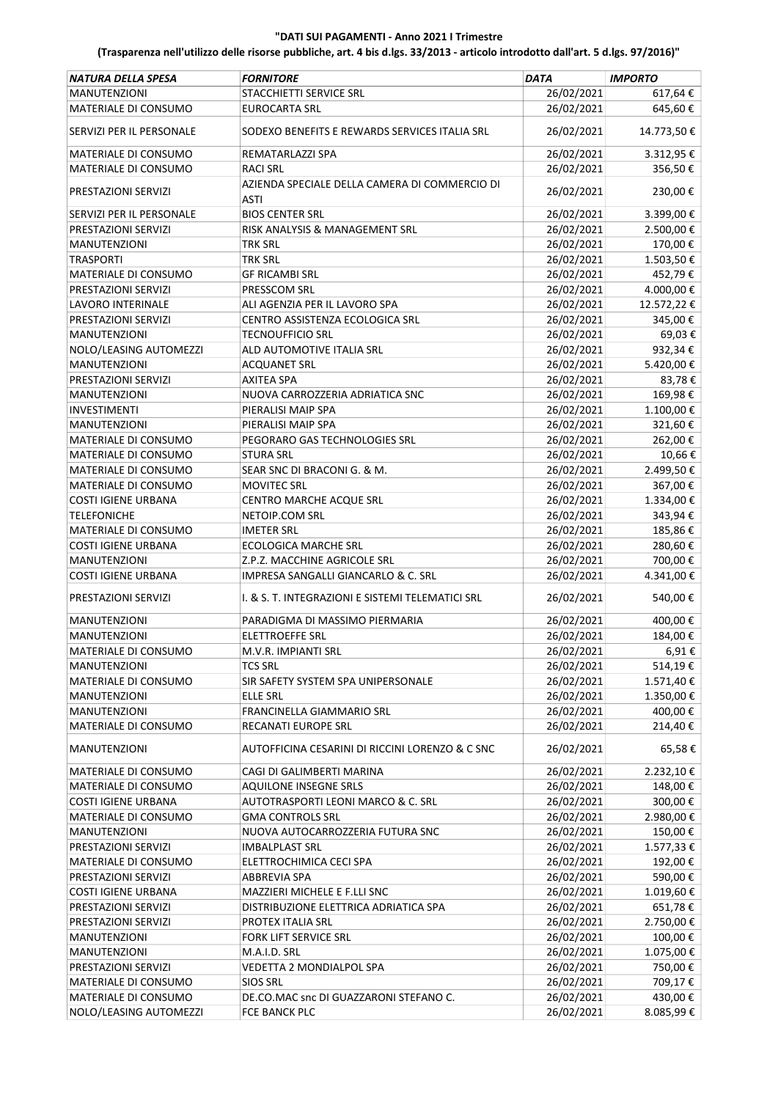| NATURA DELLA SPESA         | <b>FORNITORE</b>                                 | <b>DATA</b> | <b>IMPORTO</b> |
|----------------------------|--------------------------------------------------|-------------|----------------|
| <b>MANUTENZIONI</b>        | STACCHIETTI SERVICE SRL                          | 26/02/2021  | 617,64€        |
| MATERIALE DI CONSUMO       | <b>EUROCARTA SRL</b>                             | 26/02/2021  | 645,60€        |
| SERVIZI PER IL PERSONALE   | SODEXO BENEFITS E REWARDS SERVICES ITALIA SRL    | 26/02/2021  | 14.773,50€     |
| MATERIALE DI CONSUMO       | REMATARLAZZI SPA                                 | 26/02/2021  | 3.312,95€      |
| MATERIALE DI CONSUMO       | <b>RACI SRL</b>                                  | 26/02/2021  | 356,50€        |
|                            | AZIENDA SPECIALE DELLA CAMERA DI COMMERCIO DI    |             |                |
| PRESTAZIONI SERVIZI        | <b>ASTI</b>                                      | 26/02/2021  | 230,00€        |
| SERVIZI PER IL PERSONALE   | <b>BIOS CENTER SRL</b>                           | 26/02/2021  | 3.399,00€      |
| PRESTAZIONI SERVIZI        | RISK ANALYSIS & MANAGEMENT SRL                   | 26/02/2021  | 2.500,00€      |
| <b>MANUTENZIONI</b>        | <b>TRK SRL</b>                                   | 26/02/2021  | 170,00€        |
| <b>TRASPORTI</b>           | <b>TRK SRL</b>                                   | 26/02/2021  | 1.503,50€      |
| MATERIALE DI CONSUMO       | <b>GF RICAMBI SRL</b>                            | 26/02/2021  | 452,79€        |
| PRESTAZIONI SERVIZI        | PRESSCOM SRL                                     | 26/02/2021  | 4.000,00€      |
| <b>LAVORO INTERINALE</b>   | ALI AGENZIA PER IL LAVORO SPA                    | 26/02/2021  | 12.572,22€     |
| PRESTAZIONI SERVIZI        | CENTRO ASSISTENZA ECOLOGICA SRL                  | 26/02/2021  | 345,00€        |
| <b>MANUTENZIONI</b>        | <b>TECNOUFFICIO SRL</b>                          | 26/02/2021  | 69,03€         |
| NOLO/LEASING AUTOMEZZI     | ALD AUTOMOTIVE ITALIA SRL                        | 26/02/2021  | 932,34€        |
| <b>MANUTENZIONI</b>        | <b>ACQUANET SRL</b>                              | 26/02/2021  | 5.420,00€      |
| PRESTAZIONI SERVIZI        | <b>AXITEA SPA</b>                                | 26/02/2021  | 83,78€         |
| <b>MANUTENZIONI</b>        | NUOVA CARROZZERIA ADRIATICA SNC                  | 26/02/2021  | 169,98€        |
| <b>INVESTIMENTI</b>        | PIERALISI MAIP SPA                               | 26/02/2021  | $1.100,00$ €   |
| <b>MANUTENZIONI</b>        | PIERALISI MAIP SPA                               | 26/02/2021  | 321,60€        |
| MATERIALE DI CONSUMO       | PEGORARO GAS TECHNOLOGIES SRL                    | 26/02/2021  | 262,00€        |
| MATERIALE DI CONSUMO       | STURA SRL                                        | 26/02/2021  | 10,66€         |
| MATERIALE DI CONSUMO       | SEAR SNC DI BRACONI G. & M.                      | 26/02/2021  | 2.499,50€      |
| MATERIALE DI CONSUMO       | <b>MOVITEC SRL</b>                               | 26/02/2021  | 367,00€        |
| <b>COSTI IGIENE URBANA</b> | CENTRO MARCHE ACQUE SRL                          | 26/02/2021  | 1.334,00€      |
| <b>TELEFONICHE</b>         | NETOIP.COM SRL                                   | 26/02/2021  | 343,94€        |
| MATERIALE DI CONSUMO       | IMETER SRL                                       | 26/02/2021  | 185,86€        |
| <b>COSTI IGIENE URBANA</b> | <b>ECOLOGICA MARCHE SRL</b>                      | 26/02/2021  | 280,60€        |
| <b>MANUTENZIONI</b>        | Z.P.Z. MACCHINE AGRICOLE SRL                     | 26/02/2021  | 700,00€        |
| <b>COSTI IGIENE URBANA</b> | IMPRESA SANGALLI GIANCARLO & C. SRL              | 26/02/2021  | 4.341,00€      |
| PRESTAZIONI SERVIZI        | I. & S. T. INTEGRAZIONI E SISTEMI TELEMATICI SRL | 26/02/2021  | 540,00€        |
| MANUTENZIONI               | PARADIGMA DI MASSIMO PIERMARIA                   | 26/02/2021  | 400,00€        |
| <b>MANUTENZIONI</b>        | <b>ELETTROEFFE SRL</b>                           | 26/02/2021  | 184,00€        |
| MATERIALE DI CONSUMO       | M.V.R. IMPIANTI SRL                              | 26/02/2021  | 6,91€          |
| <b>MANUTENZIONI</b>        | TCS SRL                                          | 26/02/2021  | 514,19€        |
| MATERIALE DI CONSUMO       | SIR SAFETY SYSTEM SPA UNIPERSONALE               | 26/02/2021  | 1.571,40€      |
| <b>MANUTENZIONI</b>        | <b>ELLE SRL</b>                                  | 26/02/2021  | 1.350,00 €     |
| <b>MANUTENZIONI</b>        | FRANCINELLA GIAMMARIO SRL                        | 26/02/2021  | 400,00€        |
| MATERIALE DI CONSUMO       | RECANATI EUROPE SRL                              | 26/02/2021  | 214,40€        |
| <b>MANUTENZIONI</b>        | AUTOFFICINA CESARINI DI RICCINI LORENZO & C SNC  | 26/02/2021  | 65,58€         |
| MATERIALE DI CONSUMO       | CAGI DI GALIMBERTI MARINA                        | 26/02/2021  | 2.232,10€      |
| MATERIALE DI CONSUMO       | <b>AQUILONE INSEGNE SRLS</b>                     | 26/02/2021  | 148,00€        |
| <b>COSTI IGIENE URBANA</b> | AUTOTRASPORTI LEONI MARCO & C. SRL               | 26/02/2021  | 300,00€        |
| MATERIALE DI CONSUMO       | <b>GMA CONTROLS SRL</b>                          | 26/02/2021  | 2.980,00€      |
| MANUTENZIONI               | NUOVA AUTOCARROZZERIA FUTURA SNC                 | 26/02/2021  | 150,00€        |
| PRESTAZIONI SERVIZI        | <b>IMBALPLAST SRL</b>                            | 26/02/2021  | 1.577,33€      |
| MATERIALE DI CONSUMO       | ELETTROCHIMICA CECI SPA                          | 26/02/2021  | 192,00€        |
| PRESTAZIONI SERVIZI        | <b>ABBREVIA SPA</b>                              | 26/02/2021  | 590,00€        |
| <b>COSTI IGIENE URBANA</b> | MAZZIERI MICHELE E F.LLI SNC                     | 26/02/2021  | 1.019,60€      |
| PRESTAZIONI SERVIZI        | DISTRIBUZIONE ELETTRICA ADRIATICA SPA            | 26/02/2021  | 651,78€        |
| PRESTAZIONI SERVIZI        | PROTEX ITALIA SRL                                | 26/02/2021  | 2.750,00€      |
| <b>MANUTENZIONI</b>        | FORK LIFT SERVICE SRL                            | 26/02/2021  | 100,00€        |
| MANUTENZIONI               | M.A.I.D. SRL                                     | 26/02/2021  | 1.075,00€      |
| PRESTAZIONI SERVIZI        | VEDETTA 2 MONDIALPOL SPA                         | 26/02/2021  | 750,00€        |
| MATERIALE DI CONSUMO       | <b>SIOS SRL</b>                                  | 26/02/2021  | 709,17€        |
| MATERIALE DI CONSUMO       | DE.CO.MAC snc DI GUAZZARONI STEFANO C.           | 26/02/2021  | 430,00€        |
| NOLO/LEASING AUTOMEZZI     | FCE BANCK PLC                                    | 26/02/2021  | 8.085,99€      |
|                            |                                                  |             |                |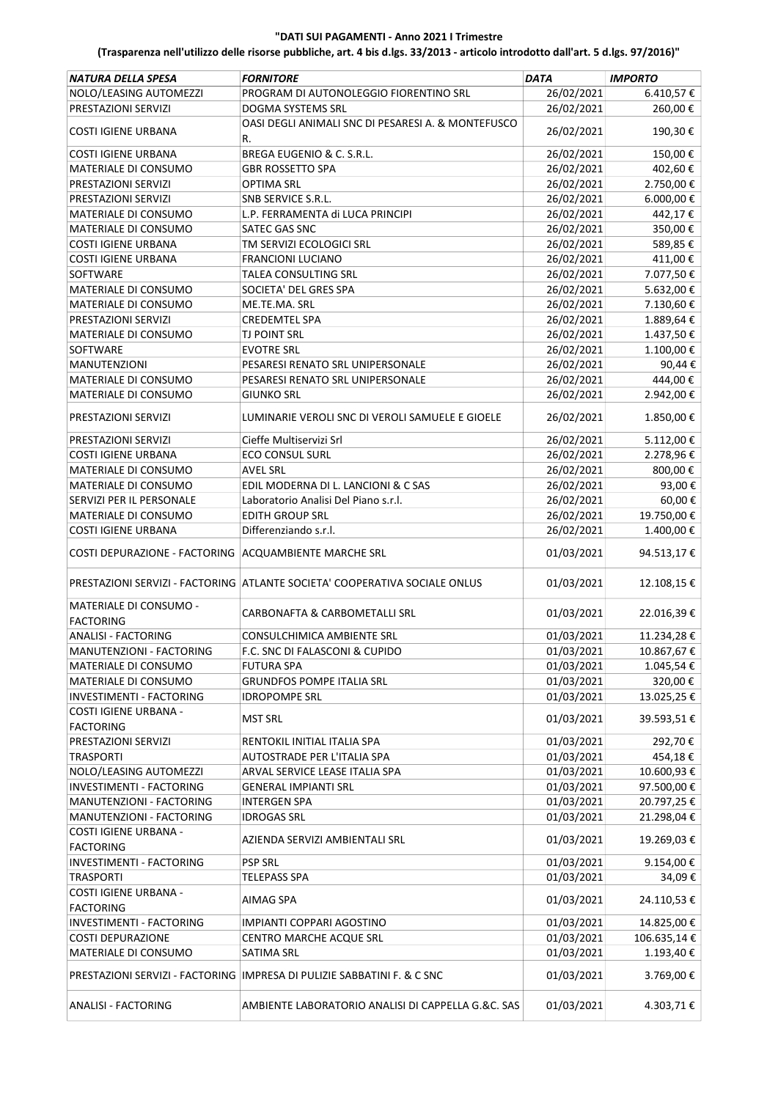| NATURA DELLA SPESA                                        | <b>FORNITORE</b>                                                           | <b>DATA</b>              | <b>IMPORTO</b>           |
|-----------------------------------------------------------|----------------------------------------------------------------------------|--------------------------|--------------------------|
| NOLO/LEASING AUTOMEZZI                                    | PROGRAM DI AUTONOLEGGIO FIORENTINO SRL                                     | 26/02/2021               | 6.410,57€                |
| PRESTAZIONI SERVIZI                                       | DOGMA SYSTEMS SRL                                                          | 26/02/2021               | 260,00€                  |
| <b>COSTI IGIENE URBANA</b>                                | OASI DEGLI ANIMALI SNC DI PESARESI A. & MONTEFUSCO<br>R.                   | 26/02/2021               | 190,30€                  |
| <b>COSTI IGIENE URBANA</b>                                | BREGA EUGENIO & C. S.R.L.                                                  | 26/02/2021               | 150,00€                  |
| MATERIALE DI CONSUMO                                      | <b>GBR ROSSETTO SPA</b>                                                    | 26/02/2021               | 402,60€                  |
| PRESTAZIONI SERVIZI                                       | <b>OPTIMA SRL</b>                                                          | 26/02/2021               | 2.750,00€                |
| PRESTAZIONI SERVIZI                                       | SNB SERVICE S.R.L.                                                         | 26/02/2021               | 6.000,00€                |
| <b>MATERIALE DI CONSUMO</b>                               | L.P. FERRAMENTA di LUCA PRINCIPI                                           | 26/02/2021               | 442,17€                  |
| MATERIALE DI CONSUMO                                      | SATEC GAS SNC                                                              | 26/02/2021               | 350,00€                  |
| <b>COSTI IGIENE URBANA</b>                                | TM SERVIZI ECOLOGICI SRL                                                   | 26/02/2021               | 589,85€                  |
| <b>COSTI IGIENE URBANA</b>                                | <b>FRANCIONI LUCIANO</b>                                                   | 26/02/2021               | 411,00€                  |
| SOFTWARE                                                  | TALEA CONSULTING SRL                                                       | 26/02/2021               | 7.077,50€                |
| MATERIALE DI CONSUMO                                      | SOCIETA' DEL GRES SPA                                                      | 26/02/2021               | 5.632,00€                |
| MATERIALE DI CONSUMO                                      | ME.TE.MA. SRL                                                              | 26/02/2021               | 7.130,60€                |
| PRESTAZIONI SERVIZI                                       | <b>CREDEMTEL SPA</b>                                                       | 26/02/2021               | 1.889,64€                |
| MATERIALE DI CONSUMO                                      | <b>TJ POINT SRL</b>                                                        | 26/02/2021               | 1.437,50€                |
| SOFTWARE                                                  | <b>EVOTRE SRL</b>                                                          | 26/02/2021               | 1.100,00€                |
| <b>MANUTENZIONI</b>                                       | PESARESI RENATO SRL UNIPERSONALE                                           | 26/02/2021               | 90,44€                   |
| MATERIALE DI CONSUMO                                      | PESARESI RENATO SRL UNIPERSONALE                                           | 26/02/2021               | 444,00€                  |
| MATERIALE DI CONSUMO                                      | <b>GIUNKO SRL</b>                                                          | 26/02/2021               | 2.942,00€                |
| PRESTAZIONI SERVIZI                                       | LUMINARIE VEROLI SNC DI VEROLI SAMUELE E GIOELE                            | 26/02/2021               | 1.850,00€                |
| PRESTAZIONI SERVIZI                                       | Cieffe Multiservizi Srl                                                    | 26/02/2021               | 5.112,00€                |
| <b>COSTI IGIENE URBANA</b>                                | ECO CONSUL SURL                                                            | 26/02/2021               | 2.278,96€                |
| MATERIALE DI CONSUMO                                      | AVEL SRL                                                                   | 26/02/2021               | 800,00€                  |
| MATERIALE DI CONSUMO                                      | EDIL MODERNA DI L. LANCIONI & C SAS                                        | 26/02/2021               | 93,00€                   |
| SERVIZI PER IL PERSONALE                                  | Laboratorio Analisi Del Piano s.r.l.                                       | 26/02/2021               | 60,00€                   |
| MATERIALE DI CONSUMO                                      | <b>EDITH GROUP SRL</b>                                                     | 26/02/2021               | 19.750,00€               |
| <b>COSTI IGIENE URBANA</b>                                | Differenziando s.r.l.                                                      | 26/02/2021               | 1.400,00€                |
| COSTI DEPURAZIONE - FACTORING   ACQUAMBIENTE MARCHE SRL   |                                                                            | 01/03/2021               | 94.513,17€               |
|                                                           | PRESTAZIONI SERVIZI - FACTORING ATLANTE SOCIETA' COOPERATIVA SOCIALE ONLUS | 01/03/2021               | 12.108,15€               |
| MATERIALE DI CONSUMO -<br><b>FACTORING</b>                | CARBONAFTA & CARBOMETALLI SRL                                              | 01/03/2021               | 22.016,39€               |
| <b>ANALISI - FACTORING</b>                                | CONSULCHIMICA AMBIENTE SRL                                                 | 01/03/2021               | 11.234,28€               |
| MANUTENZIONI - FACTORING                                  | F.C. SNC DI FALASCONI & CUPIDO                                             | 01/03/2021               | 10.867,67€               |
| MATERIALE DI CONSUMO                                      | <b>FUTURA SPA</b>                                                          | 01/03/2021               | 1.045,54€                |
| <b>MATERIALE DI CONSUMO</b>                               | <b>GRUNDFOS POMPE ITALIA SRL</b>                                           | 01/03/2021               | 320,00€                  |
| INVESTIMENTI - FACTORING                                  | <b>IDROPOMPE SRL</b>                                                       | 01/03/2021               | 13.025,25€               |
| <b>COSTI IGIENE URBANA -</b>                              | <b>MST SRL</b>                                                             | 01/03/2021               | 39.593,51€               |
| <b>FACTORING</b>                                          |                                                                            |                          |                          |
| PRESTAZIONI SERVIZI                                       | RENTOKIL INITIAL ITALIA SPA                                                | 01/03/2021               | 292,70€                  |
| <b>TRASPORTI</b>                                          | AUTOSTRADE PER L'ITALIA SPA                                                | 01/03/2021               | 454,18€                  |
| NOLO/LEASING AUTOMEZZI<br><b>INVESTIMENTI - FACTORING</b> | ARVAL SERVICE LEASE ITALIA SPA                                             | 01/03/2021<br>01/03/2021 | 10.600,93€               |
| MANUTENZIONI - FACTORING                                  | <b>GENERAL IMPIANTI SRL</b><br><b>INTERGEN SPA</b>                         | 01/03/2021               | 97.500,00€<br>20.797,25€ |
| MANUTENZIONI - FACTORING                                  | <b>IDROGAS SRL</b>                                                         | 01/03/2021               | 21.298,04€               |
| <b>COSTI IGIENE URBANA -</b>                              |                                                                            |                          |                          |
| <b>FACTORING</b>                                          | AZIENDA SERVIZI AMBIENTALI SRL                                             | 01/03/2021               | 19.269,03€               |
| INVESTIMENTI - FACTORING                                  | <b>PSP SRL</b>                                                             | 01/03/2021               | 9.154,00€                |
| <b>TRASPORTI</b>                                          | TELEPASS SPA                                                               | 01/03/2021               | 34,09€                   |
| COSTI IGIENE URBANA -<br><b>FACTORING</b>                 | AIMAG SPA                                                                  | 01/03/2021               | 24.110,53€               |
| INVESTIMENTI - FACTORING                                  | IMPIANTI COPPARI AGOSTINO                                                  | 01/03/2021               | 14.825,00€               |
| <b>COSTI DEPURAZIONE</b>                                  | CENTRO MARCHE ACQUE SRL                                                    | 01/03/2021               | 106.635,14€              |
| MATERIALE DI CONSUMO                                      | SATIMA SRL                                                                 | 01/03/2021               | 1.193,40€                |
|                                                           | PRESTAZIONI SERVIZI - FACTORING   IMPRESA DI PULIZIE SABBATINI F. & C SNC  | 01/03/2021               | 3.769,00€                |
| <b>ANALISI - FACTORING</b>                                | AMBIENTE LABORATORIO ANALISI DI CAPPELLA G.&C. SAS                         | 01/03/2021               | 4.303,71€                |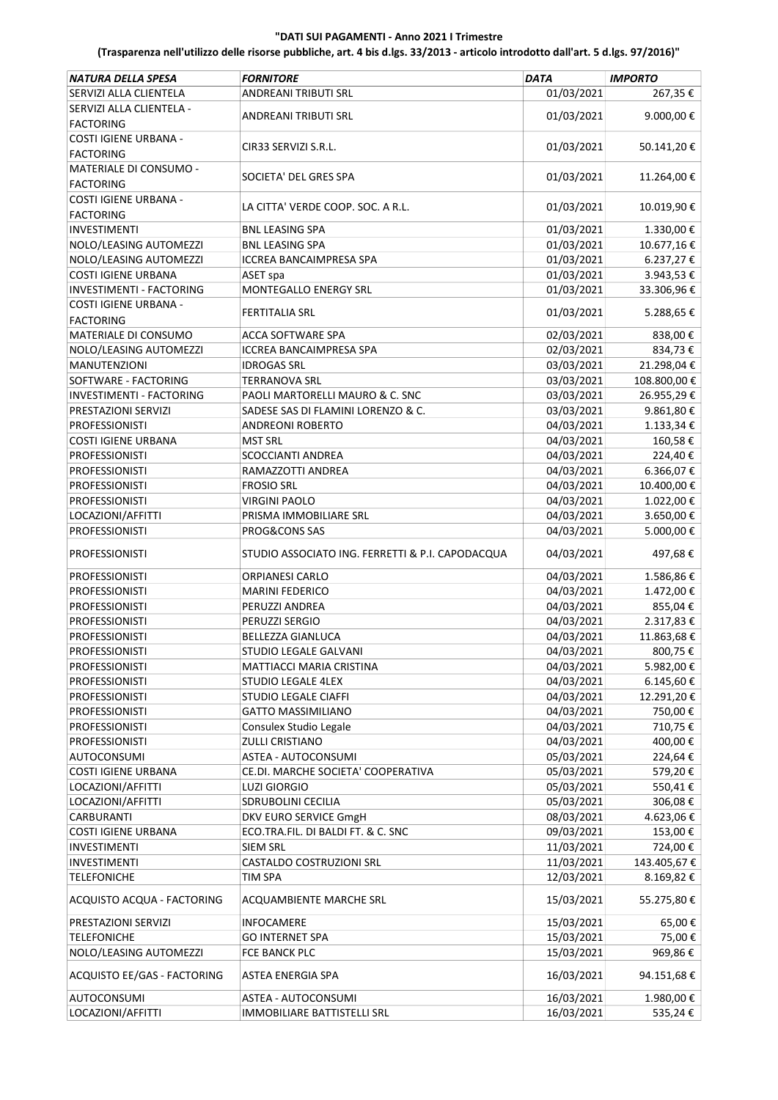| NATURA DELLA SPESA              | <b>FORNITORE</b>                                 | <b>DATA</b> | <b>IMPORTO</b> |
|---------------------------------|--------------------------------------------------|-------------|----------------|
| SERVIZI ALLA CLIENTELA          | ANDREANI TRIBUTI SRL                             | 01/03/2021  | 267,35€        |
| SERVIZI ALLA CLIENTELA -        |                                                  |             |                |
| <b>FACTORING</b>                | <b>ANDREANI TRIBUTI SRL</b>                      | 01/03/2021  | 9.000,00€      |
| <b>COSTI IGIENE URBANA -</b>    |                                                  |             |                |
| <b>FACTORING</b>                | CIR33 SERVIZI S.R.L.                             | 01/03/2021  | 50.141,20€     |
| MATERIALE DI CONSUMO -          |                                                  |             |                |
| <b>FACTORING</b>                | SOCIETA' DEL GRES SPA                            | 01/03/2021  | 11.264,00€     |
| COSTI IGIENE URBANA -           |                                                  |             |                |
| <b>FACTORING</b>                | LA CITTA' VERDE COOP. SOC. A R.L.                | 01/03/2021  | 10.019,90€     |
| <b>INVESTIMENTI</b>             | <b>BNL LEASING SPA</b>                           | 01/03/2021  | 1.330,00€      |
| NOLO/LEASING AUTOMEZZI          | <b>BNL LEASING SPA</b>                           | 01/03/2021  | 10.677,16€     |
| NOLO/LEASING AUTOMEZZI          | <b>ICCREA BANCAIMPRESA SPA</b>                   | 01/03/2021  | 6.237,27€      |
| <b>COSTI IGIENE URBANA</b>      | ASET spa                                         | 01/03/2021  | 3.943,53€      |
| <b>INVESTIMENTI - FACTORING</b> | MONTEGALLO ENERGY SRL                            | 01/03/2021  | 33.306,96€     |
| COSTI IGIENE URBANA -           |                                                  |             |                |
| <b>FACTORING</b>                | FERTITALIA SRL                                   | 01/03/2021  | 5.288,65€      |
| MATERIALE DI CONSUMO            | ACCA SOFTWARE SPA                                | 02/03/2021  | 838,00€        |
| NOLO/LEASING AUTOMEZZI          | ICCREA BANCAIMPRESA SPA                          | 02/03/2021  | 834,73€        |
| <b>MANUTENZIONI</b>             | <b>IDROGAS SRL</b>                               | 03/03/2021  | 21.298,04€     |
| SOFTWARE - FACTORING            |                                                  | 03/03/2021  |                |
| <b>INVESTIMENTI - FACTORING</b> | TERRANOVA SRL                                    |             | 108.800,00€    |
|                                 | PAOLI MARTORELLI MAURO & C. SNC                  | 03/03/2021  | 26.955,29€     |
| PRESTAZIONI SERVIZI             | SADESE SAS DI FLAMINI LORENZO & C.               | 03/03/2021  | 9.861,80€      |
| <b>PROFESSIONISTI</b>           | <b>ANDREONI ROBERTO</b>                          | 04/03/2021  | 1.133,34€      |
| <b>COSTI IGIENE URBANA</b>      | <b>MST SRL</b>                                   | 04/03/2021  | 160,58€        |
| <b>PROFESSIONISTI</b>           | <b>SCOCCIANTI ANDREA</b>                         | 04/03/2021  | 224,40€        |
| <b>PROFESSIONISTI</b>           | RAMAZZOTTI ANDREA                                | 04/03/2021  | 6.366,07€      |
| <b>PROFESSIONISTI</b>           | <b>FROSIO SRL</b>                                | 04/03/2021  | 10.400,00€     |
| <b>PROFESSIONISTI</b>           | <b>VIRGINI PAOLO</b>                             | 04/03/2021  | 1.022,00€      |
| LOCAZIONI/AFFITTI               | PRISMA IMMOBILIARE SRL                           | 04/03/2021  | 3.650,00€      |
| <b>PROFESSIONISTI</b>           | PROG&CONS SAS                                    | 04/03/2021  | 5.000,00€      |
| <b>PROFESSIONISTI</b>           | STUDIO ASSOCIATO ING. FERRETTI & P.I. CAPODACQUA | 04/03/2021  | 497,68€        |
| <b>PROFESSIONISTI</b>           | ORPIANESI CARLO                                  | 04/03/2021  | 1.586,86€      |
| <b>PROFESSIONISTI</b>           | <b>MARINI FEDERICO</b>                           | 04/03/2021  | 1.472,00€      |
| <b>PROFESSIONISTI</b>           | PERUZZI ANDREA                                   | 04/03/2021  | 855,04€        |
| <b>PROFESSIONISTI</b>           | PERUZZI SERGIO                                   | 04/03/2021  | 2.317,83€      |
| <b>PROFESSIONISTI</b>           | <b>BELLEZZA GIANLUCA</b>                         | 04/03/2021  | 11.863,68€     |
| PROFESSIONISTI                  | STUDIO LEGALE GALVANI                            | 04/03/2021  | 800,75€        |
| <b>PROFESSIONISTI</b>           | MATTIACCI MARIA CRISTINA                         | 04/03/2021  | 5.982,00€      |
| <b>PROFESSIONISTI</b>           | <b>STUDIO LEGALE 4LEX</b>                        | 04/03/2021  | 6.145,60€      |
| <b>PROFESSIONISTI</b>           | <b>STUDIO LEGALE CIAFFI</b>                      | 04/03/2021  | 12.291,20€     |
| <b>PROFESSIONISTI</b>           | <b>GATTO MASSIMILIANO</b>                        | 04/03/2021  | 750,00€        |
| <b>PROFESSIONISTI</b>           | Consulex Studio Legale                           | 04/03/2021  | 710,75€        |
| <b>PROFESSIONISTI</b>           | <b>ZULLI CRISTIANO</b>                           | 04/03/2021  | 400,00€        |
| AUTOCONSUMI                     | ASTEA - AUTOCONSUMI                              | 05/03/2021  | 224,64€        |
| <b>COSTI IGIENE URBANA</b>      | CE.DI. MARCHE SOCIETA' COOPERATIVA               | 05/03/2021  | 579,20€        |
| LOCAZIONI/AFFITTI               | <b>LUZI GIORGIO</b>                              | 05/03/2021  | 550,41€        |
| LOCAZIONI/AFFITTI               | SDRUBOLINI CECILIA                               | 05/03/2021  | 306,08€        |
| <b>CARBURANTI</b>               | DKV EURO SERVICE GmgH                            | 08/03/2021  | 4.623,06€      |
| <b>COSTI IGIENE URBANA</b>      | ECO.TRA.FIL. DI BALDI FT. & C. SNC               | 09/03/2021  | 153,00€        |
| <b>INVESTIMENTI</b>             | <b>SIEM SRL</b>                                  | 11/03/2021  | 724,00€        |
| <b>INVESTIMENTI</b>             | CASTALDO COSTRUZIONI SRL                         | 11/03/2021  | 143.405,67€    |
| <b>TELEFONICHE</b>              | TIM SPA                                          | 12/03/2021  | 8.169,82€      |
| ACQUISTO ACQUA - FACTORING      | ACQUAMBIENTE MARCHE SRL                          | 15/03/2021  | 55.275,80€     |
| PRESTAZIONI SERVIZI             | <b>INFOCAMERE</b>                                | 15/03/2021  | 65,00€         |
| <b>TELEFONICHE</b>              | <b>GO INTERNET SPA</b>                           | 15/03/2021  | 75,00 €        |
| NOLO/LEASING AUTOMEZZI          | FCE BANCK PLC                                    | 15/03/2021  | 969,86€        |
| ACQUISTO EE/GAS - FACTORING     | ASTEA ENERGIA SPA                                | 16/03/2021  | 94.151,68€     |
|                                 |                                                  |             |                |
| AUTOCONSUMI                     | ASTEA - AUTOCONSUMI                              | 16/03/2021  | 1.980,00€      |
| LOCAZIONI/AFFITTI               | <b>IMMOBILIARE BATTISTELLI SRL</b>               | 16/03/2021  | 535,24€        |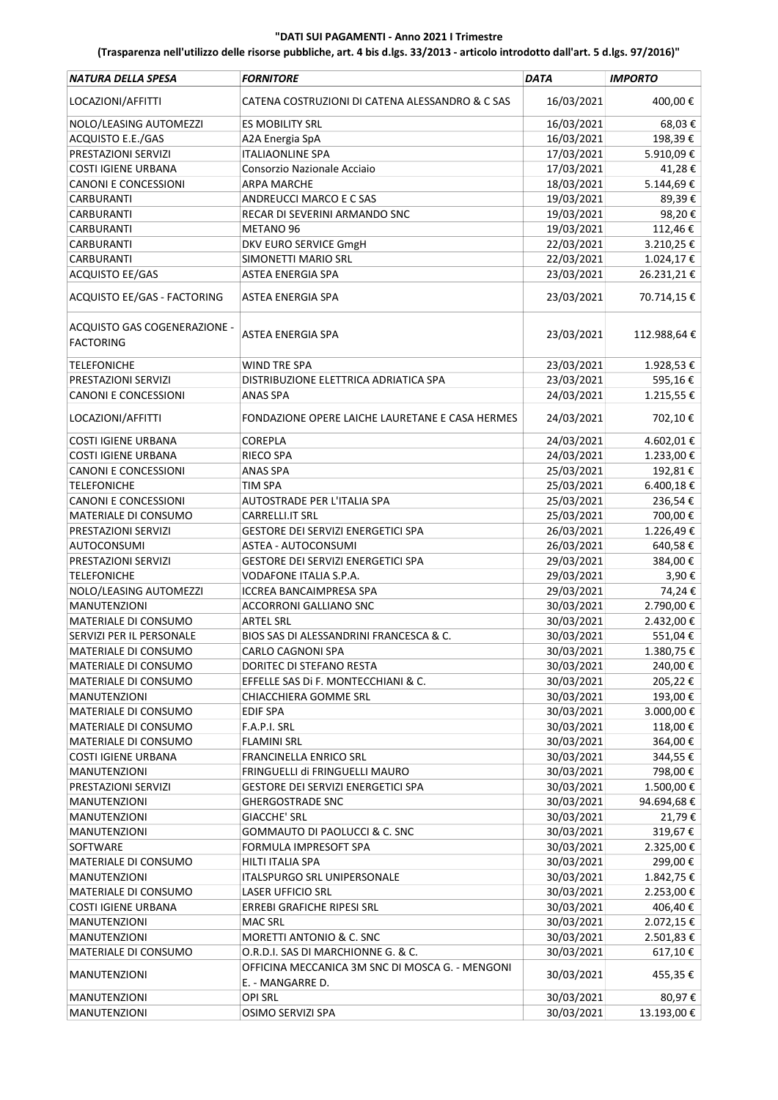| NATURA DELLA SPESA                               | <b>FORNITORE</b>                                                    | <b>DATA</b> | <b>IMPORTO</b> |
|--------------------------------------------------|---------------------------------------------------------------------|-------------|----------------|
| LOCAZIONI/AFFITTI                                | CATENA COSTRUZIONI DI CATENA ALESSANDRO & C SAS                     | 16/03/2021  | 400,00€        |
| NOLO/LEASING AUTOMEZZI                           | <b>ES MOBILITY SRL</b>                                              | 16/03/2021  | 68,03€         |
| ACQUISTO E.E./GAS                                | A2A Energia SpA                                                     | 16/03/2021  | 198,39€        |
| PRESTAZIONI SERVIZI                              | <b>ITALIAONLINE SPA</b>                                             | 17/03/2021  | 5.910,09€      |
| <b>COSTI IGIENE URBANA</b>                       | Consorzio Nazionale Acciaio                                         | 17/03/2021  | 41,28€         |
| <b>CANONI E CONCESSIONI</b>                      | <b>ARPA MARCHE</b>                                                  | 18/03/2021  | 5.144,69€      |
| <b>CARBURANTI</b>                                | ANDREUCCI MARCO E C SAS                                             | 19/03/2021  | 89,39€         |
| <b>CARBURANTI</b>                                | RECAR DI SEVERINI ARMANDO SNC                                       | 19/03/2021  | 98,20€         |
| CARBURANTI                                       | METANO 96                                                           | 19/03/2021  | 112,46€        |
| <b>CARBURANTI</b>                                | DKV EURO SERVICE GmgH                                               | 22/03/2021  | 3.210,25€      |
| <b>CARBURANTI</b>                                | SIMONETTI MARIO SRL                                                 | 22/03/2021  | $1.024,17$ €   |
| <b>ACQUISTO EE/GAS</b>                           | <b>ASTEA ENERGIA SPA</b>                                            | 23/03/2021  | 26.231,21€     |
| ACQUISTO EE/GAS - FACTORING                      | ASTEA ENERGIA SPA                                                   | 23/03/2021  | 70.714,15€     |
| ACQUISTO GAS COGENERAZIONE -<br><b>FACTORING</b> | <b>ASTEA ENERGIA SPA</b>                                            | 23/03/2021  | 112.988,64€    |
| <b>TELEFONICHE</b>                               | WIND TRE SPA                                                        | 23/03/2021  | 1.928,53€      |
| PRESTAZIONI SERVIZI                              | DISTRIBUZIONE ELETTRICA ADRIATICA SPA                               | 23/03/2021  | 595,16€        |
| CANONI E CONCESSIONI                             | <b>ANAS SPA</b>                                                     | 24/03/2021  | 1.215,55€      |
| LOCAZIONI/AFFITTI                                | FONDAZIONE OPERE LAICHE LAURETANE E CASA HERMES                     | 24/03/2021  | 702,10€        |
| COSTI IGIENE URBANA                              | COREPLA                                                             | 24/03/2021  | 4.602,01€      |
| <b>COSTI IGIENE URBANA</b>                       | RIECO SPA                                                           | 24/03/2021  | 1.233,00€      |
| <b>CANONI E CONCESSIONI</b>                      | <b>ANAS SPA</b>                                                     | 25/03/2021  | 192,81€        |
| <b>TELEFONICHE</b>                               | TIM SPA                                                             | 25/03/2021  | 6.400,18€      |
| <b>CANONI E CONCESSIONI</b>                      | AUTOSTRADE PER L'ITALIA SPA                                         | 25/03/2021  | 236,54€        |
| MATERIALE DI CONSUMO                             | CARRELLI.IT SRL                                                     | 25/03/2021  | 700,00€        |
| PRESTAZIONI SERVIZI                              | GESTORE DEI SERVIZI ENERGETICI SPA                                  | 26/03/2021  | 1.226,49€      |
| AUTOCONSUMI                                      | ASTEA - AUTOCONSUMI                                                 | 26/03/2021  | 640,58€        |
| PRESTAZIONI SERVIZI                              | GESTORE DEI SERVIZI ENERGETICI SPA                                  | 29/03/2021  | 384,00€        |
| <b>TELEFONICHE</b>                               | VODAFONE ITALIA S.P.A.                                              | 29/03/2021  | 3,90€          |
| NOLO/LEASING AUTOMEZZI                           | <b>ICCREA BANCAIMPRESA SPA</b>                                      | 29/03/2021  | 74,24€         |
| <b>MANUTENZIONI</b>                              | ACCORRONI GALLIANO SNC                                              | 30/03/2021  | 2.790,00€      |
| MATERIALE DI CONSUMO                             | <b>ARTEL SRL</b>                                                    | 30/03/2021  | 2.432,00€      |
| SERVIZI PER IL PERSONALE                         | BIOS SAS DI ALESSANDRINI FRANCESCA & C.                             | 30/03/2021  | 551,04€        |
| MATERIALE DI CONSUMO                             | CARLO CAGNONI SPA                                                   | 30/03/2021  | 1.380,75€      |
| MATERIALE DI CONSUMO                             | DORITEC DI STEFANO RESTA                                            | 30/03/2021  | 240,00€        |
| MATERIALE DI CONSUMO                             | EFFELLE SAS DI F. MONTECCHIANI & C.                                 | 30/03/2021  | 205,22€        |
| <b>MANUTENZIONI</b>                              | CHIACCHIERA GOMME SRL                                               | 30/03/2021  | 193,00 €       |
| MATERIALE DI CONSUMO                             | <b>EDIF SPA</b>                                                     | 30/03/2021  | 3.000,00 €     |
| MATERIALE DI CONSUMO                             | F.A.P.I. SRL                                                        | 30/03/2021  | 118,00€        |
| MATERIALE DI CONSUMO                             | <b>FLAMINI SRL</b>                                                  | 30/03/2021  | 364,00€        |
| <b>COSTI IGIENE URBANA</b>                       | FRANCINELLA ENRICO SRL                                              | 30/03/2021  | 344,55€        |
| <b>MANUTENZIONI</b>                              | FRINGUELLI di FRINGUELLI MAURO                                      | 30/03/2021  | 798,00€        |
| PRESTAZIONI SERVIZI                              | GESTORE DEI SERVIZI ENERGETICI SPA                                  | 30/03/2021  | 1.500,00€      |
| <b>MANUTENZIONI</b>                              | <b>GHERGOSTRADE SNC</b>                                             | 30/03/2021  | 94.694,68€     |
| <b>MANUTENZIONI</b>                              | <b>GIACCHE' SRL</b>                                                 | 30/03/2021  | 21,79€         |
| <b>MANUTENZIONI</b>                              | GOMMAUTO DI PAOLUCCI & C. SNC                                       | 30/03/2021  | 319,67€        |
| SOFTWARE                                         | FORMULA IMPRESOFT SPA                                               | 30/03/2021  | 2.325,00€      |
| MATERIALE DI CONSUMO                             | HILTI ITALIA SPA                                                    | 30/03/2021  | 299,00€        |
| MANUTENZIONI                                     | ITALSPURGO SRL UNIPERSONALE                                         | 30/03/2021  | 1.842,75€      |
| MATERIALE DI CONSUMO                             | <b>LASER UFFICIO SRL</b>                                            | 30/03/2021  | 2.253,00€      |
| <b>COSTI IGIENE URBANA</b>                       | ERREBI GRAFICHE RIPESI SRL                                          | 30/03/2021  | 406,40 €       |
| <b>MANUTENZIONI</b>                              | MAC SRL                                                             | 30/03/2021  | 2.072,15€      |
| <b>MANUTENZIONI</b>                              | MORETTI ANTONIO & C. SNC                                            | 30/03/2021  | 2.501,83 €     |
| MATERIALE DI CONSUMO                             | O.R.D.I. SAS DI MARCHIONNE G. & C.                                  | 30/03/2021  | 617,10€        |
| <b>MANUTENZIONI</b>                              | OFFICINA MECCANICA 3M SNC DI MOSCA G. - MENGONI<br>E. - MANGARRE D. | 30/03/2021  | 455,35€        |
| <b>MANUTENZIONI</b>                              | <b>OPI SRL</b>                                                      | 30/03/2021  | 80,97€         |
| <b>MANUTENZIONI</b>                              | OSIMO SERVIZI SPA                                                   | 30/03/2021  | 13.193,00 €    |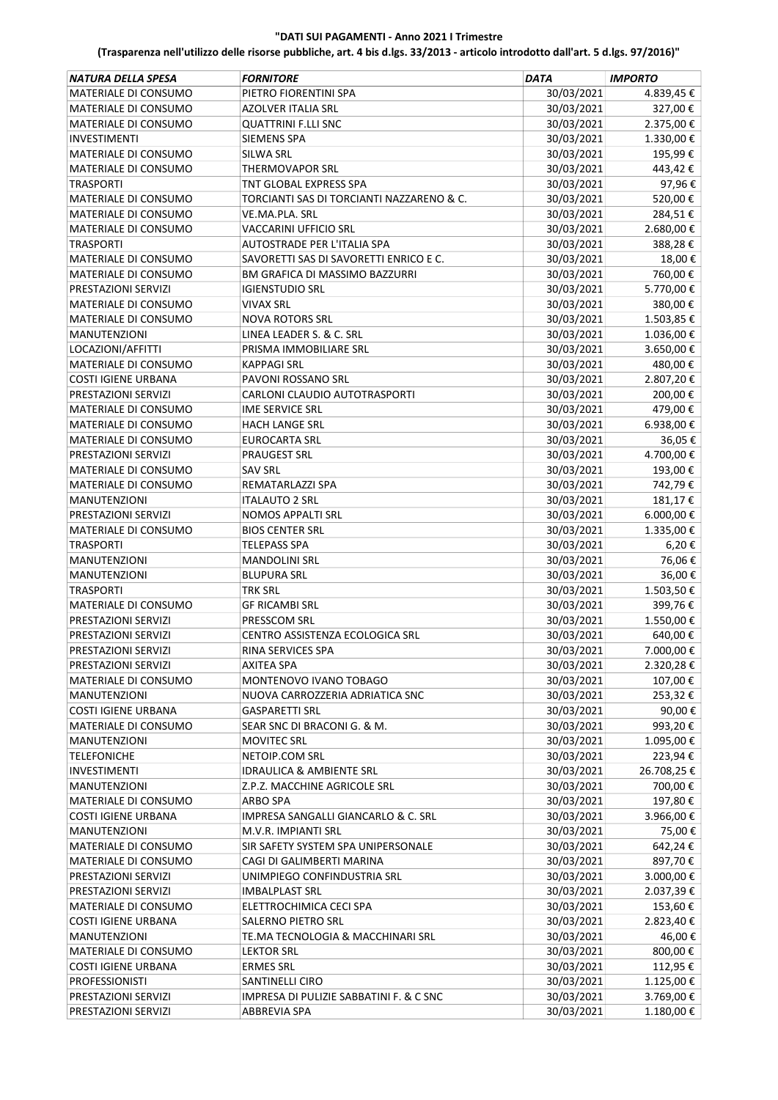| 30/03/2021<br>MATERIALE DI CONSUMO<br>PIETRO FIORENTINI SPA<br>4.839,45€<br>30/03/2021<br>327,00€<br>MATERIALE DI CONSUMO<br>AZOLVER ITALIA SRL<br>30/03/2021<br>2.375,00€<br>MATERIALE DI CONSUMO<br><b>QUATTRINI F.LLI SNC</b><br>30/03/2021<br>1.330,00€<br><b>INVESTIMENTI</b><br><b>SIEMENS SPA</b><br>30/03/2021<br>195,99€<br>MATERIALE DI CONSUMO<br>SILWA SRL<br>30/03/2021<br>443,42€<br>MATERIALE DI CONSUMO<br><b>THERMOVAPOR SRL</b><br>30/03/2021<br>97,96€<br><b>TRASPORTI</b><br>TNT GLOBAL EXPRESS SPA<br>30/03/2021<br>MATERIALE DI CONSUMO<br>TORCIANTI SAS DI TORCIANTI NAZZARENO & C.<br>520,00€<br>30/03/2021<br>284,51€<br>MATERIALE DI CONSUMO<br>VE.MA.PLA. SRL<br>30/03/2021<br>2.680,00€<br>MATERIALE DI CONSUMO<br><b>VACCARINI UFFICIO SRL</b><br>AUTOSTRADE PER L'ITALIA SPA<br>30/03/2021<br>388,28€<br><b>TRASPORTI</b><br>MATERIALE DI CONSUMO<br>SAVORETTI SAS DI SAVORETTI ENRICO E C.<br>30/03/2021<br>18,00€<br>MATERIALE DI CONSUMO<br>BM GRAFICA DI MASSIMO BAZZURRI<br>30/03/2021<br>760,00€<br>30/03/2021<br>5.770,00€<br>PRESTAZIONI SERVIZI<br><b>IGIENSTUDIO SRL</b><br>MATERIALE DI CONSUMO<br>30/03/2021<br>380,00€<br><b>VIVAX SRL</b><br>30/03/2021<br>1.503,85€<br>MATERIALE DI CONSUMO<br><b>NOVA ROTORS SRL</b><br>LINEA LEADER S. & C. SRL<br>30/03/2021<br>1.036,00€<br><b>MANUTENZIONI</b><br>30/03/2021<br>3.650,00€<br>LOCAZIONI/AFFITTI<br>PRISMA IMMOBILIARE SRL<br>MATERIALE DI CONSUMO<br>30/03/2021<br>480,00€<br><b>KAPPAGI SRL</b><br>30/03/2021<br>2.807,20€<br><b>COSTI IGIENE URBANA</b><br><b>PAVONI ROSSANO SRL</b><br>30/03/2021<br>200,00€<br>PRESTAZIONI SERVIZI<br>CARLONI CLAUDIO AUTOTRASPORTI<br>30/03/2021<br>479,00€<br>MATERIALE DI CONSUMO<br><b>IME SERVICE SRL</b><br>6.938,00€<br>MATERIALE DI CONSUMO<br>30/03/2021<br><b>HACH LANGE SRL</b><br>MATERIALE DI CONSUMO<br>30/03/2021<br>36,05€<br><b>EUROCARTA SRL</b><br>4.700,00€<br>PRESTAZIONI SERVIZI<br><b>PRAUGEST SRL</b><br>30/03/2021<br>30/03/2021<br>193,00€<br>MATERIALE DI CONSUMO<br><b>SAV SRL</b><br>30/03/2021<br>742,79€<br>MATERIALE DI CONSUMO<br>REMATARLAZZI SPA<br>30/03/2021<br>181,17€<br><b>MANUTENZIONI</b><br>ITALAUTO 2 SRL<br>30/03/2021<br>6.000,00 €<br><b>NOMOS APPALTI SRL</b><br>PRESTAZIONI SERVIZI<br>30/03/2021<br>1.335,00€<br>MATERIALE DI CONSUMO<br><b>BIOS CENTER SRL</b><br>30/03/2021<br>6,20€<br><b>TRASPORTI</b><br>TELEPASS SPA<br>30/03/2021<br>76,06€<br><b>MANUTENZIONI</b><br><b>MANDOLINI SRL</b><br>30/03/2021<br>36,00€<br><b>MANUTENZIONI</b><br><b>BLUPURA SRL</b><br>30/03/2021<br>1.503,50€<br><b>TRASPORTI</b><br><b>TRK SRL</b><br>30/03/2021<br>MATERIALE DI CONSUMO<br><b>GF RICAMBI SRL</b><br>399,76€<br>PRESSCOM SRL<br>30/03/2021<br>1.550,00€<br>PRESTAZIONI SERVIZI<br>640,00€<br>PRESTAZIONI SERVIZI<br>CENTRO ASSISTENZA ECOLOGICA SRL<br>30/03/2021<br>PRESTAZIONI SERVIZI<br>RINA SERVICES SPA<br>30/03/2021<br>7.000,00 €<br><b>AXITEA SPA</b><br>30/03/2021<br>2.320,28€<br>PRESTAZIONI SERVIZI<br>30/03/2021<br>107,00€<br>MATERIALE DI CONSUMO<br>MONTENOVO IVANO TOBAGO<br>30/03/2021<br>253,32€<br><b>MANUTENZIONI</b><br>NUOVA CARROZZERIA ADRIATICA SNC<br>30/03/2021<br>90,00€<br><b>COSTI IGIENE URBANA</b><br><b>GASPARETTI SRL</b><br>30/03/2021<br>MATERIALE DI CONSUMO<br>SEAR SNC DI BRACONI G. & M.<br>993,20€<br>30/03/2021<br>1.095,00€<br><b>MANUTENZIONI</b><br><b>MOVITEC SRL</b><br>30/03/2021<br>223,94€<br><b>TELEFONICHE</b><br>NETOIP.COM SRL<br>30/03/2021<br>26.708,25€<br>INVESTIMENTI<br><b>IDRAULICA &amp; AMBIENTE SRL</b><br>30/03/2021<br>700,00€<br><b>MANUTENZIONI</b><br>Z.P.Z. MACCHINE AGRICOLE SRL<br>197,80€<br>30/03/2021<br>MATERIALE DI CONSUMO<br>ARBO SPA<br>30/03/2021<br>3.966,00€<br><b>COSTI IGIENE URBANA</b><br>IMPRESA SANGALLI GIANCARLO & C. SRL<br>30/03/2021<br>75,00€<br><b>MANUTENZIONI</b><br>M.V.R. IMPIANTI SRL<br>MATERIALE DI CONSUMO<br>SIR SAFETY SYSTEM SPA UNIPERSONALE<br>30/03/2021<br>642,24€<br>30/03/2021<br>MATERIALE DI CONSUMO<br>CAGI DI GALIMBERTI MARINA<br>897,70€<br>30/03/2021<br>3.000,00 €<br>PRESTAZIONI SERVIZI<br>UNIMPIEGO CONFINDUSTRIA SRL<br>30/03/2021<br>2.037,39€<br>PRESTAZIONI SERVIZI<br><b>IMBALPLAST SRL</b><br>30/03/2021<br>153,60€<br>MATERIALE DI CONSUMO<br>ELETTROCHIMICA CECI SPA<br>30/03/2021<br><b>COSTI IGIENE URBANA</b><br>SALERNO PIETRO SRL<br>2.823,40€<br>30/03/2021<br><b>MANUTENZIONI</b><br>TE.MA TECNOLOGIA & MACCHINARI SRL<br>46,00€<br>30/03/2021<br>800,00€<br>MATERIALE DI CONSUMO<br><b>LEKTOR SRL</b><br>30/03/2021<br>112,95€<br><b>COSTI IGIENE URBANA</b><br><b>ERMES SRL</b><br>30/03/2021<br>1.125,00€<br>PROFESSIONISTI<br>SANTINELLI CIRO<br>30/03/2021<br>3.769,00€<br>PRESTAZIONI SERVIZI<br>IMPRESA DI PULIZIE SABBATINI F. & C SNC | NATURA DELLA SPESA  | <b>FORNITORE</b> | <b>DATA</b> | <b>IMPORTO</b> |
|-----------------------------------------------------------------------------------------------------------------------------------------------------------------------------------------------------------------------------------------------------------------------------------------------------------------------------------------------------------------------------------------------------------------------------------------------------------------------------------------------------------------------------------------------------------------------------------------------------------------------------------------------------------------------------------------------------------------------------------------------------------------------------------------------------------------------------------------------------------------------------------------------------------------------------------------------------------------------------------------------------------------------------------------------------------------------------------------------------------------------------------------------------------------------------------------------------------------------------------------------------------------------------------------------------------------------------------------------------------------------------------------------------------------------------------------------------------------------------------------------------------------------------------------------------------------------------------------------------------------------------------------------------------------------------------------------------------------------------------------------------------------------------------------------------------------------------------------------------------------------------------------------------------------------------------------------------------------------------------------------------------------------------------------------------------------------------------------------------------------------------------------------------------------------------------------------------------------------------------------------------------------------------------------------------------------------------------------------------------------------------------------------------------------------------------------------------------------------------------------------------------------------------------------------------------------------------------------------------------------------------------------------------------------------------------------------------------------------------------------------------------------------------------------------------------------------------------------------------------------------------------------------------------------------------------------------------------------------------------------------------------------------------------------------------------------------------------------------------------------------------------------------------------------------------------------------------------------------------------------------------------------------------------------------------------------------------------------------------------------------------------------------------------------------------------------------------------------------------------------------------------------------------------------------------------------------------------------------------------------------------------------------------------------------------------------------------------------------------------------------------------------------------------------------------------------------------------------------------------------------------------------------------------------------------------------------------------------------------------------------------------------------------------------------------------------------------------------------------------------------------------------------------------------------------------------------------------------------------------------------------------------------------------------------------------------------------------------------------------------------------------------------------------------------------------------------------------------------------------------------------------------------------------------------------------------------------------------------------------------------------------------------------------------------------------------------------------------------------------------------------------------------------------------|---------------------|------------------|-------------|----------------|
|                                                                                                                                                                                                                                                                                                                                                                                                                                                                                                                                                                                                                                                                                                                                                                                                                                                                                                                                                                                                                                                                                                                                                                                                                                                                                                                                                                                                                                                                                                                                                                                                                                                                                                                                                                                                                                                                                                                                                                                                                                                                                                                                                                                                                                                                                                                                                                                                                                                                                                                                                                                                                                                                                                                                                                                                                                                                                                                                                                                                                                                                                                                                                                                                                                                                                                                                                                                                                                                                                                                                                                                                                                                                                                                                                                                                                                                                                                                                                                                                                                                                                                                                                                                                                                                                                                                                                                                                                                                                                                                                                                                                                                                                                                                                                                                         |                     |                  |             |                |
|                                                                                                                                                                                                                                                                                                                                                                                                                                                                                                                                                                                                                                                                                                                                                                                                                                                                                                                                                                                                                                                                                                                                                                                                                                                                                                                                                                                                                                                                                                                                                                                                                                                                                                                                                                                                                                                                                                                                                                                                                                                                                                                                                                                                                                                                                                                                                                                                                                                                                                                                                                                                                                                                                                                                                                                                                                                                                                                                                                                                                                                                                                                                                                                                                                                                                                                                                                                                                                                                                                                                                                                                                                                                                                                                                                                                                                                                                                                                                                                                                                                                                                                                                                                                                                                                                                                                                                                                                                                                                                                                                                                                                                                                                                                                                                                         |                     |                  |             |                |
|                                                                                                                                                                                                                                                                                                                                                                                                                                                                                                                                                                                                                                                                                                                                                                                                                                                                                                                                                                                                                                                                                                                                                                                                                                                                                                                                                                                                                                                                                                                                                                                                                                                                                                                                                                                                                                                                                                                                                                                                                                                                                                                                                                                                                                                                                                                                                                                                                                                                                                                                                                                                                                                                                                                                                                                                                                                                                                                                                                                                                                                                                                                                                                                                                                                                                                                                                                                                                                                                                                                                                                                                                                                                                                                                                                                                                                                                                                                                                                                                                                                                                                                                                                                                                                                                                                                                                                                                                                                                                                                                                                                                                                                                                                                                                                                         |                     |                  |             |                |
|                                                                                                                                                                                                                                                                                                                                                                                                                                                                                                                                                                                                                                                                                                                                                                                                                                                                                                                                                                                                                                                                                                                                                                                                                                                                                                                                                                                                                                                                                                                                                                                                                                                                                                                                                                                                                                                                                                                                                                                                                                                                                                                                                                                                                                                                                                                                                                                                                                                                                                                                                                                                                                                                                                                                                                                                                                                                                                                                                                                                                                                                                                                                                                                                                                                                                                                                                                                                                                                                                                                                                                                                                                                                                                                                                                                                                                                                                                                                                                                                                                                                                                                                                                                                                                                                                                                                                                                                                                                                                                                                                                                                                                                                                                                                                                                         |                     |                  |             |                |
|                                                                                                                                                                                                                                                                                                                                                                                                                                                                                                                                                                                                                                                                                                                                                                                                                                                                                                                                                                                                                                                                                                                                                                                                                                                                                                                                                                                                                                                                                                                                                                                                                                                                                                                                                                                                                                                                                                                                                                                                                                                                                                                                                                                                                                                                                                                                                                                                                                                                                                                                                                                                                                                                                                                                                                                                                                                                                                                                                                                                                                                                                                                                                                                                                                                                                                                                                                                                                                                                                                                                                                                                                                                                                                                                                                                                                                                                                                                                                                                                                                                                                                                                                                                                                                                                                                                                                                                                                                                                                                                                                                                                                                                                                                                                                                                         |                     |                  |             |                |
|                                                                                                                                                                                                                                                                                                                                                                                                                                                                                                                                                                                                                                                                                                                                                                                                                                                                                                                                                                                                                                                                                                                                                                                                                                                                                                                                                                                                                                                                                                                                                                                                                                                                                                                                                                                                                                                                                                                                                                                                                                                                                                                                                                                                                                                                                                                                                                                                                                                                                                                                                                                                                                                                                                                                                                                                                                                                                                                                                                                                                                                                                                                                                                                                                                                                                                                                                                                                                                                                                                                                                                                                                                                                                                                                                                                                                                                                                                                                                                                                                                                                                                                                                                                                                                                                                                                                                                                                                                                                                                                                                                                                                                                                                                                                                                                         |                     |                  |             |                |
|                                                                                                                                                                                                                                                                                                                                                                                                                                                                                                                                                                                                                                                                                                                                                                                                                                                                                                                                                                                                                                                                                                                                                                                                                                                                                                                                                                                                                                                                                                                                                                                                                                                                                                                                                                                                                                                                                                                                                                                                                                                                                                                                                                                                                                                                                                                                                                                                                                                                                                                                                                                                                                                                                                                                                                                                                                                                                                                                                                                                                                                                                                                                                                                                                                                                                                                                                                                                                                                                                                                                                                                                                                                                                                                                                                                                                                                                                                                                                                                                                                                                                                                                                                                                                                                                                                                                                                                                                                                                                                                                                                                                                                                                                                                                                                                         |                     |                  |             |                |
|                                                                                                                                                                                                                                                                                                                                                                                                                                                                                                                                                                                                                                                                                                                                                                                                                                                                                                                                                                                                                                                                                                                                                                                                                                                                                                                                                                                                                                                                                                                                                                                                                                                                                                                                                                                                                                                                                                                                                                                                                                                                                                                                                                                                                                                                                                                                                                                                                                                                                                                                                                                                                                                                                                                                                                                                                                                                                                                                                                                                                                                                                                                                                                                                                                                                                                                                                                                                                                                                                                                                                                                                                                                                                                                                                                                                                                                                                                                                                                                                                                                                                                                                                                                                                                                                                                                                                                                                                                                                                                                                                                                                                                                                                                                                                                                         |                     |                  |             |                |
|                                                                                                                                                                                                                                                                                                                                                                                                                                                                                                                                                                                                                                                                                                                                                                                                                                                                                                                                                                                                                                                                                                                                                                                                                                                                                                                                                                                                                                                                                                                                                                                                                                                                                                                                                                                                                                                                                                                                                                                                                                                                                                                                                                                                                                                                                                                                                                                                                                                                                                                                                                                                                                                                                                                                                                                                                                                                                                                                                                                                                                                                                                                                                                                                                                                                                                                                                                                                                                                                                                                                                                                                                                                                                                                                                                                                                                                                                                                                                                                                                                                                                                                                                                                                                                                                                                                                                                                                                                                                                                                                                                                                                                                                                                                                                                                         |                     |                  |             |                |
|                                                                                                                                                                                                                                                                                                                                                                                                                                                                                                                                                                                                                                                                                                                                                                                                                                                                                                                                                                                                                                                                                                                                                                                                                                                                                                                                                                                                                                                                                                                                                                                                                                                                                                                                                                                                                                                                                                                                                                                                                                                                                                                                                                                                                                                                                                                                                                                                                                                                                                                                                                                                                                                                                                                                                                                                                                                                                                                                                                                                                                                                                                                                                                                                                                                                                                                                                                                                                                                                                                                                                                                                                                                                                                                                                                                                                                                                                                                                                                                                                                                                                                                                                                                                                                                                                                                                                                                                                                                                                                                                                                                                                                                                                                                                                                                         |                     |                  |             |                |
|                                                                                                                                                                                                                                                                                                                                                                                                                                                                                                                                                                                                                                                                                                                                                                                                                                                                                                                                                                                                                                                                                                                                                                                                                                                                                                                                                                                                                                                                                                                                                                                                                                                                                                                                                                                                                                                                                                                                                                                                                                                                                                                                                                                                                                                                                                                                                                                                                                                                                                                                                                                                                                                                                                                                                                                                                                                                                                                                                                                                                                                                                                                                                                                                                                                                                                                                                                                                                                                                                                                                                                                                                                                                                                                                                                                                                                                                                                                                                                                                                                                                                                                                                                                                                                                                                                                                                                                                                                                                                                                                                                                                                                                                                                                                                                                         |                     |                  |             |                |
|                                                                                                                                                                                                                                                                                                                                                                                                                                                                                                                                                                                                                                                                                                                                                                                                                                                                                                                                                                                                                                                                                                                                                                                                                                                                                                                                                                                                                                                                                                                                                                                                                                                                                                                                                                                                                                                                                                                                                                                                                                                                                                                                                                                                                                                                                                                                                                                                                                                                                                                                                                                                                                                                                                                                                                                                                                                                                                                                                                                                                                                                                                                                                                                                                                                                                                                                                                                                                                                                                                                                                                                                                                                                                                                                                                                                                                                                                                                                                                                                                                                                                                                                                                                                                                                                                                                                                                                                                                                                                                                                                                                                                                                                                                                                                                                         |                     |                  |             |                |
|                                                                                                                                                                                                                                                                                                                                                                                                                                                                                                                                                                                                                                                                                                                                                                                                                                                                                                                                                                                                                                                                                                                                                                                                                                                                                                                                                                                                                                                                                                                                                                                                                                                                                                                                                                                                                                                                                                                                                                                                                                                                                                                                                                                                                                                                                                                                                                                                                                                                                                                                                                                                                                                                                                                                                                                                                                                                                                                                                                                                                                                                                                                                                                                                                                                                                                                                                                                                                                                                                                                                                                                                                                                                                                                                                                                                                                                                                                                                                                                                                                                                                                                                                                                                                                                                                                                                                                                                                                                                                                                                                                                                                                                                                                                                                                                         |                     |                  |             |                |
|                                                                                                                                                                                                                                                                                                                                                                                                                                                                                                                                                                                                                                                                                                                                                                                                                                                                                                                                                                                                                                                                                                                                                                                                                                                                                                                                                                                                                                                                                                                                                                                                                                                                                                                                                                                                                                                                                                                                                                                                                                                                                                                                                                                                                                                                                                                                                                                                                                                                                                                                                                                                                                                                                                                                                                                                                                                                                                                                                                                                                                                                                                                                                                                                                                                                                                                                                                                                                                                                                                                                                                                                                                                                                                                                                                                                                                                                                                                                                                                                                                                                                                                                                                                                                                                                                                                                                                                                                                                                                                                                                                                                                                                                                                                                                                                         |                     |                  |             |                |
|                                                                                                                                                                                                                                                                                                                                                                                                                                                                                                                                                                                                                                                                                                                                                                                                                                                                                                                                                                                                                                                                                                                                                                                                                                                                                                                                                                                                                                                                                                                                                                                                                                                                                                                                                                                                                                                                                                                                                                                                                                                                                                                                                                                                                                                                                                                                                                                                                                                                                                                                                                                                                                                                                                                                                                                                                                                                                                                                                                                                                                                                                                                                                                                                                                                                                                                                                                                                                                                                                                                                                                                                                                                                                                                                                                                                                                                                                                                                                                                                                                                                                                                                                                                                                                                                                                                                                                                                                                                                                                                                                                                                                                                                                                                                                                                         |                     |                  |             |                |
|                                                                                                                                                                                                                                                                                                                                                                                                                                                                                                                                                                                                                                                                                                                                                                                                                                                                                                                                                                                                                                                                                                                                                                                                                                                                                                                                                                                                                                                                                                                                                                                                                                                                                                                                                                                                                                                                                                                                                                                                                                                                                                                                                                                                                                                                                                                                                                                                                                                                                                                                                                                                                                                                                                                                                                                                                                                                                                                                                                                                                                                                                                                                                                                                                                                                                                                                                                                                                                                                                                                                                                                                                                                                                                                                                                                                                                                                                                                                                                                                                                                                                                                                                                                                                                                                                                                                                                                                                                                                                                                                                                                                                                                                                                                                                                                         |                     |                  |             |                |
|                                                                                                                                                                                                                                                                                                                                                                                                                                                                                                                                                                                                                                                                                                                                                                                                                                                                                                                                                                                                                                                                                                                                                                                                                                                                                                                                                                                                                                                                                                                                                                                                                                                                                                                                                                                                                                                                                                                                                                                                                                                                                                                                                                                                                                                                                                                                                                                                                                                                                                                                                                                                                                                                                                                                                                                                                                                                                                                                                                                                                                                                                                                                                                                                                                                                                                                                                                                                                                                                                                                                                                                                                                                                                                                                                                                                                                                                                                                                                                                                                                                                                                                                                                                                                                                                                                                                                                                                                                                                                                                                                                                                                                                                                                                                                                                         |                     |                  |             |                |
|                                                                                                                                                                                                                                                                                                                                                                                                                                                                                                                                                                                                                                                                                                                                                                                                                                                                                                                                                                                                                                                                                                                                                                                                                                                                                                                                                                                                                                                                                                                                                                                                                                                                                                                                                                                                                                                                                                                                                                                                                                                                                                                                                                                                                                                                                                                                                                                                                                                                                                                                                                                                                                                                                                                                                                                                                                                                                                                                                                                                                                                                                                                                                                                                                                                                                                                                                                                                                                                                                                                                                                                                                                                                                                                                                                                                                                                                                                                                                                                                                                                                                                                                                                                                                                                                                                                                                                                                                                                                                                                                                                                                                                                                                                                                                                                         |                     |                  |             |                |
|                                                                                                                                                                                                                                                                                                                                                                                                                                                                                                                                                                                                                                                                                                                                                                                                                                                                                                                                                                                                                                                                                                                                                                                                                                                                                                                                                                                                                                                                                                                                                                                                                                                                                                                                                                                                                                                                                                                                                                                                                                                                                                                                                                                                                                                                                                                                                                                                                                                                                                                                                                                                                                                                                                                                                                                                                                                                                                                                                                                                                                                                                                                                                                                                                                                                                                                                                                                                                                                                                                                                                                                                                                                                                                                                                                                                                                                                                                                                                                                                                                                                                                                                                                                                                                                                                                                                                                                                                                                                                                                                                                                                                                                                                                                                                                                         |                     |                  |             |                |
|                                                                                                                                                                                                                                                                                                                                                                                                                                                                                                                                                                                                                                                                                                                                                                                                                                                                                                                                                                                                                                                                                                                                                                                                                                                                                                                                                                                                                                                                                                                                                                                                                                                                                                                                                                                                                                                                                                                                                                                                                                                                                                                                                                                                                                                                                                                                                                                                                                                                                                                                                                                                                                                                                                                                                                                                                                                                                                                                                                                                                                                                                                                                                                                                                                                                                                                                                                                                                                                                                                                                                                                                                                                                                                                                                                                                                                                                                                                                                                                                                                                                                                                                                                                                                                                                                                                                                                                                                                                                                                                                                                                                                                                                                                                                                                                         |                     |                  |             |                |
|                                                                                                                                                                                                                                                                                                                                                                                                                                                                                                                                                                                                                                                                                                                                                                                                                                                                                                                                                                                                                                                                                                                                                                                                                                                                                                                                                                                                                                                                                                                                                                                                                                                                                                                                                                                                                                                                                                                                                                                                                                                                                                                                                                                                                                                                                                                                                                                                                                                                                                                                                                                                                                                                                                                                                                                                                                                                                                                                                                                                                                                                                                                                                                                                                                                                                                                                                                                                                                                                                                                                                                                                                                                                                                                                                                                                                                                                                                                                                                                                                                                                                                                                                                                                                                                                                                                                                                                                                                                                                                                                                                                                                                                                                                                                                                                         |                     |                  |             |                |
|                                                                                                                                                                                                                                                                                                                                                                                                                                                                                                                                                                                                                                                                                                                                                                                                                                                                                                                                                                                                                                                                                                                                                                                                                                                                                                                                                                                                                                                                                                                                                                                                                                                                                                                                                                                                                                                                                                                                                                                                                                                                                                                                                                                                                                                                                                                                                                                                                                                                                                                                                                                                                                                                                                                                                                                                                                                                                                                                                                                                                                                                                                                                                                                                                                                                                                                                                                                                                                                                                                                                                                                                                                                                                                                                                                                                                                                                                                                                                                                                                                                                                                                                                                                                                                                                                                                                                                                                                                                                                                                                                                                                                                                                                                                                                                                         |                     |                  |             |                |
|                                                                                                                                                                                                                                                                                                                                                                                                                                                                                                                                                                                                                                                                                                                                                                                                                                                                                                                                                                                                                                                                                                                                                                                                                                                                                                                                                                                                                                                                                                                                                                                                                                                                                                                                                                                                                                                                                                                                                                                                                                                                                                                                                                                                                                                                                                                                                                                                                                                                                                                                                                                                                                                                                                                                                                                                                                                                                                                                                                                                                                                                                                                                                                                                                                                                                                                                                                                                                                                                                                                                                                                                                                                                                                                                                                                                                                                                                                                                                                                                                                                                                                                                                                                                                                                                                                                                                                                                                                                                                                                                                                                                                                                                                                                                                                                         |                     |                  |             |                |
|                                                                                                                                                                                                                                                                                                                                                                                                                                                                                                                                                                                                                                                                                                                                                                                                                                                                                                                                                                                                                                                                                                                                                                                                                                                                                                                                                                                                                                                                                                                                                                                                                                                                                                                                                                                                                                                                                                                                                                                                                                                                                                                                                                                                                                                                                                                                                                                                                                                                                                                                                                                                                                                                                                                                                                                                                                                                                                                                                                                                                                                                                                                                                                                                                                                                                                                                                                                                                                                                                                                                                                                                                                                                                                                                                                                                                                                                                                                                                                                                                                                                                                                                                                                                                                                                                                                                                                                                                                                                                                                                                                                                                                                                                                                                                                                         |                     |                  |             |                |
|                                                                                                                                                                                                                                                                                                                                                                                                                                                                                                                                                                                                                                                                                                                                                                                                                                                                                                                                                                                                                                                                                                                                                                                                                                                                                                                                                                                                                                                                                                                                                                                                                                                                                                                                                                                                                                                                                                                                                                                                                                                                                                                                                                                                                                                                                                                                                                                                                                                                                                                                                                                                                                                                                                                                                                                                                                                                                                                                                                                                                                                                                                                                                                                                                                                                                                                                                                                                                                                                                                                                                                                                                                                                                                                                                                                                                                                                                                                                                                                                                                                                                                                                                                                                                                                                                                                                                                                                                                                                                                                                                                                                                                                                                                                                                                                         |                     |                  |             |                |
|                                                                                                                                                                                                                                                                                                                                                                                                                                                                                                                                                                                                                                                                                                                                                                                                                                                                                                                                                                                                                                                                                                                                                                                                                                                                                                                                                                                                                                                                                                                                                                                                                                                                                                                                                                                                                                                                                                                                                                                                                                                                                                                                                                                                                                                                                                                                                                                                                                                                                                                                                                                                                                                                                                                                                                                                                                                                                                                                                                                                                                                                                                                                                                                                                                                                                                                                                                                                                                                                                                                                                                                                                                                                                                                                                                                                                                                                                                                                                                                                                                                                                                                                                                                                                                                                                                                                                                                                                                                                                                                                                                                                                                                                                                                                                                                         |                     |                  |             |                |
|                                                                                                                                                                                                                                                                                                                                                                                                                                                                                                                                                                                                                                                                                                                                                                                                                                                                                                                                                                                                                                                                                                                                                                                                                                                                                                                                                                                                                                                                                                                                                                                                                                                                                                                                                                                                                                                                                                                                                                                                                                                                                                                                                                                                                                                                                                                                                                                                                                                                                                                                                                                                                                                                                                                                                                                                                                                                                                                                                                                                                                                                                                                                                                                                                                                                                                                                                                                                                                                                                                                                                                                                                                                                                                                                                                                                                                                                                                                                                                                                                                                                                                                                                                                                                                                                                                                                                                                                                                                                                                                                                                                                                                                                                                                                                                                         |                     |                  |             |                |
|                                                                                                                                                                                                                                                                                                                                                                                                                                                                                                                                                                                                                                                                                                                                                                                                                                                                                                                                                                                                                                                                                                                                                                                                                                                                                                                                                                                                                                                                                                                                                                                                                                                                                                                                                                                                                                                                                                                                                                                                                                                                                                                                                                                                                                                                                                                                                                                                                                                                                                                                                                                                                                                                                                                                                                                                                                                                                                                                                                                                                                                                                                                                                                                                                                                                                                                                                                                                                                                                                                                                                                                                                                                                                                                                                                                                                                                                                                                                                                                                                                                                                                                                                                                                                                                                                                                                                                                                                                                                                                                                                                                                                                                                                                                                                                                         |                     |                  |             |                |
|                                                                                                                                                                                                                                                                                                                                                                                                                                                                                                                                                                                                                                                                                                                                                                                                                                                                                                                                                                                                                                                                                                                                                                                                                                                                                                                                                                                                                                                                                                                                                                                                                                                                                                                                                                                                                                                                                                                                                                                                                                                                                                                                                                                                                                                                                                                                                                                                                                                                                                                                                                                                                                                                                                                                                                                                                                                                                                                                                                                                                                                                                                                                                                                                                                                                                                                                                                                                                                                                                                                                                                                                                                                                                                                                                                                                                                                                                                                                                                                                                                                                                                                                                                                                                                                                                                                                                                                                                                                                                                                                                                                                                                                                                                                                                                                         |                     |                  |             |                |
|                                                                                                                                                                                                                                                                                                                                                                                                                                                                                                                                                                                                                                                                                                                                                                                                                                                                                                                                                                                                                                                                                                                                                                                                                                                                                                                                                                                                                                                                                                                                                                                                                                                                                                                                                                                                                                                                                                                                                                                                                                                                                                                                                                                                                                                                                                                                                                                                                                                                                                                                                                                                                                                                                                                                                                                                                                                                                                                                                                                                                                                                                                                                                                                                                                                                                                                                                                                                                                                                                                                                                                                                                                                                                                                                                                                                                                                                                                                                                                                                                                                                                                                                                                                                                                                                                                                                                                                                                                                                                                                                                                                                                                                                                                                                                                                         |                     |                  |             |                |
|                                                                                                                                                                                                                                                                                                                                                                                                                                                                                                                                                                                                                                                                                                                                                                                                                                                                                                                                                                                                                                                                                                                                                                                                                                                                                                                                                                                                                                                                                                                                                                                                                                                                                                                                                                                                                                                                                                                                                                                                                                                                                                                                                                                                                                                                                                                                                                                                                                                                                                                                                                                                                                                                                                                                                                                                                                                                                                                                                                                                                                                                                                                                                                                                                                                                                                                                                                                                                                                                                                                                                                                                                                                                                                                                                                                                                                                                                                                                                                                                                                                                                                                                                                                                                                                                                                                                                                                                                                                                                                                                                                                                                                                                                                                                                                                         |                     |                  |             |                |
|                                                                                                                                                                                                                                                                                                                                                                                                                                                                                                                                                                                                                                                                                                                                                                                                                                                                                                                                                                                                                                                                                                                                                                                                                                                                                                                                                                                                                                                                                                                                                                                                                                                                                                                                                                                                                                                                                                                                                                                                                                                                                                                                                                                                                                                                                                                                                                                                                                                                                                                                                                                                                                                                                                                                                                                                                                                                                                                                                                                                                                                                                                                                                                                                                                                                                                                                                                                                                                                                                                                                                                                                                                                                                                                                                                                                                                                                                                                                                                                                                                                                                                                                                                                                                                                                                                                                                                                                                                                                                                                                                                                                                                                                                                                                                                                         |                     |                  |             |                |
|                                                                                                                                                                                                                                                                                                                                                                                                                                                                                                                                                                                                                                                                                                                                                                                                                                                                                                                                                                                                                                                                                                                                                                                                                                                                                                                                                                                                                                                                                                                                                                                                                                                                                                                                                                                                                                                                                                                                                                                                                                                                                                                                                                                                                                                                                                                                                                                                                                                                                                                                                                                                                                                                                                                                                                                                                                                                                                                                                                                                                                                                                                                                                                                                                                                                                                                                                                                                                                                                                                                                                                                                                                                                                                                                                                                                                                                                                                                                                                                                                                                                                                                                                                                                                                                                                                                                                                                                                                                                                                                                                                                                                                                                                                                                                                                         |                     |                  |             |                |
|                                                                                                                                                                                                                                                                                                                                                                                                                                                                                                                                                                                                                                                                                                                                                                                                                                                                                                                                                                                                                                                                                                                                                                                                                                                                                                                                                                                                                                                                                                                                                                                                                                                                                                                                                                                                                                                                                                                                                                                                                                                                                                                                                                                                                                                                                                                                                                                                                                                                                                                                                                                                                                                                                                                                                                                                                                                                                                                                                                                                                                                                                                                                                                                                                                                                                                                                                                                                                                                                                                                                                                                                                                                                                                                                                                                                                                                                                                                                                                                                                                                                                                                                                                                                                                                                                                                                                                                                                                                                                                                                                                                                                                                                                                                                                                                         |                     |                  |             |                |
|                                                                                                                                                                                                                                                                                                                                                                                                                                                                                                                                                                                                                                                                                                                                                                                                                                                                                                                                                                                                                                                                                                                                                                                                                                                                                                                                                                                                                                                                                                                                                                                                                                                                                                                                                                                                                                                                                                                                                                                                                                                                                                                                                                                                                                                                                                                                                                                                                                                                                                                                                                                                                                                                                                                                                                                                                                                                                                                                                                                                                                                                                                                                                                                                                                                                                                                                                                                                                                                                                                                                                                                                                                                                                                                                                                                                                                                                                                                                                                                                                                                                                                                                                                                                                                                                                                                                                                                                                                                                                                                                                                                                                                                                                                                                                                                         |                     |                  |             |                |
|                                                                                                                                                                                                                                                                                                                                                                                                                                                                                                                                                                                                                                                                                                                                                                                                                                                                                                                                                                                                                                                                                                                                                                                                                                                                                                                                                                                                                                                                                                                                                                                                                                                                                                                                                                                                                                                                                                                                                                                                                                                                                                                                                                                                                                                                                                                                                                                                                                                                                                                                                                                                                                                                                                                                                                                                                                                                                                                                                                                                                                                                                                                                                                                                                                                                                                                                                                                                                                                                                                                                                                                                                                                                                                                                                                                                                                                                                                                                                                                                                                                                                                                                                                                                                                                                                                                                                                                                                                                                                                                                                                                                                                                                                                                                                                                         |                     |                  |             |                |
|                                                                                                                                                                                                                                                                                                                                                                                                                                                                                                                                                                                                                                                                                                                                                                                                                                                                                                                                                                                                                                                                                                                                                                                                                                                                                                                                                                                                                                                                                                                                                                                                                                                                                                                                                                                                                                                                                                                                                                                                                                                                                                                                                                                                                                                                                                                                                                                                                                                                                                                                                                                                                                                                                                                                                                                                                                                                                                                                                                                                                                                                                                                                                                                                                                                                                                                                                                                                                                                                                                                                                                                                                                                                                                                                                                                                                                                                                                                                                                                                                                                                                                                                                                                                                                                                                                                                                                                                                                                                                                                                                                                                                                                                                                                                                                                         |                     |                  |             |                |
|                                                                                                                                                                                                                                                                                                                                                                                                                                                                                                                                                                                                                                                                                                                                                                                                                                                                                                                                                                                                                                                                                                                                                                                                                                                                                                                                                                                                                                                                                                                                                                                                                                                                                                                                                                                                                                                                                                                                                                                                                                                                                                                                                                                                                                                                                                                                                                                                                                                                                                                                                                                                                                                                                                                                                                                                                                                                                                                                                                                                                                                                                                                                                                                                                                                                                                                                                                                                                                                                                                                                                                                                                                                                                                                                                                                                                                                                                                                                                                                                                                                                                                                                                                                                                                                                                                                                                                                                                                                                                                                                                                                                                                                                                                                                                                                         |                     |                  |             |                |
|                                                                                                                                                                                                                                                                                                                                                                                                                                                                                                                                                                                                                                                                                                                                                                                                                                                                                                                                                                                                                                                                                                                                                                                                                                                                                                                                                                                                                                                                                                                                                                                                                                                                                                                                                                                                                                                                                                                                                                                                                                                                                                                                                                                                                                                                                                                                                                                                                                                                                                                                                                                                                                                                                                                                                                                                                                                                                                                                                                                                                                                                                                                                                                                                                                                                                                                                                                                                                                                                                                                                                                                                                                                                                                                                                                                                                                                                                                                                                                                                                                                                                                                                                                                                                                                                                                                                                                                                                                                                                                                                                                                                                                                                                                                                                                                         |                     |                  |             |                |
|                                                                                                                                                                                                                                                                                                                                                                                                                                                                                                                                                                                                                                                                                                                                                                                                                                                                                                                                                                                                                                                                                                                                                                                                                                                                                                                                                                                                                                                                                                                                                                                                                                                                                                                                                                                                                                                                                                                                                                                                                                                                                                                                                                                                                                                                                                                                                                                                                                                                                                                                                                                                                                                                                                                                                                                                                                                                                                                                                                                                                                                                                                                                                                                                                                                                                                                                                                                                                                                                                                                                                                                                                                                                                                                                                                                                                                                                                                                                                                                                                                                                                                                                                                                                                                                                                                                                                                                                                                                                                                                                                                                                                                                                                                                                                                                         |                     |                  |             |                |
|                                                                                                                                                                                                                                                                                                                                                                                                                                                                                                                                                                                                                                                                                                                                                                                                                                                                                                                                                                                                                                                                                                                                                                                                                                                                                                                                                                                                                                                                                                                                                                                                                                                                                                                                                                                                                                                                                                                                                                                                                                                                                                                                                                                                                                                                                                                                                                                                                                                                                                                                                                                                                                                                                                                                                                                                                                                                                                                                                                                                                                                                                                                                                                                                                                                                                                                                                                                                                                                                                                                                                                                                                                                                                                                                                                                                                                                                                                                                                                                                                                                                                                                                                                                                                                                                                                                                                                                                                                                                                                                                                                                                                                                                                                                                                                                         |                     |                  |             |                |
|                                                                                                                                                                                                                                                                                                                                                                                                                                                                                                                                                                                                                                                                                                                                                                                                                                                                                                                                                                                                                                                                                                                                                                                                                                                                                                                                                                                                                                                                                                                                                                                                                                                                                                                                                                                                                                                                                                                                                                                                                                                                                                                                                                                                                                                                                                                                                                                                                                                                                                                                                                                                                                                                                                                                                                                                                                                                                                                                                                                                                                                                                                                                                                                                                                                                                                                                                                                                                                                                                                                                                                                                                                                                                                                                                                                                                                                                                                                                                                                                                                                                                                                                                                                                                                                                                                                                                                                                                                                                                                                                                                                                                                                                                                                                                                                         |                     |                  |             |                |
|                                                                                                                                                                                                                                                                                                                                                                                                                                                                                                                                                                                                                                                                                                                                                                                                                                                                                                                                                                                                                                                                                                                                                                                                                                                                                                                                                                                                                                                                                                                                                                                                                                                                                                                                                                                                                                                                                                                                                                                                                                                                                                                                                                                                                                                                                                                                                                                                                                                                                                                                                                                                                                                                                                                                                                                                                                                                                                                                                                                                                                                                                                                                                                                                                                                                                                                                                                                                                                                                                                                                                                                                                                                                                                                                                                                                                                                                                                                                                                                                                                                                                                                                                                                                                                                                                                                                                                                                                                                                                                                                                                                                                                                                                                                                                                                         |                     |                  |             |                |
|                                                                                                                                                                                                                                                                                                                                                                                                                                                                                                                                                                                                                                                                                                                                                                                                                                                                                                                                                                                                                                                                                                                                                                                                                                                                                                                                                                                                                                                                                                                                                                                                                                                                                                                                                                                                                                                                                                                                                                                                                                                                                                                                                                                                                                                                                                                                                                                                                                                                                                                                                                                                                                                                                                                                                                                                                                                                                                                                                                                                                                                                                                                                                                                                                                                                                                                                                                                                                                                                                                                                                                                                                                                                                                                                                                                                                                                                                                                                                                                                                                                                                                                                                                                                                                                                                                                                                                                                                                                                                                                                                                                                                                                                                                                                                                                         |                     |                  |             |                |
|                                                                                                                                                                                                                                                                                                                                                                                                                                                                                                                                                                                                                                                                                                                                                                                                                                                                                                                                                                                                                                                                                                                                                                                                                                                                                                                                                                                                                                                                                                                                                                                                                                                                                                                                                                                                                                                                                                                                                                                                                                                                                                                                                                                                                                                                                                                                                                                                                                                                                                                                                                                                                                                                                                                                                                                                                                                                                                                                                                                                                                                                                                                                                                                                                                                                                                                                                                                                                                                                                                                                                                                                                                                                                                                                                                                                                                                                                                                                                                                                                                                                                                                                                                                                                                                                                                                                                                                                                                                                                                                                                                                                                                                                                                                                                                                         |                     |                  |             |                |
|                                                                                                                                                                                                                                                                                                                                                                                                                                                                                                                                                                                                                                                                                                                                                                                                                                                                                                                                                                                                                                                                                                                                                                                                                                                                                                                                                                                                                                                                                                                                                                                                                                                                                                                                                                                                                                                                                                                                                                                                                                                                                                                                                                                                                                                                                                                                                                                                                                                                                                                                                                                                                                                                                                                                                                                                                                                                                                                                                                                                                                                                                                                                                                                                                                                                                                                                                                                                                                                                                                                                                                                                                                                                                                                                                                                                                                                                                                                                                                                                                                                                                                                                                                                                                                                                                                                                                                                                                                                                                                                                                                                                                                                                                                                                                                                         |                     |                  |             |                |
|                                                                                                                                                                                                                                                                                                                                                                                                                                                                                                                                                                                                                                                                                                                                                                                                                                                                                                                                                                                                                                                                                                                                                                                                                                                                                                                                                                                                                                                                                                                                                                                                                                                                                                                                                                                                                                                                                                                                                                                                                                                                                                                                                                                                                                                                                                                                                                                                                                                                                                                                                                                                                                                                                                                                                                                                                                                                                                                                                                                                                                                                                                                                                                                                                                                                                                                                                                                                                                                                                                                                                                                                                                                                                                                                                                                                                                                                                                                                                                                                                                                                                                                                                                                                                                                                                                                                                                                                                                                                                                                                                                                                                                                                                                                                                                                         |                     |                  |             |                |
|                                                                                                                                                                                                                                                                                                                                                                                                                                                                                                                                                                                                                                                                                                                                                                                                                                                                                                                                                                                                                                                                                                                                                                                                                                                                                                                                                                                                                                                                                                                                                                                                                                                                                                                                                                                                                                                                                                                                                                                                                                                                                                                                                                                                                                                                                                                                                                                                                                                                                                                                                                                                                                                                                                                                                                                                                                                                                                                                                                                                                                                                                                                                                                                                                                                                                                                                                                                                                                                                                                                                                                                                                                                                                                                                                                                                                                                                                                                                                                                                                                                                                                                                                                                                                                                                                                                                                                                                                                                                                                                                                                                                                                                                                                                                                                                         |                     |                  |             |                |
|                                                                                                                                                                                                                                                                                                                                                                                                                                                                                                                                                                                                                                                                                                                                                                                                                                                                                                                                                                                                                                                                                                                                                                                                                                                                                                                                                                                                                                                                                                                                                                                                                                                                                                                                                                                                                                                                                                                                                                                                                                                                                                                                                                                                                                                                                                                                                                                                                                                                                                                                                                                                                                                                                                                                                                                                                                                                                                                                                                                                                                                                                                                                                                                                                                                                                                                                                                                                                                                                                                                                                                                                                                                                                                                                                                                                                                                                                                                                                                                                                                                                                                                                                                                                                                                                                                                                                                                                                                                                                                                                                                                                                                                                                                                                                                                         |                     |                  |             |                |
|                                                                                                                                                                                                                                                                                                                                                                                                                                                                                                                                                                                                                                                                                                                                                                                                                                                                                                                                                                                                                                                                                                                                                                                                                                                                                                                                                                                                                                                                                                                                                                                                                                                                                                                                                                                                                                                                                                                                                                                                                                                                                                                                                                                                                                                                                                                                                                                                                                                                                                                                                                                                                                                                                                                                                                                                                                                                                                                                                                                                                                                                                                                                                                                                                                                                                                                                                                                                                                                                                                                                                                                                                                                                                                                                                                                                                                                                                                                                                                                                                                                                                                                                                                                                                                                                                                                                                                                                                                                                                                                                                                                                                                                                                                                                                                                         |                     |                  |             |                |
|                                                                                                                                                                                                                                                                                                                                                                                                                                                                                                                                                                                                                                                                                                                                                                                                                                                                                                                                                                                                                                                                                                                                                                                                                                                                                                                                                                                                                                                                                                                                                                                                                                                                                                                                                                                                                                                                                                                                                                                                                                                                                                                                                                                                                                                                                                                                                                                                                                                                                                                                                                                                                                                                                                                                                                                                                                                                                                                                                                                                                                                                                                                                                                                                                                                                                                                                                                                                                                                                                                                                                                                                                                                                                                                                                                                                                                                                                                                                                                                                                                                                                                                                                                                                                                                                                                                                                                                                                                                                                                                                                                                                                                                                                                                                                                                         |                     |                  |             |                |
|                                                                                                                                                                                                                                                                                                                                                                                                                                                                                                                                                                                                                                                                                                                                                                                                                                                                                                                                                                                                                                                                                                                                                                                                                                                                                                                                                                                                                                                                                                                                                                                                                                                                                                                                                                                                                                                                                                                                                                                                                                                                                                                                                                                                                                                                                                                                                                                                                                                                                                                                                                                                                                                                                                                                                                                                                                                                                                                                                                                                                                                                                                                                                                                                                                                                                                                                                                                                                                                                                                                                                                                                                                                                                                                                                                                                                                                                                                                                                                                                                                                                                                                                                                                                                                                                                                                                                                                                                                                                                                                                                                                                                                                                                                                                                                                         |                     |                  |             |                |
|                                                                                                                                                                                                                                                                                                                                                                                                                                                                                                                                                                                                                                                                                                                                                                                                                                                                                                                                                                                                                                                                                                                                                                                                                                                                                                                                                                                                                                                                                                                                                                                                                                                                                                                                                                                                                                                                                                                                                                                                                                                                                                                                                                                                                                                                                                                                                                                                                                                                                                                                                                                                                                                                                                                                                                                                                                                                                                                                                                                                                                                                                                                                                                                                                                                                                                                                                                                                                                                                                                                                                                                                                                                                                                                                                                                                                                                                                                                                                                                                                                                                                                                                                                                                                                                                                                                                                                                                                                                                                                                                                                                                                                                                                                                                                                                         |                     |                  |             |                |
|                                                                                                                                                                                                                                                                                                                                                                                                                                                                                                                                                                                                                                                                                                                                                                                                                                                                                                                                                                                                                                                                                                                                                                                                                                                                                                                                                                                                                                                                                                                                                                                                                                                                                                                                                                                                                                                                                                                                                                                                                                                                                                                                                                                                                                                                                                                                                                                                                                                                                                                                                                                                                                                                                                                                                                                                                                                                                                                                                                                                                                                                                                                                                                                                                                                                                                                                                                                                                                                                                                                                                                                                                                                                                                                                                                                                                                                                                                                                                                                                                                                                                                                                                                                                                                                                                                                                                                                                                                                                                                                                                                                                                                                                                                                                                                                         |                     |                  |             |                |
|                                                                                                                                                                                                                                                                                                                                                                                                                                                                                                                                                                                                                                                                                                                                                                                                                                                                                                                                                                                                                                                                                                                                                                                                                                                                                                                                                                                                                                                                                                                                                                                                                                                                                                                                                                                                                                                                                                                                                                                                                                                                                                                                                                                                                                                                                                                                                                                                                                                                                                                                                                                                                                                                                                                                                                                                                                                                                                                                                                                                                                                                                                                                                                                                                                                                                                                                                                                                                                                                                                                                                                                                                                                                                                                                                                                                                                                                                                                                                                                                                                                                                                                                                                                                                                                                                                                                                                                                                                                                                                                                                                                                                                                                                                                                                                                         |                     |                  |             |                |
|                                                                                                                                                                                                                                                                                                                                                                                                                                                                                                                                                                                                                                                                                                                                                                                                                                                                                                                                                                                                                                                                                                                                                                                                                                                                                                                                                                                                                                                                                                                                                                                                                                                                                                                                                                                                                                                                                                                                                                                                                                                                                                                                                                                                                                                                                                                                                                                                                                                                                                                                                                                                                                                                                                                                                                                                                                                                                                                                                                                                                                                                                                                                                                                                                                                                                                                                                                                                                                                                                                                                                                                                                                                                                                                                                                                                                                                                                                                                                                                                                                                                                                                                                                                                                                                                                                                                                                                                                                                                                                                                                                                                                                                                                                                                                                                         |                     |                  |             |                |
|                                                                                                                                                                                                                                                                                                                                                                                                                                                                                                                                                                                                                                                                                                                                                                                                                                                                                                                                                                                                                                                                                                                                                                                                                                                                                                                                                                                                                                                                                                                                                                                                                                                                                                                                                                                                                                                                                                                                                                                                                                                                                                                                                                                                                                                                                                                                                                                                                                                                                                                                                                                                                                                                                                                                                                                                                                                                                                                                                                                                                                                                                                                                                                                                                                                                                                                                                                                                                                                                                                                                                                                                                                                                                                                                                                                                                                                                                                                                                                                                                                                                                                                                                                                                                                                                                                                                                                                                                                                                                                                                                                                                                                                                                                                                                                                         |                     |                  |             |                |
|                                                                                                                                                                                                                                                                                                                                                                                                                                                                                                                                                                                                                                                                                                                                                                                                                                                                                                                                                                                                                                                                                                                                                                                                                                                                                                                                                                                                                                                                                                                                                                                                                                                                                                                                                                                                                                                                                                                                                                                                                                                                                                                                                                                                                                                                                                                                                                                                                                                                                                                                                                                                                                                                                                                                                                                                                                                                                                                                                                                                                                                                                                                                                                                                                                                                                                                                                                                                                                                                                                                                                                                                                                                                                                                                                                                                                                                                                                                                                                                                                                                                                                                                                                                                                                                                                                                                                                                                                                                                                                                                                                                                                                                                                                                                                                                         |                     |                  |             |                |
|                                                                                                                                                                                                                                                                                                                                                                                                                                                                                                                                                                                                                                                                                                                                                                                                                                                                                                                                                                                                                                                                                                                                                                                                                                                                                                                                                                                                                                                                                                                                                                                                                                                                                                                                                                                                                                                                                                                                                                                                                                                                                                                                                                                                                                                                                                                                                                                                                                                                                                                                                                                                                                                                                                                                                                                                                                                                                                                                                                                                                                                                                                                                                                                                                                                                                                                                                                                                                                                                                                                                                                                                                                                                                                                                                                                                                                                                                                                                                                                                                                                                                                                                                                                                                                                                                                                                                                                                                                                                                                                                                                                                                                                                                                                                                                                         |                     |                  |             |                |
|                                                                                                                                                                                                                                                                                                                                                                                                                                                                                                                                                                                                                                                                                                                                                                                                                                                                                                                                                                                                                                                                                                                                                                                                                                                                                                                                                                                                                                                                                                                                                                                                                                                                                                                                                                                                                                                                                                                                                                                                                                                                                                                                                                                                                                                                                                                                                                                                                                                                                                                                                                                                                                                                                                                                                                                                                                                                                                                                                                                                                                                                                                                                                                                                                                                                                                                                                                                                                                                                                                                                                                                                                                                                                                                                                                                                                                                                                                                                                                                                                                                                                                                                                                                                                                                                                                                                                                                                                                                                                                                                                                                                                                                                                                                                                                                         |                     |                  |             |                |
|                                                                                                                                                                                                                                                                                                                                                                                                                                                                                                                                                                                                                                                                                                                                                                                                                                                                                                                                                                                                                                                                                                                                                                                                                                                                                                                                                                                                                                                                                                                                                                                                                                                                                                                                                                                                                                                                                                                                                                                                                                                                                                                                                                                                                                                                                                                                                                                                                                                                                                                                                                                                                                                                                                                                                                                                                                                                                                                                                                                                                                                                                                                                                                                                                                                                                                                                                                                                                                                                                                                                                                                                                                                                                                                                                                                                                                                                                                                                                                                                                                                                                                                                                                                                                                                                                                                                                                                                                                                                                                                                                                                                                                                                                                                                                                                         |                     |                  |             |                |
|                                                                                                                                                                                                                                                                                                                                                                                                                                                                                                                                                                                                                                                                                                                                                                                                                                                                                                                                                                                                                                                                                                                                                                                                                                                                                                                                                                                                                                                                                                                                                                                                                                                                                                                                                                                                                                                                                                                                                                                                                                                                                                                                                                                                                                                                                                                                                                                                                                                                                                                                                                                                                                                                                                                                                                                                                                                                                                                                                                                                                                                                                                                                                                                                                                                                                                                                                                                                                                                                                                                                                                                                                                                                                                                                                                                                                                                                                                                                                                                                                                                                                                                                                                                                                                                                                                                                                                                                                                                                                                                                                                                                                                                                                                                                                                                         | PRESTAZIONI SERVIZI | ABBREVIA SPA     | 30/03/2021  | 1.180,00€      |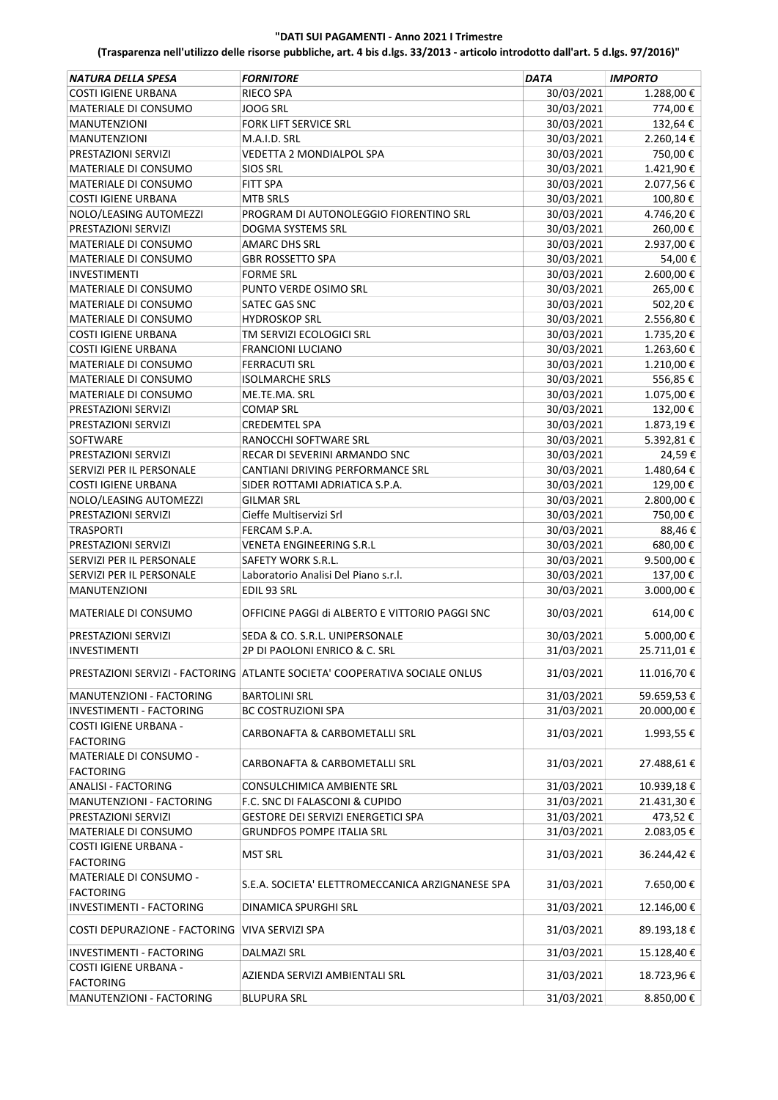| NATURA DELLA SPESA                         | <b>FORNITORE</b>                                                           | <b>DATA</b> | <b>IMPORTO</b> |
|--------------------------------------------|----------------------------------------------------------------------------|-------------|----------------|
| <b>COSTI IGIENE URBANA</b>                 | RIECO SPA                                                                  | 30/03/2021  | 1.288,00 €     |
| MATERIALE DI CONSUMO                       | JOOG SRL                                                                   | 30/03/2021  | 774,00€        |
| <b>MANUTENZIONI</b>                        | FORK LIFT SERVICE SRL                                                      | 30/03/2021  | 132,64€        |
| <b>MANUTENZIONI</b>                        | M.A.I.D. SRL                                                               | 30/03/2021  | 2.260,14€      |
| PRESTAZIONI SERVIZI                        | VEDETTA 2 MONDIALPOL SPA                                                   | 30/03/2021  | 750,00€        |
| MATERIALE DI CONSUMO                       | <b>SIOS SRL</b>                                                            | 30/03/2021  | 1.421,90€      |
| MATERIALE DI CONSUMO                       | <b>FITT SPA</b>                                                            | 30/03/2021  | 2.077,56€      |
| <b>COSTI IGIENE URBANA</b>                 | <b>MTB SRLS</b>                                                            | 30/03/2021  | 100,80€        |
| NOLO/LEASING AUTOMEZZI                     | PROGRAM DI AUTONOLEGGIO FIORENTINO SRL                                     | 30/03/2021  | 4.746,20€      |
| <b>PRESTAZIONI SERVIZI</b>                 | <b>DOGMA SYSTEMS SRL</b>                                                   | 30/03/2021  | 260,00€        |
| MATERIALE DI CONSUMO                       | AMARC DHS SRL                                                              | 30/03/2021  | 2.937,00€      |
| MATERIALE DI CONSUMO                       | <b>GBR ROSSETTO SPA</b>                                                    | 30/03/2021  | 54,00€         |
| <b>INVESTIMENTI</b>                        | <b>FORME SRL</b>                                                           | 30/03/2021  | 2.600,00 €     |
| MATERIALE DI CONSUMO                       | PUNTO VERDE OSIMO SRL                                                      | 30/03/2021  | 265,00€        |
| MATERIALE DI CONSUMO                       | SATEC GAS SNC                                                              | 30/03/2021  | 502,20€        |
| MATERIALE DI CONSUMO                       | <b>HYDROSKOP SRL</b>                                                       | 30/03/2021  | 2.556,80€      |
| <b>COSTI IGIENE URBANA</b>                 | TM SERVIZI ECOLOGICI SRL                                                   | 30/03/2021  | 1.735,20€      |
| <b>COSTI IGIENE URBANA</b>                 | <b>FRANCIONI LUCIANO</b>                                                   | 30/03/2021  | 1.263,60€      |
| MATERIALE DI CONSUMO                       | <b>FERRACUTI SRL</b>                                                       | 30/03/2021  | 1.210,00€      |
| MATERIALE DI CONSUMO                       | <b>ISOLMARCHE SRLS</b>                                                     | 30/03/2021  | 556,85€        |
| MATERIALE DI CONSUMO                       | ME.TE.MA. SRL                                                              | 30/03/2021  | 1.075,00€      |
| PRESTAZIONI SERVIZI                        | <b>COMAP SRL</b>                                                           | 30/03/2021  | 132,00€        |
| PRESTAZIONI SERVIZI                        | <b>CREDEMTEL SPA</b>                                                       | 30/03/2021  | 1.873,19€      |
| SOFTWARE                                   | RANOCCHI SOFTWARE SRL                                                      | 30/03/2021  | 5.392,81€      |
| PRESTAZIONI SERVIZI                        | RECAR DI SEVERINI ARMANDO SNC                                              | 30/03/2021  | 24,59€         |
| SERVIZI PER IL PERSONALE                   | CANTIANI DRIVING PERFORMANCE SRL                                           | 30/03/2021  | 1.480,64€      |
| <b>COSTI IGIENE URBANA</b>                 | SIDER ROTTAMI ADRIATICA S.P.A.                                             | 30/03/2021  | 129,00€        |
| NOLO/LEASING AUTOMEZZI                     | <b>GILMAR SRL</b>                                                          | 30/03/2021  | 2.800,00 €     |
| PRESTAZIONI SERVIZI                        | Cieffe Multiservizi Srl                                                    | 30/03/2021  | 750,00€        |
| <b>TRASPORTI</b>                           | FERCAM S.P.A.                                                              | 30/03/2021  | 88,46€         |
| PRESTAZIONI SERVIZI                        | VENETA ENGINEERING S.R.L                                                   | 30/03/2021  | 680,00€        |
| SERVIZI PER IL PERSONALE                   | SAFETY WORK S.R.L.                                                         | 30/03/2021  | 9.500,00€      |
| SERVIZI PER IL PERSONALE                   | Laboratorio Analisi Del Piano s.r.l.                                       | 30/03/2021  | 137,00€        |
| <b>MANUTENZIONI</b>                        | EDIL 93 SRL                                                                | 30/03/2021  | 3.000,00€      |
| <b>MATERIALE DI CONSUMO</b>                | OFFICINE PAGGI di ALBERTO E VITTORIO PAGGI SNC                             | 30/03/2021  | 614,00€        |
| PRESTAZIONI SERVIZI                        | SEDA & CO. S.R.L. UNIPERSONALE                                             | 30/03/2021  | 5.000,00 €     |
| INVESTIMENTI                               | 2P DI PAOLONI ENRICO & C. SRL                                              | 31/03/2021  | 25.711,01€     |
|                                            | PRESTAZIONI SERVIZI - FACTORING ATLANTE SOCIETA' COOPERATIVA SOCIALE ONLUS | 31/03/2021  | 11.016,70€     |
| MANUTENZIONI - FACTORING                   | <b>BARTOLINI SRL</b>                                                       | 31/03/2021  | 59.659,53€     |
| INVESTIMENTI - FACTORING                   | <b>BC COSTRUZIONI SPA</b>                                                  | 31/03/2021  | 20.000,00€     |
| COSTI IGIENE URBANA -                      |                                                                            |             |                |
| <b>FACTORING</b>                           | CARBONAFTA & CARBOMETALLI SRL                                              | 31/03/2021  | 1.993,55€      |
| MATERIALE DI CONSUMO -                     |                                                                            |             |                |
| <b>FACTORING</b>                           | CARBONAFTA & CARBOMETALLI SRL                                              | 31/03/2021  | 27.488,61€     |
| <b>ANALISI - FACTORING</b>                 | CONSULCHIMICA AMBIENTE SRL                                                 | 31/03/2021  | 10.939,18€     |
| MANUTENZIONI - FACTORING                   | F.C. SNC DI FALASCONI & CUPIDO                                             | 31/03/2021  | 21.431,30€     |
| PRESTAZIONI SERVIZI                        | GESTORE DEI SERVIZI ENERGETICI SPA                                         | 31/03/2021  | 473,52€        |
| MATERIALE DI CONSUMO                       | <b>GRUNDFOS POMPE ITALIA SRL</b>                                           | 31/03/2021  | 2.083,05 €     |
| COSTI IGIENE URBANA -                      |                                                                            |             |                |
| <b>FACTORING</b>                           | <b>MST SRL</b>                                                             | 31/03/2021  | 36.244,42€     |
| MATERIALE DI CONSUMO -<br><b>FACTORING</b> | S.E.A. SOCIETA' ELETTROMECCANICA ARZIGNANESE SPA                           | 31/03/2021  | 7.650,00€      |
| INVESTIMENTI - FACTORING                   | DINAMICA SPURGHI SRL                                                       | 31/03/2021  | 12.146,00€     |
| COSTI DEPURAZIONE - FACTORING              | VIVA SERVIZI SPA                                                           | 31/03/2021  | 89.193,18€     |
| INVESTIMENTI - FACTORING                   | DALMAZI SRL                                                                | 31/03/2021  | 15.128,40€     |
| COSTI IGIENE URBANA -                      |                                                                            |             |                |
| <b>FACTORING</b>                           | AZIENDA SERVIZI AMBIENTALI SRL                                             | 31/03/2021  | 18.723,96€     |
| MANUTENZIONI - FACTORING                   | <b>BLUPURA SRL</b>                                                         | 31/03/2021  | 8.850,00€      |